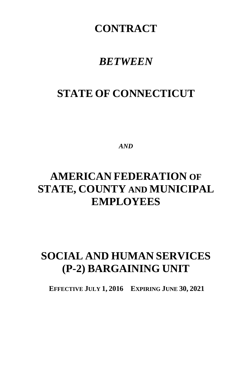## **CONTRACT**

## *BETWEEN*

# **STATE OF CONNECTICUT**

*AND*

# **AMERICAN FEDERATION OF STATE, COUNTY AND MUNICIPAL EMPLOYEES**

# **SOCIAL AND HUMAN SERVICES (P-2) BARGAINING UNIT**

**EFFECTIVE JULY 1, 2016 EXPIRING JUNE 30, 2021**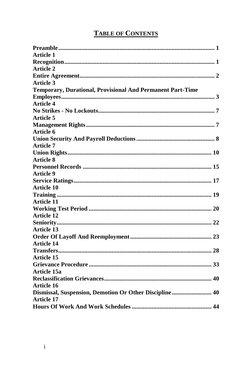## **TABLE OF CONTENTS**

| <b>Article 1</b>                                                  |
|-------------------------------------------------------------------|
|                                                                   |
| <b>Article 2</b>                                                  |
|                                                                   |
| Article 3                                                         |
| <b>Temporary, Durational, Provisional And Permanent Part-Time</b> |
|                                                                   |
| <b>Article 4</b>                                                  |
|                                                                   |
| <b>Article 5</b>                                                  |
|                                                                   |
| Article 6                                                         |
|                                                                   |
| <b>Article 7</b>                                                  |
|                                                                   |
| <b>Article 8</b>                                                  |
|                                                                   |
| <b>Article 9</b>                                                  |
|                                                                   |
| <b>Article 10</b>                                                 |
|                                                                   |
| <b>Article 11</b>                                                 |
|                                                                   |
| <b>Article 12</b>                                                 |
|                                                                   |
| <b>Article 13</b>                                                 |
|                                                                   |
| <b>Article 14</b>                                                 |
|                                                                   |
| Article 15                                                        |
|                                                                   |
| Article 15a                                                       |
|                                                                   |
| <b>Article 16</b>                                                 |
| Dismissal, Suspension, Demotion Or Other Discipline 40            |
| <b>Article 17</b>                                                 |
|                                                                   |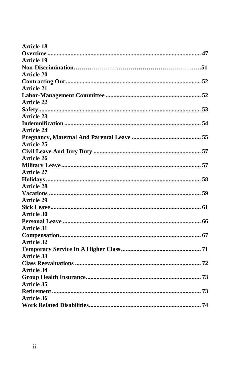| <b>Article 18</b> |  |
|-------------------|--|
|                   |  |
| Article 19        |  |
|                   |  |
| <b>Article 20</b> |  |
|                   |  |
| <b>Article 21</b> |  |
|                   |  |
| <b>Article 22</b> |  |
|                   |  |
| <b>Article 23</b> |  |
|                   |  |
| <b>Article 24</b> |  |
|                   |  |
| <b>Article 25</b> |  |
|                   |  |
| <b>Article 26</b> |  |
|                   |  |
| <b>Article 27</b> |  |
|                   |  |
| <b>Article 28</b> |  |
|                   |  |
| <b>Article 29</b> |  |
|                   |  |
| <b>Article 30</b> |  |
|                   |  |
| <b>Article 31</b> |  |
|                   |  |
| <b>Article 32</b> |  |
|                   |  |
| <b>Article 33</b> |  |
|                   |  |
| <b>Article 34</b> |  |
|                   |  |
| <b>Article 35</b> |  |
|                   |  |
| Article 36        |  |
|                   |  |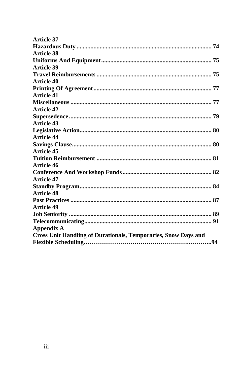| Article 37                                                            |  |
|-----------------------------------------------------------------------|--|
|                                                                       |  |
| <b>Article 38</b>                                                     |  |
|                                                                       |  |
| <b>Article 39</b>                                                     |  |
|                                                                       |  |
| <b>Article 40</b>                                                     |  |
|                                                                       |  |
| <b>Article 41</b>                                                     |  |
|                                                                       |  |
| <b>Article 42</b>                                                     |  |
|                                                                       |  |
| <b>Article 43</b>                                                     |  |
|                                                                       |  |
| <b>Article 44</b>                                                     |  |
|                                                                       |  |
| <b>Article 45</b>                                                     |  |
|                                                                       |  |
| Article 46                                                            |  |
|                                                                       |  |
| <b>Article 47</b>                                                     |  |
|                                                                       |  |
| <b>Article 48</b>                                                     |  |
|                                                                       |  |
| <b>Article 49</b>                                                     |  |
|                                                                       |  |
|                                                                       |  |
| <b>Appendix A</b>                                                     |  |
| <b>Cross Unit Handling of Durationals, Temporaries, Snow Days and</b> |  |
|                                                                       |  |
|                                                                       |  |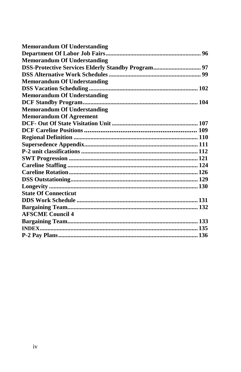| <b>Memorandum Of Understanding</b>                 |  |
|----------------------------------------------------|--|
|                                                    |  |
| <b>Memorandum Of Understanding</b>                 |  |
| DSS-Protective Services Elderly Standby Program 97 |  |
|                                                    |  |
| <b>Memorandum Of Understanding</b>                 |  |
|                                                    |  |
| <b>Memorandum Of Understanding</b>                 |  |
|                                                    |  |
| <b>Memorandum Of Understanding</b>                 |  |
| <b>Memorandum Of Agreement</b>                     |  |
|                                                    |  |
|                                                    |  |
|                                                    |  |
|                                                    |  |
|                                                    |  |
|                                                    |  |
|                                                    |  |
|                                                    |  |
|                                                    |  |
|                                                    |  |
| <b>State Of Connecticut</b>                        |  |
|                                                    |  |
|                                                    |  |
| <b>AFSCME Council 4</b>                            |  |
|                                                    |  |
|                                                    |  |
|                                                    |  |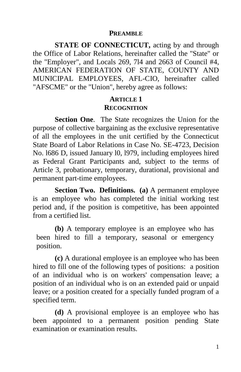#### **PREAMBLE**

**STATE OF CONNECTICUT, acting by and through** the Office of Labor Relations, hereinafter called the "State" or the "Employer", and Locals 269, 7l4 and 2663 of Council #4, AMERICAN FEDERATION OF STATE, COUNTY AND MUNICIPAL EMPLOYEES, AFL-CIO, hereinafter called "AFSCME" or the "Union", hereby agree as follows:

## **ARTICLE 1 RECOGNITION**

**Section One**. The State recognizes the Union for the purpose of collective bargaining as the exclusive representative of all the employees in the unit certified by the Connecticut State Board of Labor Relations in Case No. SE-4723, Decision No. l686 D, issued January l0, l979, including employees hired as Federal Grant Participants and, subject to the terms of Article 3, probationary, temporary, durational, provisional and permanent part-time employees.

**Section Two. Definitions. (a)** A permanent employee is an employee who has completed the initial working test period and, if the position is competitive, has been appointed from a certified list.

**(b)** A temporary employee is an employee who has been hired to fill a temporary, seasonal or emergency position.

**(c)** A durational employee is an employee who has been hired to fill one of the following types of positions: a position of an individual who is on workers' compensation leave; a position of an individual who is on an extended paid or unpaid leave; or a position created for a specially funded program of a specified term.

**(d)** A provisional employee is an employee who has been appointed to a permanent position pending State examination or examination results.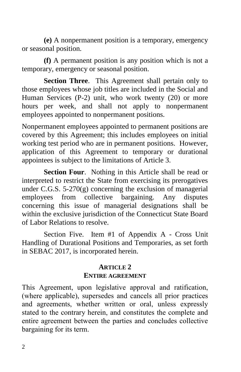**(e)** A nonpermanent position is a temporary, emergency or seasonal position.

**(f)** A permanent position is any position which is not a temporary, emergency or seasonal position.

**Section Three**. This Agreement shall pertain only to those employees whose job titles are included in the Social and Human Services (P-2) unit, who work twenty (20) or more hours per week, and shall not apply to nonpermanent employees appointed to nonpermanent positions.

Nonpermanent employees appointed to permanent positions are covered by this Agreement; this includes employees on initial working test period who are in permanent positions. However, application of this Agreement to temporary or durational appointees is subject to the limitations of Article 3.

**Section Four**. Nothing in this Article shall be read or interpreted to restrict the State from exercising its prerogatives under C.G.S.  $5-270(g)$  concerning the exclusion of managerial employees from collective bargaining. Any disputes concerning this issue of managerial designations shall be within the exclusive jurisdiction of the Connecticut State Board of Labor Relations to resolve.

Section Five. Item #1 of Appendix A - Cross Unit Handling of Durational Positions and Temporaries, as set forth in SEBAC 2017, is incorporated herein.

#### **ARTICLE 2**

#### **ENTIRE AGREEMENT**

This Agreement, upon legislative approval and ratification, (where applicable), supersedes and cancels all prior practices and agreements, whether written or oral, unless expressly stated to the contrary herein, and constitutes the complete and entire agreement between the parties and concludes collective bargaining for its term.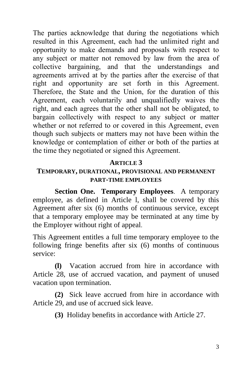The parties acknowledge that during the negotiations which resulted in this Agreement, each had the unlimited right and opportunity to make demands and proposals with respect to any subject or matter not removed by law from the area of collective bargaining, and that the understandings and agreements arrived at by the parties after the exercise of that right and opportunity are set forth in this Agreement. Therefore, the State and the Union, for the duration of this Agreement, each voluntarily and unqualifiedly waives the right, and each agrees that the other shall not be obligated, to bargain collectively with respect to any subject or matter whether or not referred to or covered in this Agreement, even though such subjects or matters may not have been within the knowledge or contemplation of either or both of the parties at the time they negotiated or signed this Agreement.

## **ARTICLE 3**

### **TEMPORARY, DURATIONAL, PROVISIONAL AND PERMANENT PART-TIME EMPLOYEES**

**Section One. Temporary Employees**. A temporary employee, as defined in Article l, shall be covered by this Agreement after six (6) months of continuous service, except that a temporary employee may be terminated at any time by the Employer without right of appeal.

This Agreement entitles a full time temporary employee to the following fringe benefits after six (6) months of continuous service:

**(l)** Vacation accrued from hire in accordance with Article 28, use of accrued vacation, and payment of unused vacation upon termination.

**(2)** Sick leave accrued from hire in accordance with Article 29, and use of accrued sick leave.

**(3)** Holiday benefits in accordance with Article 27.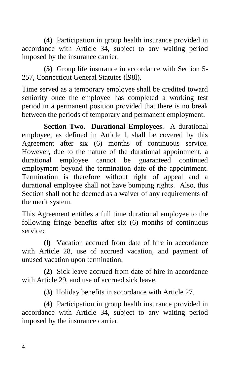**(4)** Participation in group health insurance provided in accordance with Article 34, subject to any waiting period imposed by the insurance carrier.

**(5)** Group life insurance in accordance with Section 5- 257, Connecticut General Statutes (l98l).

Time served as a temporary employee shall be credited toward seniority once the employee has completed a working test period in a permanent position provided that there is no break between the periods of temporary and permanent employment.

**Section Two. Durational Employees**. A durational employee, as defined in Article l, shall be covered by this Agreement after six (6) months of continuous service. However, due to the nature of the durational appointment, a durational employee cannot be guaranteed continued employment beyond the termination date of the appointment. Termination is therefore without right of appeal and a durational employee shall not have bumping rights. Also, this Section shall not be deemed as a waiver of any requirements of the merit system.

This Agreement entitles a full time durational employee to the following fringe benefits after six (6) months of continuous service:

**(l)** Vacation accrued from date of hire in accordance with Article 28, use of accrued vacation, and payment of unused vacation upon termination.

**(2)** Sick leave accrued from date of hire in accordance with Article 29, and use of accrued sick leave.

**(3)** Holiday benefits in accordance with Article 27.

**(4)** Participation in group health insurance provided in accordance with Article 34, subject to any waiting period imposed by the insurance carrier.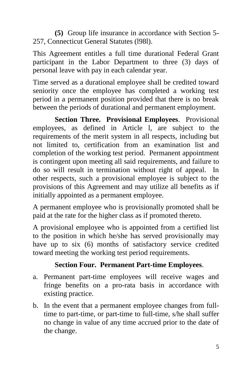**(5)** Group life insurance in accordance with Section 5- 257, Connecticut General Statutes (l98l).

This Agreement entitles a full time durational Federal Grant participant in the Labor Department to three (3) days of personal leave with pay in each calendar year.

Time served as a durational employee shall be credited toward seniority once the employee has completed a working test period in a permanent position provided that there is no break between the periods of durational and permanent employment.

**Section Three. Provisional Employees**. Provisional employees, as defined in Article l, are subject to the requirements of the merit system in all respects, including but not limited to, certification from an examination list and completion of the working test period. Permanent appointment is contingent upon meeting all said requirements, and failure to do so will result in termination without right of appeal. In other respects, such a provisional employee is subject to the provisions of this Agreement and may utilize all benefits as if initially appointed as a permanent employee.

A permanent employee who is provisionally promoted shall be paid at the rate for the higher class as if promoted thereto.

A provisional employee who is appointed from a certified list to the position in which he/she has served provisionally may have up to six (6) months of satisfactory service credited toward meeting the working test period requirements.

## **Section Four. Permanent Part-time Employees**.

- a. Permanent part-time employees will receive wages and fringe benefits on a pro-rata basis in accordance with existing practice.
- b. In the event that a permanent employee changes from fulltime to part-time, or part-time to full-time, s/he shall suffer no change in value of any time accrued prior to the date of the change.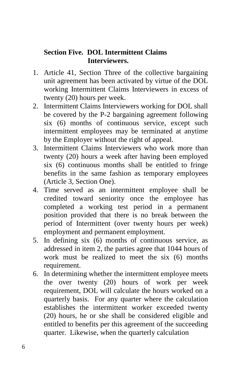## **Section Five. DOL Intermittent Claims Interviewers.**

- 1. Article 41, Section Three of the collective bargaining unit agreement has been activated by virtue of the DOL working Intermittent Claims Interviewers in excess of twenty (20) hours per week.
- 2. Intermittent Claims Interviewers working for DOL shall be covered by the P-2 bargaining agreement following six (6) months of continuous service, except such intermittent employees may be terminated at anytime by the Employer without the right of appeal.
- 3. Intermittent Claims Interviewers who work more than twenty (20) hours a week after having been employed six (6) continuous months shall be entitled to fringe benefits in the same fashion as temporary employees (Article 3, Section One).
- 4. Time served as an intermittent employee shall be credited toward seniority once the employee has completed a working test period in a permanent position provided that there is no break between the period of Intermittent (over twenty hours per week) employment and permanent employment.
- 5. In defining six (6) months of continuous service, as addressed in item 2, the parties agree that 1044 hours of work must be realized to meet the six (6) months requirement.
- 6. In determining whether the intermittent employee meets the over twenty (20) hours of work per week requirement, DOL will calculate the hours worked on a quarterly basis. For any quarter where the calculation establishes the intermittent worker exceeded twenty (20) hours, he or she shall be considered eligible and entitled to benefits per this agreement of the succeeding quarter. Likewise, when the quarterly calculation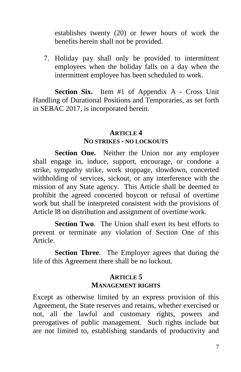establishes twenty (20) or fewer hours of work the benefits herein shall not be provided.

7. Holiday pay shall only be provided to intermittent employees when the holiday falls on a day when the intermittent employee has been scheduled to work.

**Section Six.** Item #1 of Appendix A - Cross Unit Handling of Durational Positions and Temporaries, as set forth in SEBAC 2017, is incorporated herein.

#### **ARTICLE 4 NO STRIKES - NO LOCKOUTS**

Section One. Neither the Union nor any employee shall engage in, induce, support, encourage, or condone a strike, sympathy strike, work stoppage, slowdown, concerted withholding of services, sickout, or any interference with the mission of any State agency. This Article shall be deemed to prohibit the agreed concerted boycott or refusal of overtime work but shall be interpreted consistent with the provisions of Article l8 on distribution and assignment of overtime work.

**Section Two**. The Union shall exert its best efforts to prevent or terminate any violation of Section One of this Article.

**Section Three**. The Employer agrees that during the life of this Agreement there shall be no lockout.

## **ARTICLE 5 MANAGEMENT RIGHTS**

Except as otherwise limited by an express provision of this Agreement, the State reserves and retains, whether exercised or not, all the lawful and customary rights, powers and prerogatives of public management. Such rights include but are not limited to, establishing standards of productivity and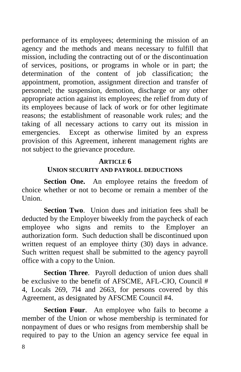performance of its employees; determining the mission of an agency and the methods and means necessary to fulfill that mission, including the contracting out of or the discontinuation of services, positions, or programs in whole or in part; the determination of the content of job classification; the appointment, promotion, assignment direction and transfer of personnel; the suspension, demotion, discharge or any other appropriate action against its employees; the relief from duty of its employees because of lack of work or for other legitimate reasons; the establishment of reasonable work rules; and the taking of all necessary actions to carry out its mission in emergencies. Except as otherwise limited by an express provision of this Agreement, inherent management rights are not subject to the grievance procedure.

#### **ARTICLE 6**

#### **UNION SECURITY AND PAYROLL DEDUCTIONS**

**Section One.** An employee retains the freedom of choice whether or not to become or remain a member of the Union.

**Section Two.** Union dues and initiation fees shall be deducted by the Employer biweekly from the paycheck of each employee who signs and remits to the Employer an authorization form. Such deduction shall be discontinued upon written request of an employee thirty (30) days in advance. Such written request shall be submitted to the agency payroll office with a copy to the Union.

**Section Three**. Payroll deduction of union dues shall be exclusive to the benefit of AFSCME, AFL-CIO, Council # 4, Locals 269, 7l4 and 2663, for persons covered by this Agreement, as designated by AFSCME Council #4.

**Section Four.** An employee who fails to become a member of the Union or whose membership is terminated for nonpayment of dues or who resigns from membership shall be required to pay to the Union an agency service fee equal in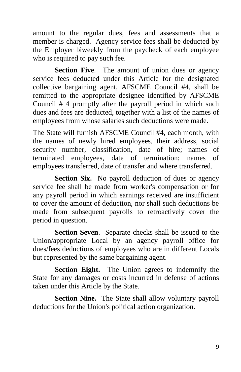amount to the regular dues, fees and assessments that a member is charged. Agency service fees shall be deducted by the Employer biweekly from the paycheck of each employee who is required to pay such fee.

**Section Five.** The amount of union dues or agency service fees deducted under this Article for the designated collective bargaining agent, AFSCME Council #4, shall be remitted to the appropriate designee identified by AFSCME Council # 4 promptly after the payroll period in which such dues and fees are deducted, together with a list of the names of employees from whose salaries such deductions were made.

The State will furnish AFSCME Council #4, each month, with the names of newly hired employees, their address, social security number, classification, date of hire; names of terminated employees, date of termination; names of employees transferred, date of transfer and where transferred.

**Section Six.** No payroll deduction of dues or agency service fee shall be made from worker's compensation or for any payroll period in which earnings received are insufficient to cover the amount of deduction, nor shall such deductions be made from subsequent payrolls to retroactively cover the period in question.

**Section Seven**. Separate checks shall be issued to the Union/appropriate Local by an agency payroll office for dues/fees deductions of employees who are in different Locals but represented by the same bargaining agent.

**Section Eight.** The Union agrees to indemnify the State for any damages or costs incurred in defense of actions taken under this Article by the State.

**Section Nine.** The State shall allow voluntary payroll deductions for the Union's political action organization.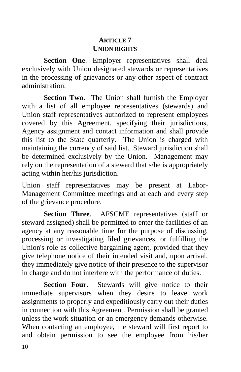## **ARTICLE 7 UNION RIGHTS**

**Section One**. Employer representatives shall deal exclusively with Union designated stewards or representatives in the processing of grievances or any other aspect of contract administration.

**Section Two**. The Union shall furnish the Employer with a list of all employee representatives (stewards) and Union staff representatives authorized to represent employees covered by this Agreement, specifying their jurisdictions, Agency assignment and contact information and shall provide this list to the State quarterly. The Union is charged with maintaining the currency of said list. Steward jurisdiction shall be determined exclusively by the Union. Management may rely on the representation of a steward that s/he is appropriately acting within her/his jurisdiction.

Union staff representatives may be present at Labor-Management Committee meetings and at each and every step of the grievance procedure.

**Section Three**. AFSCME representatives (staff or steward assigned) shall be permitted to enter the facilities of an agency at any reasonable time for the purpose of discussing, processing or investigating filed grievances, or fulfilling the Union's role as collective bargaining agent, provided that they give telephone notice of their intended visit and, upon arrival, they immediately give notice of their presence to the supervisor in charge and do not interfere with the performance of duties.

**Section Four.** Stewards will give notice to their immediate supervisors when they desire to leave work assignments to properly and expeditiously carry out their duties in connection with this Agreement. Permission shall be granted unless the work situation or an emergency demands otherwise. When contacting an employee, the steward will first report to and obtain permission to see the employee from his/her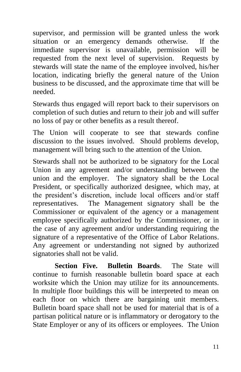supervisor, and permission will be granted unless the work situation or an emergency demands otherwise. If the immediate supervisor is unavailable, permission will be requested from the next level of supervision. Requests by stewards will state the name of the employee involved, his/her location, indicating briefly the general nature of the Union business to be discussed, and the approximate time that will be needed.

Stewards thus engaged will report back to their supervisors on completion of such duties and return to their job and will suffer no loss of pay or other benefits as a result thereof.

The Union will cooperate to see that stewards confine discussion to the issues involved. Should problems develop, management will bring such to the attention of the Union.

Stewards shall not be authorized to be signatory for the Local Union in any agreement and/or understanding between the union and the employer. The signatory shall be the Local President, or specifically authorized designee, which may, at the president's discretion, include local officers and/or staff representatives. The Management signatory shall be the Commissioner or equivalent of the agency or a management employee specifically authorized by the Commissioner, or in the case of any agreement and/or understanding requiring the signature of a representative of the Office of Labor Relations. Any agreement or understanding not signed by authorized signatories shall not be valid.

**Section Five. Bulletin Boards**. The State will continue to furnish reasonable bulletin board space at each worksite which the Union may utilize for its announcements. In multiple floor buildings this will be interpreted to mean on each floor on which there are bargaining unit members. Bulletin board space shall not be used for material that is of a partisan political nature or is inflammatory or derogatory to the State Employer or any of its officers or employees. The Union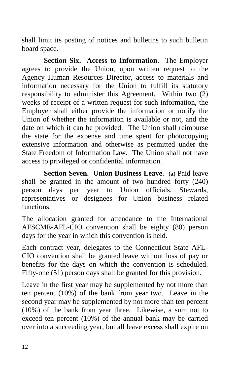shall limit its posting of notices and bulletins to such bulletin board space.

**Section Six. Access to Information**. The Employer agrees to provide the Union, upon written request to the Agency Human Resources Director, access to materials and information necessary for the Union to fulfill its statutory responsibility to administer this Agreement. Within two (2) weeks of receipt of a written request for such information, the Employer shall either provide the information or notify the Union of whether the information is available or not, and the date on which it can be provided. The Union shall reimburse the state for the expense and time spent for photocopying extensive information and otherwise as permitted under the State Freedom of Information Law. The Union shall not have access to privileged or confidential information.

**Section Seven. Union Business Leave. (a) Paid leave.** shall be granted in the amount of two hundred forty (240) person days per year to Union officials, Stewards, representatives or designees for Union business related functions.

The allocation granted for attendance to the International AFSCME-AFL-CIO convention shall be eighty (80) person days for the year in which this convention is held.

Each contract year, delegates to the Connecticut State AFL-CIO convention shall be granted leave without loss of pay or benefits for the days on which the convention is scheduled. Fifty-one (51) person days shall be granted for this provision.

Leave in the first year may be supplemented by not more than ten percent (10%) of the bank from year two. Leave in the second year may be supplemented by not more than ten percent (10%) of the bank from year three. Likewise, a sum not to exceed ten percent (10%) of the annual bank may be carried over into a succeeding year, but all leave excess shall expire on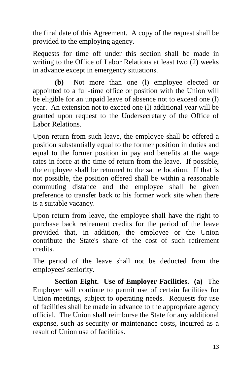the final date of this Agreement. A copy of the request shall be provided to the employing agency.

Requests for time off under this section shall be made in writing to the Office of Labor Relations at least two (2) weeks in advance except in emergency situations.

**(b)** Not more than one (l) employee elected or appointed to a full-time office or position with the Union will be eligible for an unpaid leave of absence not to exceed one (l) year. An extension not to exceed one (l) additional year will be granted upon request to the Undersecretary of the Office of Labor Relations.

Upon return from such leave, the employee shall be offered a position substantially equal to the former position in duties and equal to the former position in pay and benefits at the wage rates in force at the time of return from the leave. If possible, the employee shall be returned to the same location. If that is not possible, the position offered shall be within a reasonable commuting distance and the employee shall be given preference to transfer back to his former work site when there is a suitable vacancy.

Upon return from leave, the employee shall have the right to purchase back retirement credits for the period of the leave provided that, in addition, the employee or the Union contribute the State's share of the cost of such retirement credits.

The period of the leave shall not be deducted from the employees' seniority.

**Section Eight. Use of Employer Facilities. (a)** The Employer will continue to permit use of certain facilities for Union meetings, subject to operating needs. Requests for use of facilities shall be made in advance to the appropriate agency official. The Union shall reimburse the State for any additional expense, such as security or maintenance costs, incurred as a result of Union use of facilities.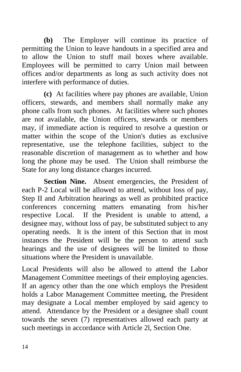**(b)** The Employer will continue its practice of permitting the Union to leave handouts in a specified area and to allow the Union to stuff mail boxes where available. Employees will be permitted to carry Union mail between offices and/or departments as long as such activity does not interfere with performance of duties.

**(c)** At facilities where pay phones are available, Union officers, stewards, and members shall normally make any phone calls from such phones. At facilities where such phones are not available, the Union officers, stewards or members may, if immediate action is required to resolve a question or matter within the scope of the Union's duties as exclusive representative, use the telephone facilities, subject to the reasonable discretion of management as to whether and how long the phone may be used. The Union shall reimburse the State for any long distance charges incurred.

Section Nine. Absent emergencies, the President of each P-2 Local will be allowed to attend, without loss of pay, Step II and Arbitration hearings as well as prohibited practice conferences concerning matters emanating from his/her respective Local. If the President is unable to attend, a designee may, without loss of pay, be substituted subject to any operating needs. It is the intent of this Section that in most instances the President will be the person to attend such hearings and the use of designees will be limited to those situations where the President is unavailable.

Local Presidents will also be allowed to attend the Labor Management Committee meetings of their employing agencies. If an agency other than the one which employs the President holds a Labor Management Committee meeting, the President may designate a Local member employed by said agency to attend. Attendance by the President or a designee shall count towards the seven (7) representatives allowed each party at such meetings in accordance with Article 2l, Section One.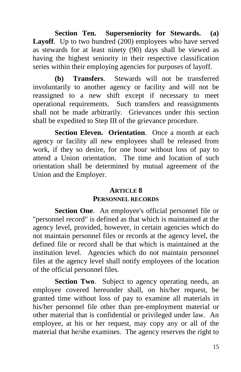**Section Ten. Superseniority for Stewards. (a) Layoff**. Up to two hundred (200) employees who have served as stewards for at least ninety (90) days shall be viewed as having the highest seniority in their respective classification series within their employing agencies for purposes of layoff.

**(b) Transfers**. Stewards will not be transferred involuntarily to another agency or facility and will not be reassigned to a new shift except if necessary to meet operational requirements. Such transfers and reassignments shall not be made arbitrarily. Grievances under this section shall be expedited to Step III of the grievance procedure.

**Section Eleven. Orientation**. Once a month at each agency or facility all new employees shall be released from work, if they so desire, for one hour without loss of pay to attend a Union orientation. The time and location of such orientation shall be determined by mutual agreement of the Union and the Employer.

## **ARTICLE 8 PERSONNEL RECORDS**

**Section One**. An employee's official personnel file or "personnel record" is defined as that which is maintained at the agency level, provided, however, in certain agencies which do not maintain personnel files or records at the agency level, the defined file or record shall be that which is maintained at the institution level. Agencies which do not maintain personnel files at the agency level shall notify employees of the location of the official personnel files.

**Section Two.** Subject to agency operating needs, an employee covered hereunder shall, on his/her request, be granted time without loss of pay to examine all materials in his/her personnel file other than pre-employment material or other material that is confidential or privileged under law. An employee, at his or her request, may copy any or all of the material that he/she examines. The agency reserves the right to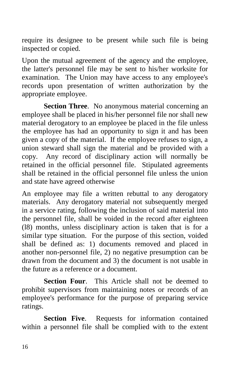require its designee to be present while such file is being inspected or copied.

Upon the mutual agreement of the agency and the employee, the latter's personnel file may be sent to his/her worksite for examination. The Union may have access to any employee's records upon presentation of written authorization by the appropriate employee.

**Section Three**. No anonymous material concerning an employee shall be placed in his/her personnel file nor shall new material derogatory to an employee be placed in the file unless the employee has had an opportunity to sign it and has been given a copy of the material. If the employee refuses to sign, a union steward shall sign the material and be provided with a copy. Any record of disciplinary action will normally be retained in the official personnel file. Stipulated agreements shall be retained in the official personnel file unless the union and state have agreed otherwise

An employee may file a written rebuttal to any derogatory materials. Any derogatory material not subsequently merged in a service rating, following the inclusion of said material into the personnel file, shall be voided in the record after eighteen (l8) months, unless disciplinary action is taken that is for a similar type situation. For the purpose of this section, voided shall be defined as: 1) documents removed and placed in another non-personnel file, 2) no negative presumption can be drawn from the document and 3) the document is not usable in the future as a reference or a document.

**Section Four**. This Article shall not be deemed to prohibit supervisors from maintaining notes or records of an employee's performance for the purpose of preparing service ratings.

**Section Five**. Requests for information contained within a personnel file shall be complied with to the extent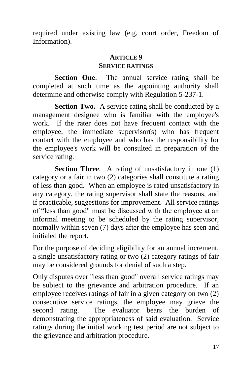required under existing law (e.g. court order, Freedom of Information).

#### **ARTICLE 9 SERVICE RATINGS**

**Section One**. The annual service rating shall be completed at such time as the appointing authority shall determine and otherwise comply with Regulation 5-237-1.

**Section Two.** A service rating shall be conducted by a management designee who is familiar with the employee's work. If the rater does not have frequent contact with the employee, the immediate supervisor(s) who has frequent contact with the employee and who has the responsibility for the employee's work will be consulted in preparation of the service rating.

**Section Three.** A rating of unsatisfactory in one (1) category or a fair in two (2) categories shall constitute a rating of less than good. When an employee is rated unsatisfactory in any category, the rating supervisor shall state the reasons, and if practicable, suggestions for improvement. All service ratings of "less than good" must be discussed with the employee at an informal meeting to be scheduled by the rating supervisor, normally within seven (7) days after the employee has seen and initialed the report.

For the purpose of deciding eligibility for an annual increment, a single unsatisfactory rating or two (2) category ratings of fair may be considered grounds for denial of such a step.

Only disputes over "less than good" overall service ratings may be subject to the grievance and arbitration procedure. If an employee receives ratings of fair in a given category on two (2) consecutive service ratings, the employee may grieve the second rating. The evaluator bears the burden of demonstrating the appropriateness of said evaluation. Service ratings during the initial working test period are not subject to the grievance and arbitration procedure.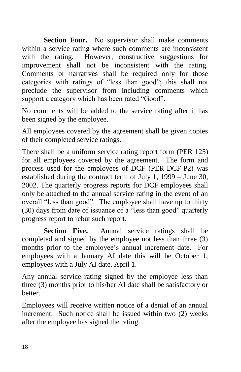**Section Four.** No supervisor shall make comments within a service rating where such comments are inconsistent with the rating. However, constructive suggestions for improvement shall not be inconsistent with the rating. Comments or narratives shall be required only for those categories with ratings of "less than good"; this shall not preclude the supervisor from including comments which support a category which has been rated "Good".

No comments will be added to the service rating after it has been signed by the employee.

All employees covered by the agreement shall be given copies of their completed service ratings.

There shall be a uniform service rating report form **(**PER 125) for all employees covered by the agreement. The form and process used for the employees of DCF (PER-DCF-P2) was established during the contract term of July 1, 1999 – June 30, 2002. The quarterly progress reports for DCF employees shall only be attached to the annual service rating in the event of an overall "less than good". The employee shall have up to thirty (30) days from date of issuance of a "less than good" quarterly progress report to rebut such report.

**Section Five.** Annual service ratings shall be completed and signed by the employee not less than three (3) months prior to the employee's annual increment date. For employees with a January AI date this will be October 1, employees with a July AI date, April 1.

Any annual service rating signed by the employee less than three (3) months prior to his/her AI date shall be satisfactory or better.

Employees will receive written notice of a denial of an annual increment. Such notice shall be issued within two (2) weeks after the employee has signed the rating.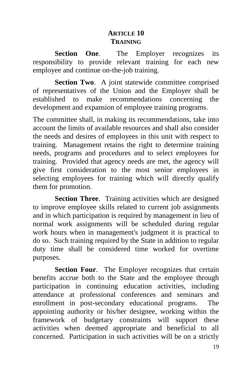## **ARTICLE 10 TRAINING**

**Section One.** The Employer recognizes its responsibility to provide relevant training for each new employee and continue on-the-job training.

**Section Two.** A joint statewide committee comprised of representatives of the Union and the Employer shall be established to make recommendations concerning the development and expansion of employee training programs.

The committee shall, in making its recommendations, take into account the limits of available resources and shall also consider the needs and desires of employees in this unit with respect to training. Management retains the right to determine training needs, programs and procedures and to select employees for training. Provided that agency needs are met, the agency will give first consideration to the most senior employees in selecting employees for training which will directly qualify them for promotion.

**Section Three.** Training activities which are designed to improve employee skills related to current job assignments and in which participation is required by management in lieu of normal work assignments will be scheduled during regular work hours when in management's judgment it is practical to do so. Such training required by the State in addition to regular duty time shall be considered time worked for overtime purposes.

**Section Four**. The Employer recognizes that certain benefits accrue both to the State and the employee through participation in continuing education activities, including attendance at professional conferences and seminars and enrollment in post-secondary educational programs. The appointing authority or his/her designee, working within the framework of budgetary constraints will support these activities when deemed appropriate and beneficial to all concerned. Participation in such activities will be on a strictly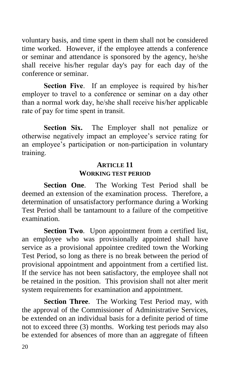voluntary basis, and time spent in them shall not be considered time worked. However, if the employee attends a conference or seminar and attendance is sponsored by the agency, he/she shall receive his/her regular day's pay for each day of the conference or seminar.

**Section Five.** If an employee is required by his/her employer to travel to a conference or seminar on a day other than a normal work day, he/she shall receive his/her applicable rate of pay for time spent in transit.

**Section Six.** The Employer shall not penalize or otherwise negatively impact an employee's service rating for an employee's participation or non-participation in voluntary training.

## **ARTICLE 11**

## **WORKING TEST PERIOD**

**Section One**. The Working Test Period shall be deemed an extension of the examination process. Therefore, a determination of unsatisfactory performance during a Working Test Period shall be tantamount to a failure of the competitive examination.

**Section Two.** Upon appointment from a certified list, an employee who was provisionally appointed shall have service as a provisional appointee credited town the Working Test Period, so long as there is no break between the period of provisional appointment and appointment from a certified list. If the service has not been satisfactory, the employee shall not be retained in the position. This provision shall not alter merit system requirements for examination and appointment.

**Section Three**. The Working Test Period may, with the approval of the Commissioner of Administrative Services, be extended on an individual basis for a definite period of time not to exceed three (3) months. Working test periods may also be extended for absences of more than an aggregate of fifteen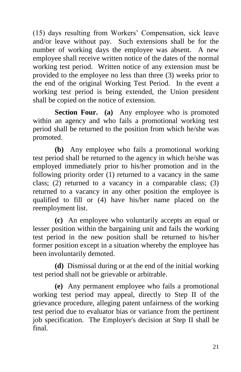(15) days resulting from Workers' Compensation, sick leave and/or leave without pay. Such extensions shall be for the number of working days the employee was absent. A new employee shall receive written notice of the dates of the normal working test period. Written notice of any extension must be provided to the employee no less than three (3) weeks prior to the end of the original Working Test Period. In the event a working test period is being extended, the Union president shall be copied on the notice of extension.

**Section Four.** (a) Any employee who is promoted within an agency and who fails a promotional working test period shall be returned to the position from which he/she was promoted.

**(b)** Any employee who fails a promotional working test period shall be returned to the agency in which he/she was employed immediately prior to his/her promotion and in the following priority order (1) returned to a vacancy in the same class; (2) returned to a vacancy in a comparable class; (3) returned to a vacancy in any other position the employee is qualified to fill or (4) have his/her name placed on the reemployment list.

**(c)** An employee who voluntarily accepts an equal or lesser position within the bargaining unit and fails the working test period in the new position shall be returned to his/her former position except in a situation whereby the employee has been involuntarily demoted.

**(d)** Dismissal during or at the end of the initial working test period shall not be grievable or arbitrable.

**(e)** Any permanent employee who fails a promotional working test period may appeal, directly to Step II of the grievance procedure, alleging patent unfairness of the working test period due to evaluator bias or variance from the pertinent job specification. The Employer's decision at Step II shall be final.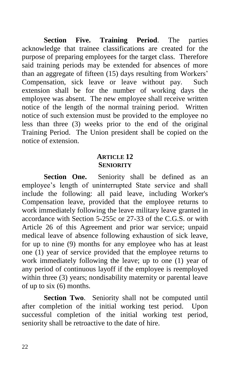**Section Five. Training Period**. The parties acknowledge that trainee classifications are created for the purpose of preparing employees for the target class. Therefore said training periods may be extended for absences of more than an aggregate of fifteen (15) days resulting from Workers' Compensation, sick leave or leave without pay. Such extension shall be for the number of working days the employee was absent. The new employee shall receive written notice of the length of the normal training period. Written notice of such extension must be provided to the employee no less than three (3) weeks prior to the end of the original Training Period. The Union president shall be copied on the notice of extension.

### **ARTICLE 12 SENIORITY**

**Section One.** Seniority shall be defined as an employee's length of uninterrupted State service and shall include the following: all paid leave, including Worker's Compensation leave, provided that the employee returns to work immediately following the leave military leave granted in accordance with Section 5-255c or 27-33 of the C.G.S. or with Article 26 of this Agreement and prior war service; unpaid medical leave of absence following exhaustion of sick leave, for up to nine (9) months for any employee who has at least one (1) year of service provided that the employee returns to work immediately following the leave; up to one (1) year of any period of continuous layoff if the employee is reemployed within three (3) years; nondisability maternity or parental leave of up to six (6) months.

**Section Two**. Seniority shall not be computed until after completion of the initial working test period. Upon successful completion of the initial working test period, seniority shall be retroactive to the date of hire.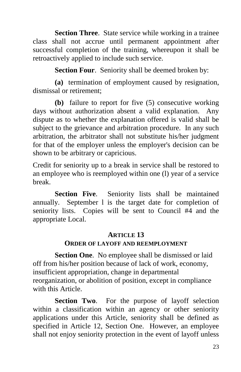**Section Three.** State service while working in a trainee class shall not accrue until permanent appointment after successful completion of the training, whereupon it shall be retroactively applied to include such service.

**Section Four**. Seniority shall be deemed broken by:

**(a)** termination of employment caused by resignation, dismissal or retirement;

**(b)** failure to report for five (5) consecutive working days without authorization absent a valid explanation. Any dispute as to whether the explanation offered is valid shall be subject to the grievance and arbitration procedure. In any such arbitration, the arbitrator shall not substitute his/her judgment for that of the employer unless the employer's decision can be shown to be arbitrary or capricious.

Credit for seniority up to a break in service shall be restored to an employee who is reemployed within one (l) year of a service break.

**Section Five**. Seniority lists shall be maintained annually. September l is the target date for completion of seniority lists. Copies will be sent to Council #4 and the appropriate Local.

## **ARTICLE 13**

## **ORDER OF LAYOFF AND REEMPLOYMENT**

**Section One**. No employee shall be dismissed or laid off from his/her position because of lack of work, economy, insufficient appropriation, change in departmental reorganization, or abolition of position, except in compliance with this Article.

**Section Two**. For the purpose of layoff selection within a classification within an agency or other seniority applications under this Article, seniority shall be defined as specified in Article 12, Section One. However, an employee shall not enjoy seniority protection in the event of layoff unless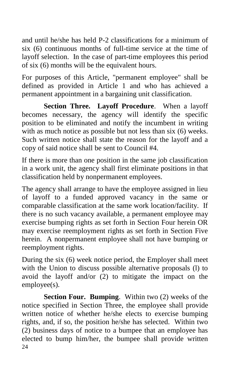and until he/she has held P-2 classifications for a minimum of six (6) continuous months of full-time service at the time of layoff selection. In the case of part-time employees this period of six (6) months will be the equivalent hours.

For purposes of this Article, "permanent employee" shall be defined as provided in Article 1 and who has achieved a permanent appointment in a bargaining unit classification.

**Section Three. Layoff Procedure**. When a layoff becomes necessary, the agency will identify the specific position to be eliminated and notify the incumbent in writing with as much notice as possible but not less than six (6) weeks. Such written notice shall state the reason for the layoff and a copy of said notice shall be sent to Council #4.

If there is more than one position in the same job classification in a work unit, the agency shall first eliminate positions in that classification held by nonpermanent employees.

The agency shall arrange to have the employee assigned in lieu of layoff to a funded approved vacancy in the same or comparable classification at the same work location/facility. If there is no such vacancy available, a permanent employee may exercise bumping rights as set forth in Section Four herein OR may exercise reemployment rights as set forth in Section Five herein. A nonpermanent employee shall not have bumping or reemployment rights.

During the six (6) week notice period, the Employer shall meet with the Union to discuss possible alternative proposals (l) to avoid the layoff and/or (2) to mitigate the impact on the employee(s).

24 **Section Four. Bumping**. Within two (2) weeks of the notice specified in Section Three, the employee shall provide written notice of whether he/she elects to exercise bumping rights, and, if so, the position he/she has selected. Within two (2) business days of notice to a bumpee that an employee has elected to bump him/her, the bumpee shall provide written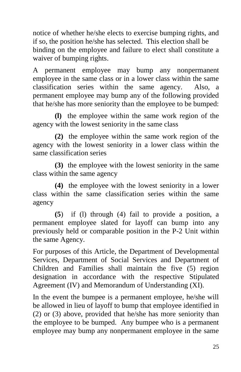notice of whether he/she elects to exercise bumping rights, and if so, the position he/she has selected. This election shall be binding on the employee and failure to elect shall constitute a waiver of bumping rights.

A permanent employee may bump any nonpermanent employee in the same class or in a lower class within the same classification series within the same agency. Also, a permanent employee may bump any of the following provided that he/she has more seniority than the employee to be bumped:

**(l)** the employee within the same work region of the agency with the lowest seniority in the same class

**(2)** the employee within the same work region of the agency with the lowest seniority in a lower class within the same classification series

**(3)** the employee with the lowest seniority in the same class within the same agency

**(4)** the employee with the lowest seniority in a lower class within the same classification series within the same agency

**(5**) if (l) through (4) fail to provide a position, a permanent employee slated for layoff can bump into any previously held or comparable position in the P-2 Unit within the same Agency.

For purposes of this Article, the Department of Developmental Services, Department of Social Services and Department of Children and Families shall maintain the five (5) region designation in accordance with the respective Stipulated Agreement (IV) and Memorandum of Understanding (XI).

In the event the bumpee is a permanent employee, he/she will be allowed in lieu of layoff to bump that employee identified in (2) or (3) above, provided that he/she has more seniority than the employee to be bumped. Any bumpee who is a permanent employee may bump any nonpermanent employee in the same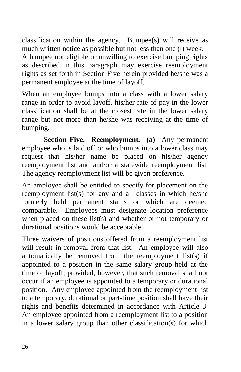classification within the agency. Bumpee(s) will receive as much written notice as possible but not less than one (l) week. A bumpee not eligible or unwilling to exercise bumping rights as described in this paragraph may exercise reemployment rights as set forth in Section Five herein provided he/she was a permanent employee at the time of layoff.

When an employee bumps into a class with a lower salary range in order to avoid layoff, his/her rate of pay in the lower classification shall be at the closest rate in the lower salary range but not more than he/she was receiving at the time of bumping.

**Section Five. Reemployment. (a)** Any permanent employee who is laid off or who bumps into a lower class may request that his/her name be placed on his/her agency reemployment list and and/or a statewide reemployment list. The agency reemployment list will be given preference.

An employee shall be entitled to specify for placement on the reemployment list(s) for any and all classes in which he/she formerly held permanent status or which are deemed comparable. Employees must designate location preference when placed on these list(s) and whether or not temporary or durational positions would be acceptable.

Three waivers of positions offered from a reemployment list will result in removal from that list. An employee will also automatically be removed from the reemployment list(s) if appointed to a position in the same salary group held at the time of layoff, provided, however, that such removal shall not occur if an employee is appointed to a temporary or durational position. Any employee appointed from the reemployment list to a temporary, durational or part-time position shall have their rights and benefits determined in accordance with Article 3. An employee appointed from a reemployment list to a position in a lower salary group than other classification(s) for which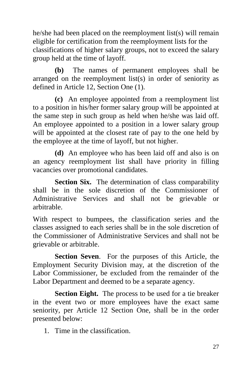he/she had been placed on the reemployment list(s) will remain eligible for certification from the reemployment lists for the classifications of higher salary groups, not to exceed the salary group held at the time of layoff.

**(b)** The names of permanent employees shall be arranged on the reemployment list(s) in order of seniority as defined in Article 12, Section One (1).

**(c)** An employee appointed from a reemployment list to a position in his/her former salary group will be appointed at the same step in such group as held when he/she was laid off. An employee appointed to a position in a lower salary group will be appointed at the closest rate of pay to the one held by the employee at the time of layoff, but not higher.

**(d)** An employee who has been laid off and also is on an agency reemployment list shall have priority in filling vacancies over promotional candidates.

**Section Six.** The determination of class comparability shall be in the sole discretion of the Commissioner of Administrative Services and shall not be grievable or arbitrable.

With respect to bumpees, the classification series and the classes assigned to each series shall be in the sole discretion of the Commissioner of Administrative Services and shall not be grievable or arbitrable.

**Section Seven**. For the purposes of this Article, the Employment Security Division may, at the discretion of the Labor Commissioner, be excluded from the remainder of the Labor Department and deemed to be a separate agency.

**Section Eight.** The process to be used for a tie breaker in the event two or more employees have the exact same seniority, per Article 12 Section One, shall be in the order presented below:

1. Time in the classification.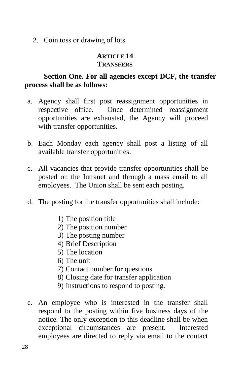2. Coin toss or drawing of lots.

## **ARTICLE 14 TRANSFERS**

## **Section One. For all agencies except DCF, the transfer process shall be as follows:**

- a. Agency shall first post reassignment opportunities in respective office. Once determined reassignment opportunities are exhausted, the Agency will proceed with transfer opportunities.
- b. Each Monday each agency shall post a listing of all available transfer opportunities.
- c. All vacancies that provide transfer opportunities shall be posted on the Intranet and through a mass email to all employees. The Union shall be sent each posting.
- d. The posting for the transfer opportunities shall include:
	- 1) The position title
	- 2) The position number
	- 3) The posting number
	- 4) Brief Description
	- 5) The location
	- 6) The unit
	- 7) Contact number for questions
	- 8) Closing date for transfer application
	- 9) Instructions to respond to posting.
- e. An employee who is interested in the transfer shall respond to the posting within five business days of the notice. The only exception to this deadline shall be when exceptional circumstances are present. Interested employees are directed to reply via email to the contact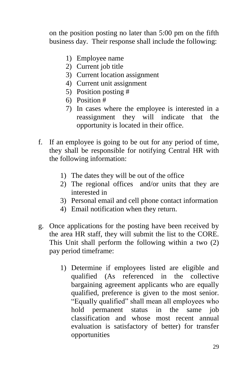on the position posting no later than 5:00 pm on the fifth business day. Their response shall include the following:

- 1) Employee name
- 2) Current job title
- 3) Current location assignment
- 4) Current unit assignment
- 5) Position posting #
- 6) Position #
- 7) In cases where the employee is interested in a reassignment they will indicate that the opportunity is located in their office.
- f. If an employee is going to be out for any period of time, they shall be responsible for notifying Central HR with the following information:
	- 1) The dates they will be out of the office
	- 2) The regional offices and/or units that they are interested in
	- 3) Personal email and cell phone contact information
	- 4) Email notification when they return.
- g. Once applications for the posting have been received by the area HR staff, they will submit the list to the CORE. This Unit shall perform the following within a two (2) pay period timeframe:
	- 1) Determine if employees listed are eligible and qualified (As referenced in the collective bargaining agreement applicants who are equally qualified, preference is given to the most senior. "Equally qualified" shall mean all employees who hold permanent status in the same job classification and whose most recent annual evaluation is satisfactory of better) for transfer opportunities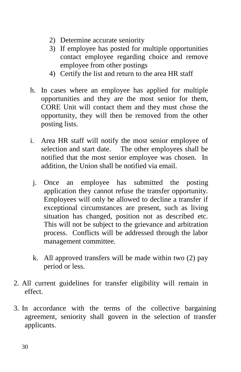- 2) Determine accurate seniority
- 3) If employee has posted for multiple opportunities contact employee regarding choice and remove employee from other postings
- 4) Certify the list and return to the area HR staff
- h. In cases where an employee has applied for multiple opportunities and they are the most senior for them, CORE Unit will contact them and they must chose the opportunity, they will then be removed from the other posting lists.
- i. Area HR staff will notify the most senior employee of selection and start date. The other employees shall be notified that the most senior employee was chosen. In addition, the Union shall be notified via email.
- j. Once an employee has submitted the posting application they cannot refuse the transfer opportunity. Employees will only be allowed to decline a transfer if exceptional circumstances are present, such as living situation has changed, position not as described etc. This will not be subject to the grievance and arbitration process. Conflicts will be addressed through the labor management committee.
- k. All approved transfers will be made within two (2) pay period or less.
- 2. All current guidelines for transfer eligibility will remain in effect.
- 3. In accordance with the terms of the collective bargaining agreement, seniority shall govern in the selection of transfer applicants.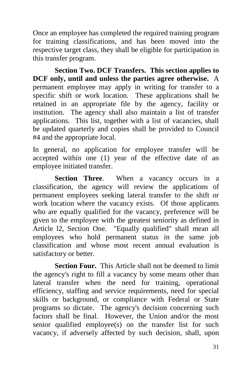Once an employee has completed the required training program for training classifications, and has been moved into the respective target class, they shall be eligible for participation in this transfer program.

**Section Two. DCF Transfers. This section applies to DCF only, until and unless the parties agree otherwise.** A permanent employee may apply in writing for transfer to a specific shift or work location. These applications shall be retained in an appropriate file by the agency, facility or institution. The agency shall also maintain a list of transfer applications. This list, together with a list of vacancies, shall be updated quarterly and copies shall be provided to Council #4 and the appropriate local.

In general, no application for employee transfer will be accepted within one (1) year of the effective date of an employee initiated transfer.

Section Three. When a vacancy occurs in a classification, the agency will review the applications of permanent employees seeking lateral transfer to the shift or work location where the vacancy exists. Of those applicants who are equally qualified for the vacancy, preference will be given to the employee with the greatest seniority as defined in Article l2, Section One. "Equally qualified" shall mean all employees who hold permanent status in the same job classification and whose most recent annual evaluation is satisfactory or better.

**Section Four.** This Article shall not be deemed to limit the agency's right to fill a vacancy by some means other than lateral transfer when the need for training, operational efficiency, staffing and service requirements, need for special skills or background, or compliance with Federal or State programs so dictate. The agency's decision concerning such factors shall be final. However, the Union and/or the most senior qualified employee(s) on the transfer list for such vacancy, if adversely affected by such decision, shall, upon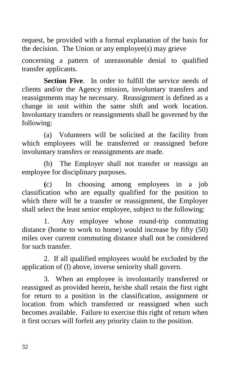request, be provided with a formal explanation of the basis for the decision. The Union or any employee(s) may grieve

concerning a pattern of unreasonable denial to qualified transfer applicants.

**Section Five.** In order to fulfill the service needs of clients and/or the Agency mission, involuntary transfers and reassignments may be necessary. Reassignment is defined as a change in unit within the same shift and work location. Involuntary transfers or reassignments shall be governed by the following:

(a) Volunteers will be solicited at the facility from which employees will be transferred or reassigned before involuntary transfers or reassignments are made.

(b) The Employer shall not transfer or reassign an employee for disciplinary purposes.

**(**c) In choosing among employees in a job classification who are equally qualified for the position to which there will be a transfer or reassignment, the Employer shall select the least senior employee, subject to the following:

1. Any employee whose round-trip commuting distance (home to work to home) would increase by fifty (50) miles over current commuting distance shall not be considered for such transfer.

2. If all qualified employees would be excluded by the application of (l) above, inverse seniority shall govern.

3. When an employee is involuntarily transferred or reassigned as provided herein, he/she shall retain the first right for return to a position in the classification, assignment or location from which transferred or reassigned when such becomes available. Failure to exercise this right of return when it first occurs will forfeit any priority claim to the position.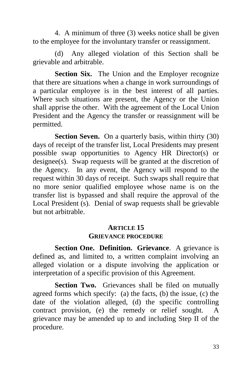4. A minimum of three (3) weeks notice shall be given to the employee for the involuntary transfer or reassignment.

(d) Any alleged violation of this Section shall be grievable and arbitrable.

**Section Six.** The Union and the Employer recognize that there are situations when a change in work surroundings of a particular employee is in the best interest of all parties. Where such situations are present, the Agency or the Union shall apprise the other. With the agreement of the Local Union President and the Agency the transfer or reassignment will be permitted.

**Section Seven.** On a quarterly basis, within thirty (30) days of receipt of the transfer list, Local Presidents may present possible swap opportunities to Agency HR Director(s) or designee(s). Swap requests will be granted at the discretion of the Agency. In any event, the Agency will respond to the request within 30 days of receipt. Such swaps shall require that no more senior qualified employee whose name is on the transfer list is bypassed and shall require the approval of the Local President (s). Denial of swap requests shall be grievable but not arbitrable.

# **ARTICLE 15**

#### **GRIEVANCE PROCEDURE**

**Section One. Definition. Grievance**. A grievance is defined as, and limited to, a written complaint involving an alleged violation or a dispute involving the application or interpretation of a specific provision of this Agreement.

Section Two. Grievances shall be filed on mutually agreed forms which specify: (a) the facts, (b) the issue, (c) the date of the violation alleged, (d) the specific controlling contract provision, (e) the remedy or relief sought. A grievance may be amended up to and including Step II of the procedure.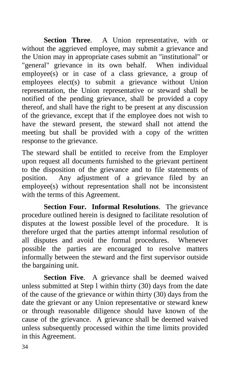Section Three. A Union representative, with or without the aggrieved employee, may submit a grievance and the Union may in appropriate cases submit an "institutional" or "general" grievance in its own behalf. When individual employee(s) or in case of a class grievance, a group of employees elect(s) to submit a grievance without Union representation, the Union representative or steward shall be notified of the pending grievance, shall be provided a copy thereof, and shall have the right to be present at any discussion of the grievance, except that if the employee does not wish to have the steward present, the steward shall not attend the meeting but shall be provided with a copy of the written response to the grievance.

The steward shall be entitled to receive from the Employer upon request all documents furnished to the grievant pertinent to the disposition of the grievance and to file statements of position. Any adjustment of a grievance filed by an employee(s) without representation shall not be inconsistent with the terms of this Agreement.

**Section Four. Informal Resolutions**. The grievance procedure outlined herein is designed to facilitate resolution of disputes at the lowest possible level of the procedure. It is therefore urged that the parties attempt informal resolution of all disputes and avoid the formal procedures. Whenever possible the parties are encouraged to resolve matters informally between the steward and the first supervisor outside the bargaining unit.

**Section Five**. A grievance shall be deemed waived unless submitted at Step l within thirty (30) days from the date of the cause of the grievance or within thirty (30) days from the date the grievant or any Union representative or steward knew or through reasonable diligence should have known of the cause of the grievance. A grievance shall be deemed waived unless subsequently processed within the time limits provided in this Agreement.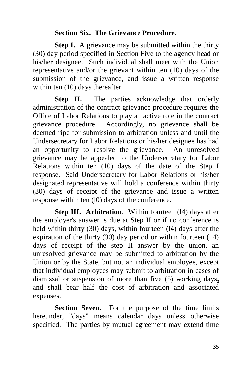#### **Section Six. The Grievance Procedure**.

**Step I.** A grievance may be submitted within the thirty (30) day period specified in Section Five to the agency head or his/her designee. Such individual shall meet with the Union representative and/or the grievant within ten (10) days of the submission of the grievance, and issue a written response within ten  $(10)$  days thereafter.

**Step II.** The parties acknowledge that orderly administration of the contract grievance procedure requires the Office of Labor Relations to play an active role in the contract grievance procedure. Accordingly, no grievance shall be deemed ripe for submission to arbitration unless and until the Undersecretary for Labor Relations or his/her designee has had an opportunity to resolve the grievance. An unresolved grievance may be appealed to the Undersecretary for Labor Relations within ten (10) days of the date of the Step I response. Said Undersecretary for Labor Relations or his/her designated representative will hold a conference within thirty (30) days of receipt of the grievance and issue a written response within ten (l0) days of the conference.

**Step III. Arbitration.** Within fourteen (14) days after the employer's answer is due at Step II or if no conference is held within thirty (30) days, within fourteen (l4) days after the expiration of the thirty (30) day period or within fourteen (14) days of receipt of the step II answer by the union, an unresolved grievance may be submitted to arbitration by the Union or by the State, but not an individual employee, except that individual employees may submit to arbitration in cases of dismissal or suspension of more than five (5) working days**,**  and shall bear half the cost of arbitration and associated expenses.

**Section Seven.** For the purpose of the time limits hereunder, "days" means calendar days unless otherwise specified. The parties by mutual agreement may extend time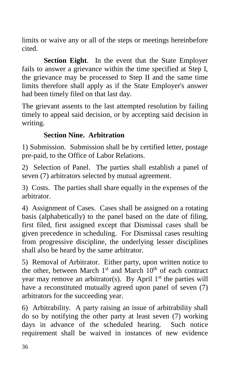limits or waive any or all of the steps or meetings hereinbefore cited.

**Section Eight**. In the event that the State Employer fails to answer a grievance within the time specified at Step I, the grievance may be processed to Step II and the same time limits therefore shall apply as if the State Employer's answer had been timely filed on that last day.

The grievant assents to the last attempted resolution by failing timely to appeal said decision, or by accepting said decision in writing.

# **Section Nine. Arbitration**

1) Submission. Submission shall be by certified letter, postage pre-paid, to the Office of Labor Relations.

2) Selection of Panel. The parties shall establish a panel of seven (7) arbitrators selected by mutual agreement.

3) Costs. The parties shall share equally in the expenses of the arbitrator.

4) Assignment of Cases. Cases shall be assigned on a rotating basis (alphabetically) to the panel based on the date of filing, first filed, first assigned except that Dismissal cases shall be given precedence in scheduling. For Dismissal cases resulting from progressive discipline, the underlying lesser disciplines shall also be heard by the same arbitrator.

5) Removal of Arbitrator. Either party, upon written notice to the other, between March  $1<sup>st</sup>$  and March  $10<sup>th</sup>$  of each contract year may remove an arbitrator(s). By April  $1<sup>st</sup>$  the parties will have a reconstituted mutually agreed upon panel of seven  $(7)$ arbitrators for the succeeding year.

6) Arbitrability. A party raising an issue of arbitrability shall do so by notifying the other party at least seven (7) working days in advance of the scheduled hearing. Such notice requirement shall be waived in instances of new evidence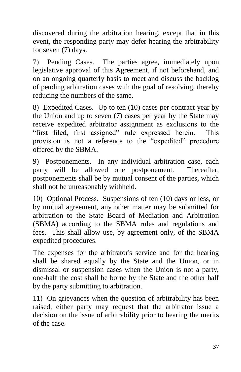discovered during the arbitration hearing, except that in this event, the responding party may defer hearing the arbitrability for seven (7) days.

7) Pending Cases. The parties agree, immediately upon legislative approval of this Agreement, if not beforehand, and on an ongoing quarterly basis to meet and discuss the backlog of pending arbitration cases with the goal of resolving, thereby reducing the numbers of the same.

8) Expedited Cases. Up to ten (10) cases per contract year by the Union and up to seven (7) cases per year by the State may receive expedited arbitrator assignment as exclusions to the "first filed, first assigned" rule expressed herein. This provision is not a reference to the "expedited" procedure offered by the SBMA.

9) Postponements. In any individual arbitration case, each party will be allowed one postponement. Thereafter, postponements shall be by mutual consent of the parties, which shall not be unreasonably withheld.

10) Optional Process. Suspensions of ten (10) days or less, or by mutual agreement, any other matter may be submitted for arbitration to the State Board of Mediation and Arbitration (SBMA) according to the SBMA rules and regulations and fees. This shall allow use, by agreement only, of the SBMA expedited procedures.

The expenses for the arbitrator's service and for the hearing shall be shared equally by the State and the Union, or in dismissal or suspension cases when the Union is not a party, one-half the cost shall be borne by the State and the other half by the party submitting to arbitration.

11) On grievances when the question of arbitrability has been raised, either party may request that the arbitrator issue a decision on the issue of arbitrability prior to hearing the merits of the case.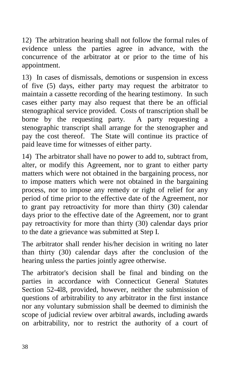12) The arbitration hearing shall not follow the formal rules of evidence unless the parties agree in advance, with the concurrence of the arbitrator at or prior to the time of his appointment.

13) In cases of dismissals, demotions or suspension in excess of five (5) days, either party may request the arbitrator to maintain a cassette recording of the hearing testimony. In such cases either party may also request that there be an official stenographical service provided. Costs of transcription shall be borne by the requesting party. A party requesting a stenographic transcript shall arrange for the stenographer and pay the cost thereof. The State will continue its practice of paid leave time for witnesses of either party.

14) The arbitrator shall have no power to add to, subtract from, alter, or modify this Agreement, nor to grant to either party matters which were not obtained in the bargaining process, nor to impose matters which were not obtained in the bargaining process, nor to impose any remedy or right of relief for any period of time prior to the effective date of the Agreement, nor to grant pay retroactivity for more than thirty (30) calendar days prior to the effective date of the Agreement, nor to grant pay retroactivity for more than thirty (30) calendar days prior to the date a grievance was submitted at Step I.

The arbitrator shall render his/her decision in writing no later than thirty (30) calendar days after the conclusion of the hearing unless the parties jointly agree otherwise.

The arbitrator's decision shall be final and binding on the parties in accordance with Connecticut General Statutes Section 52-4l8, provided, however, neither the submission of questions of arbitrability to any arbitrator in the first instance nor any voluntary submission shall be deemed to diminish the scope of judicial review over arbitral awards, including awards on arbitrability, nor to restrict the authority of a court of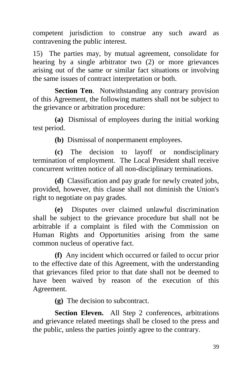competent jurisdiction to construe any such award as contravening the public interest.

15) The parties may, by mutual agreement, consolidate for hearing by a single arbitrator two (2) or more grievances arising out of the same or similar fact situations or involving the same issues of contract interpretation or both.

**Section Ten**. Notwithstanding any contrary provision of this Agreement, the following matters shall not be subject to the grievance or arbitration procedure:

**(a)** Dismissal of employees during the initial working test period.

**(b)** Dismissal of nonpermanent employees.

**(c)** The decision to layoff or nondisciplinary termination of employment. The Local President shall receive concurrent written notice of all non-disciplinary terminations.

**(d)** Classification and pay grade for newly created jobs, provided, however, this clause shall not diminish the Union's right to negotiate on pay grades.

**(e)** Disputes over claimed unlawful discrimination shall be subject to the grievance procedure but shall not be arbitrable if a complaint is filed with the Commission on Human Rights and Opportunities arising from the same common nucleus of operative fact.

**(f)** Any incident which occurred or failed to occur prior to the effective date of this Agreement, with the understanding that grievances filed prior to that date shall not be deemed to have been waived by reason of the execution of this Agreement.

**(g)** The decision to subcontract.

**Section Eleven.** All Step 2 conferences, arbitrations and grievance related meetings shall be closed to the press and the public, unless the parties jointly agree to the contrary.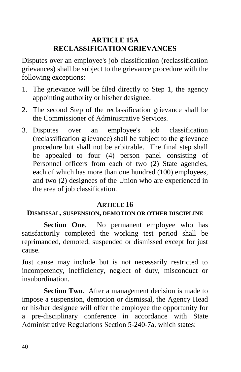# **ARTICLE 15A RECLASSIFICATION GRIEVANCES**

Disputes over an employee's job classification (reclassification grievances) shall be subject to the grievance procedure with the following exceptions:

- 1. The grievance will be filed directly to Step 1, the agency appointing authority or his/her designee.
- 2. The second Step of the reclassification grievance shall be the Commissioner of Administrative Services.
- 3. Disputes over an employee's job classification (reclassification grievance) shall be subject to the grievance procedure but shall not be arbitrable. The final step shall be appealed to four (4) person panel consisting of Personnel officers from each of two (2) State agencies, each of which has more than one hundred (100) employees, and two (2) designees of the Union who are experienced in the area of job classification.

#### **ARTICLE 16**

#### **DISMISSAL, SUSPENSION, DEMOTION OR OTHER DISCIPLINE**

**Section One.** No permanent employee who has satisfactorily completed the working test period shall be reprimanded, demoted, suspended or dismissed except for just cause.

Just cause may include but is not necessarily restricted to incompetency, inefficiency, neglect of duty, misconduct or insubordination.

**Section Two.** After a management decision is made to impose a suspension, demotion or dismissal, the Agency Head or his/her designee will offer the employee the opportunity for a pre-disciplinary conference in accordance with State Administrative Regulations Section 5-240-7a, which states: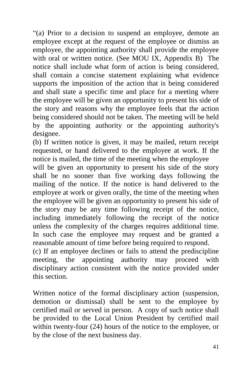"(a) Prior to a decision to suspend an employee, demote an employee except at the request of the employee or dismiss an employee, the appointing authority shall provide the employee with oral or written notice. (See MOU IX, Appendix B) The notice shall include what form of action is being considered, shall contain a concise statement explaining what evidence supports the imposition of the action that is being considered and shall state a specific time and place for a meeting where the employee will be given an opportunity to present his side of the story and reasons why the employee feels that the action being considered should not be taken. The meeting will be held by the appointing authority or the appointing authority's designee.

(b) If written notice is given, it may be mailed, return receipt requested, or hand delivered to the employee at work. If the notice is mailed, the time of the meeting when the employee

will be given an opportunity to present his side of the story shall be no sooner than five working days following the mailing of the notice. If the notice is hand delivered to the employee at work or given orally, the time of the meeting when the employee will be given an opportunity to present his side of the story may be any time following receipt of the notice, including immediately following the receipt of the notice unless the complexity of the charges requires additional time. In such case the employee may request and be granted a reasonable amount of time before being required to respond.

(c) If an employee declines or fails to attend the prediscipline meeting, the appointing authority may proceed with disciplinary action consistent with the notice provided under this section.

Written notice of the formal disciplinary action (suspension, demotion or dismissal) shall be sent to the employee by certified mail or served in person. A copy of such notice shall be provided to the Local Union President by certified mail within twenty-four (24) hours of the notice to the employee, or by the close of the next business day.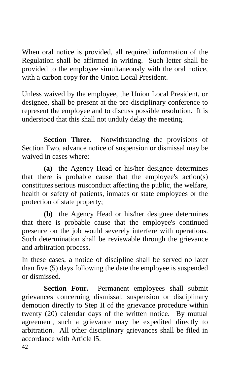When oral notice is provided, all required information of the Regulation shall be affirmed in writing. Such letter shall be provided to the employee simultaneously with the oral notice, with a carbon copy for the Union Local President.

Unless waived by the employee, the Union Local President, or designee, shall be present at the pre-disciplinary conference to represent the employee and to discuss possible resolution. It is understood that this shall not unduly delay the meeting.

**Section Three.** Notwithstanding the provisions of Section Two, advance notice of suspension or dismissal may be waived in cases where:

**(a)** the Agency Head or his/her designee determines that there is probable cause that the employee's action(s) constitutes serious misconduct affecting the public, the welfare, health or safety of patients, inmates or state employees or the protection of state property;

**(b)** the Agency Head or his/her designee determines that there is probable cause that the employee's continued presence on the job would severely interfere with operations. Such determination shall be reviewable through the grievance and arbitration process.

In these cases, a notice of discipline shall be served no later than five (5) days following the date the employee is suspended or dismissed.

Section Four. Permanent employees shall submit grievances concerning dismissal, suspension or disciplinary demotion directly to Step II of the grievance procedure within twenty (20) calendar days of the written notice. By mutual agreement, such a grievance may be expedited directly to arbitration. All other disciplinary grievances shall be filed in accordance with Article l5.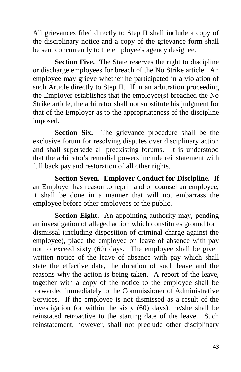All grievances filed directly to Step II shall include a copy of the disciplinary notice and a copy of the grievance form shall be sent concurrently to the employee's agency designee.

**Section Five.** The State reserves the right to discipline or discharge employees for breach of the No Strike article. An employee may grieve whether he participated in a violation of such Article directly to Step II. If in an arbitration proceeding the Employer establishes that the employee(s) breached the No Strike article, the arbitrator shall not substitute his judgment for that of the Employer as to the appropriateness of the discipline imposed.

**Section Six.** The grievance procedure shall be the exclusive forum for resolving disputes over disciplinary action and shall supersede all preexisting forums. It is understood that the arbitrator's remedial powers include reinstatement with full back pay and restoration of all other rights.

**Section Seven. Employer Conduct for Discipline.** If an Employer has reason to reprimand or counsel an employee, it shall be done in a manner that will not embarrass the employee before other employees or the public.

**Section Eight.** An appointing authority may, pending an investigation of alleged action which constitutes ground for dismissal (including disposition of criminal charge against the employee), place the employee on leave of absence with pay not to exceed sixty (60) days. The employee shall be given written notice of the leave of absence with pay which shall state the effective date, the duration of such leave and the reasons why the action is being taken. A report of the leave, together with a copy of the notice to the employee shall be forwarded immediately to the Commissioner of Administrative Services. If the employee is not dismissed as a result of the investigation (or within the sixty (60) days), he/she shall be reinstated retroactive to the starting date of the leave. Such reinstatement, however, shall not preclude other disciplinary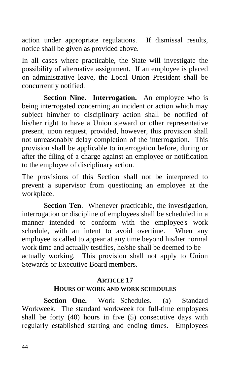action under appropriate regulations. If dismissal results, notice shall be given as provided above.

In all cases where practicable, the State will investigate the possibility of alternative assignment. If an employee is placed on administrative leave, the Local Union President shall be concurrently notified.

**Section Nine. Interrogation.** An employee who is being interrogated concerning an incident or action which may subject him/her to disciplinary action shall be notified of his/her right to have a Union steward or other representative present, upon request, provided, however, this provision shall not unreasonably delay completion of the interrogation. This provision shall be applicable to interrogation before, during or after the filing of a charge against an employee or notification to the employee of disciplinary action.

The provisions of this Section shall not be interpreted to prevent a supervisor from questioning an employee at the workplace.

**Section Ten**. Whenever practicable, the investigation, interrogation or discipline of employees shall be scheduled in a manner intended to conform with the employee's work schedule, with an intent to avoid overtime. When any employee is called to appear at any time beyond his/her normal work time and actually testifies, he/she shall be deemed to be actually working. This provision shall not apply to Union Stewards or Executive Board members.

#### **ARTICLE 17 HOURS OF WORK AND WORK SCHEDULES**

**Section One.** Work Schedules. (a) Standard Workweek. The standard workweek for full-time employees shall be forty (40) hours in five (5) consecutive days with regularly established starting and ending times. Employees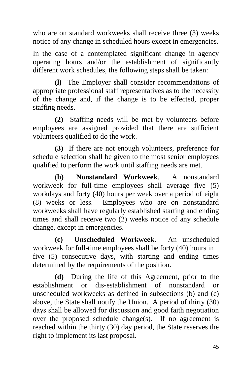who are on standard workweeks shall receive three (3) weeks notice of any change in scheduled hours except in emergencies.

In the case of a contemplated significant change in agency operating hours and/or the establishment of significantly different work schedules, the following steps shall be taken:

**(l)** The Employer shall consider recommendations of appropriate professional staff representatives as to the necessity of the change and, if the change is to be effected, proper staffing needs.

**(2)** Staffing needs will be met by volunteers before employees are assigned provided that there are sufficient volunteers qualified to do the work.

**(3)** If there are not enough volunteers, preference for schedule selection shall be given to the most senior employees qualified to perform the work until staffing needs are met.

**(b) Nonstandard Workweek**. A nonstandard workweek for full-time employees shall average five (5) workdays and forty (40) hours per week over a period of eight (8) weeks or less. Employees who are on nonstandard workweeks shall have regularly established starting and ending times and shall receive two (2) weeks notice of any schedule change, except in emergencies.

**(c) Unscheduled Workweek**. An unscheduled workweek for full-time employees shall be forty (40) hours in five (5) consecutive days, with starting and ending times determined by the requirements of the position.

**(d)** During the life of this Agreement, prior to the establishment or dis-establishment of nonstandard or unscheduled workweeks as defined in subsections (b) and (c) above, the State shall notify the Union. A period of thirty (30) days shall be allowed for discussion and good faith negotiation over the proposed schedule change(s). If no agreement is reached within the thirty (30) day period, the State reserves the right to implement its last proposal.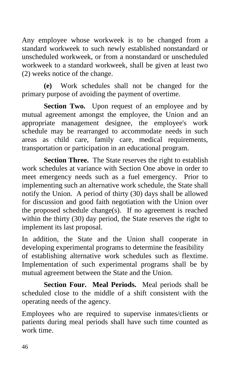Any employee whose workweek is to be changed from a standard workweek to such newly established nonstandard or unscheduled workweek, or from a nonstandard or unscheduled workweek to a standard workweek, shall be given at least two (2) weeks notice of the change.

**(e)** Work schedules shall not be changed for the primary purpose of avoiding the payment of overtime.

**Section Two.** Upon request of an employee and by mutual agreement amongst the employee, the Union and an appropriate management designee, the employee's work schedule may be rearranged to accommodate needs in such areas as child care, family care, medical requirements, transportation or participation in an educational program.

**Section Three.** The State reserves the right to establish work schedules at variance with Section One above in order to meet emergency needs such as a fuel emergency. Prior to implementing such an alternative work schedule, the State shall notify the Union. A period of thirty (30) days shall be allowed for discussion and good faith negotiation with the Union over the proposed schedule change(s). If no agreement is reached within the thirty (30) day period, the State reserves the right to implement its last proposal.

In addition, the State and the Union shall cooperate in developing experimental programs to determine the feasibility of establishing alternative work schedules such as flextime. Implementation of such experimental programs shall be by mutual agreement between the State and the Union.

**Section Four. Meal Periods.** Meal periods shall be scheduled close to the middle of a shift consistent with the operating needs of the agency.

Employees who are required to supervise inmates/clients or patients during meal periods shall have such time counted as work time.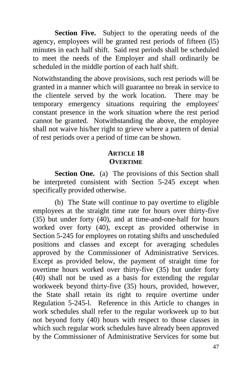**Section Five.** Subject to the operating needs of the agency, employees will be granted rest periods of fifteen (l5) minutes in each half shift. Said rest periods shall be scheduled to meet the needs of the Employer and shall ordinarily be scheduled in the middle portion of each half shift.

Notwithstanding the above provisions, such rest periods will be granted in a manner which will guarantee no break in service to the clientele served by the work location. There may be temporary emergency situations requiring the employees' constant presence in the work situation where the rest period cannot be granted. Notwithstanding the above, the employee shall not waive his/her right to grieve where a pattern of denial of rest periods over a period of time can be shown.

# **ARTICLE 18 OVERTIME**

**Section One.** (a) The provisions of this Section shall be interpreted consistent with Section 5-245 except when specifically provided otherwise.

(b) The State will continue to pay overtime to eligible employees at the straight time rate for hours over thirty-five (35) but under forty (40), and at time-and-one-half for hours worked over forty (40), except as provided otherwise in Section 5-245 for employees on rotating shifts and unscheduled positions and classes and except for averaging schedules approved by the Commissioner of Administrative Services. Except as provided below, the payment of straight time for overtime hours worked over thirty-five (35) but under forty (40) shall not be used as a basis for extending the regular workweek beyond thirty-five (35) hours, provided, however, the State shall retain its right to require overtime under Regulation 5-245-l. Reference in this Article to changes in work schedules shall refer to the regular workweek up to but not beyond forty (40) hours with respect to those classes in which such regular work schedules have already been approved by the Commissioner of Administrative Services for some but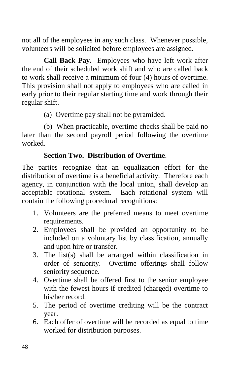not all of the employees in any such class. Whenever possible, volunteers will be solicited before employees are assigned.

**Call Back Pay.** Employees who have left work after the end of their scheduled work shift and who are called back to work shall receive a minimum of four (4) hours of overtime. This provision shall not apply to employees who are called in early prior to their regular starting time and work through their regular shift.

(a) Overtime pay shall not be pyramided.

(b) When practicable, overtime checks shall be paid no later than the second payroll period following the overtime worked.

# **Section Two. Distribution of Overtime**.

The parties recognize that an equalization effort for the distribution of overtime is a beneficial activity. Therefore each agency, in conjunction with the local union, shall develop an acceptable rotational system. Each rotational system will contain the following procedural recognitions:

- 1. Volunteers are the preferred means to meet overtime requirements.
- 2. Employees shall be provided an opportunity to be included on a voluntary list by classification, annually and upon hire or transfer.
- 3. The list(s) shall be arranged within classification in order of seniority. Overtime offerings shall follow seniority sequence.
- 4. Overtime shall be offered first to the senior employee with the fewest hours if credited (charged) overtime to his/her record.
- 5. The period of overtime crediting will be the contract year.
- 6. Each offer of overtime will be recorded as equal to time worked for distribution purposes.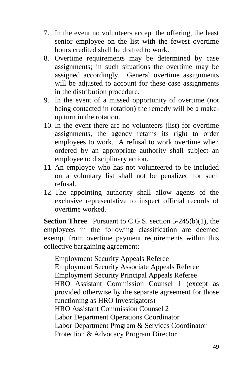- 7. In the event no volunteers accept the offering, the least senior employee on the list with the fewest overtime hours credited shall be drafted to work.
- 8. Overtime requirements may be determined by case assignments; in such situations the overtime may be assigned accordingly. General overtime assignments will be adjusted to account for these case assignments in the distribution procedure.
- 9. In the event of a missed opportunity of overtime (not being contacted in rotation) the remedy will be a makeup turn in the rotation.
- 10. In the event there are no volunteers (list) for overtime assignments, the agency retains its right to order employees to work. A refusal to work overtime when ordered by an appropriate authority shall subject an employee to disciplinary action.
- 11. An employee who has not volunteered to be included on a voluntary list shall not be penalized for such refusal.
- 12. The appointing authority shall allow agents of the exclusive representative to inspect official records of overtime worked.

**Section Three**. Pursuant to C.G.S. section 5-245(b)(1), the employees in the following classification are deemed exempt from overtime payment requirements within this collective bargaining agreement:

Employment Security Appeals Referee Employment Security Associate Appeals Referee Employment Security Principal Appeals Referee HRO Assistant Commission Counsel 1 (except as provided otherwise by the separate agreement for those functioning as HRO Investigators) HRO Assistant Commission Counsel 2 Labor Department Operations Coordinator Labor Department Program & Services Coordinator Protection & Advocacy Program Director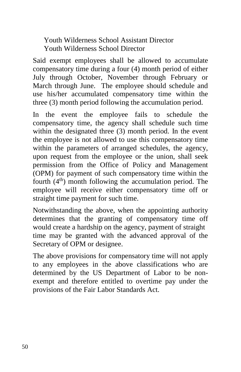Youth Wilderness School Assistant Director Youth Wilderness School Director

Said exempt employees shall be allowed to accumulate compensatory time during a four (4) month period of either July through October, November through February or March through June. The employee should schedule and use his/her accumulated compensatory time within the three (3) month period following the accumulation period.

In the event the employee fails to schedule the compensatory time, the agency shall schedule such time within the designated three (3) month period. In the event the employee is not allowed to use this compensatory time within the parameters of arranged schedules, the agency, upon request from the employee or the union, shall seek permission from the Office of Policy and Management (OPM) for payment of such compensatory time within the fourth  $(4<sup>th</sup>)$  month following the accumulation period. The employee will receive either compensatory time off or straight time payment for such time.

Notwithstanding the above, when the appointing authority determines that the granting of compensatory time off would create a hardship on the agency, payment of straight time may be granted with the advanced approval of the Secretary of OPM or designee.

The above provisions for compensatory time will not apply to any employees in the above classifications who are determined by the US Department of Labor to be nonexempt and therefore entitled to overtime pay under the provisions of the Fair Labor Standards Act.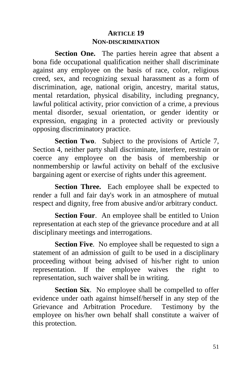## **ARTICLE 19 NON-DISCRIMINATION**

Section One. The parties herein agree that absent a bona fide occupational qualification neither shall discriminate against any employee on the basis of race, color, religious creed, sex, and recognizing sexual harassment as a form of discrimination, age, national origin, ancestry, marital status, mental retardation, physical disability, including pregnancy, lawful political activity, prior conviction of a crime, a previous mental disorder, sexual orientation, or gender identity or expression, engaging in a protected activity or previously opposing discriminatory practice.

**Section Two**. Subject to the provisions of Article 7, Section 4, neither party shall discriminate, interfere, restrain or coerce any employee on the basis of membership or nonmembership or lawful activity on behalf of the exclusive bargaining agent or exercise of rights under this agreement.

**Section Three.** Each employee shall be expected to render a full and fair day's work in an atmosphere of mutual respect and dignity, free from abusive and/or arbitrary conduct.

**Section Four**. An employee shall be entitled to Union representation at each step of the grievance procedure and at all disciplinary meetings and interrogations.

**Section Five.** No employee shall be requested to sign a statement of an admission of guilt to be used in a disciplinary proceeding without being advised of his/her right to union representation. If the employee waives the right to representation, such waiver shall be in writing.

**Section Six.** No employee shall be compelled to offer evidence under oath against himself/herself in any step of the Grievance and Arbitration Procedure. Testimony by the employee on his/her own behalf shall constitute a waiver of this protection.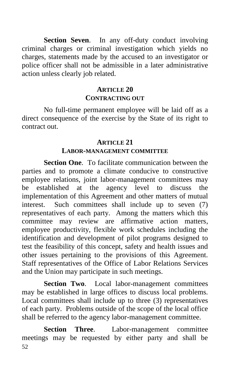**Section Seven**. In any off-duty conduct involving criminal charges or criminal investigation which yields no charges, statements made by the accused to an investigator or police officer shall not be admissible in a later administrative action unless clearly job related.

#### **ARTICLE 20 CONTRACTING OUT**

No full-time permanent employee will be laid off as a direct consequence of the exercise by the State of its right to contract out.

#### **ARTICLE 21**

#### **LABOR-MANAGEMENT COMMITTEE**

**Section One**. To facilitate communication between the parties and to promote a climate conducive to constructive employee relations, joint labor-management committees may be established at the agency level to discuss the implementation of this Agreement and other matters of mutual interest. Such committees shall include up to seven (7) representatives of each party. Among the matters which this committee may review are affirmative action matters, employee productivity, flexible work schedules including the identification and development of pilot programs designed to test the feasibility of this concept, safety and health issues and other issues pertaining to the provisions of this Agreement. Staff representatives of the Office of Labor Relations Services and the Union may participate in such meetings.

**Section Two**. Local labor-management committees may be established in large offices to discuss local problems. Local committees shall include up to three (3) representatives of each party. Problems outside of the scope of the local office shall be referred to the agency labor-management committee.

52 **Section Three**. Labor-management committee meetings may be requested by either party and shall be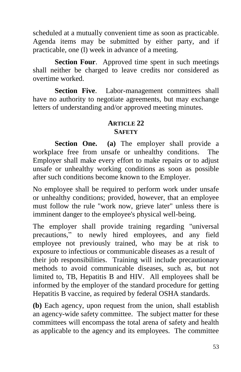scheduled at a mutually convenient time as soon as practicable. Agenda items may be submitted by either party, and if practicable, one (l) week in advance of a meeting.

**Section Four.** Approved time spent in such meetings shall neither be charged to leave credits nor considered as overtime worked.

**Section Five**. Labor-management committees shall have no authority to negotiate agreements, but may exchange letters of understanding and/or approved meeting minutes.

#### **ARTICLE 22 SAFETY**

**Section One. (a)** The employer shall provide a workplace free from unsafe or unhealthy conditions. The Employer shall make every effort to make repairs or to adjust unsafe or unhealthy working conditions as soon as possible after such conditions become known to the Employer.

No employee shall be required to perform work under unsafe or unhealthy conditions; provided, however, that an employee must follow the rule "work now, grieve later" unless there is imminent danger to the employee's physical well-being.

The employer shall provide training regarding "universal precautions," to newly hired employees, and any field employee not previously trained, who may be at risk to exposure to infectious or communicable diseases as a result of their job responsibilities. Training will include precautionary methods to avoid communicable diseases, such as, but not limited to, TB, Hepatitis B and HIV. All employees shall be informed by the employer of the standard procedure for getting Hepatitis B vaccine, as required by federal OSHA standards.

**(b)** Each agency, upon request from the union, shall establish an agency-wide safety committee. The subject matter for these committees will encompass the total arena of safety and health as applicable to the agency and its employees. The committee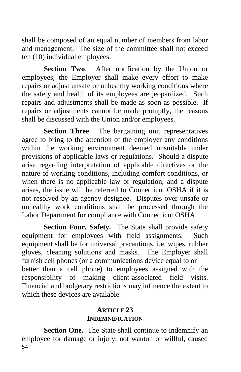shall be composed of an equal number of members from labor and management. The size of the committee shall not exceed ten (10) individual employees.

**Section Two**. After notification by the Union or employees, the Employer shall make every effort to make repairs or adjust unsafe or unhealthy working conditions where the safety and health of its employees are jeopardized. Such repairs and adjustments shall be made as soon as possible. If repairs or adjustments cannot be made promptly, the reasons shall be discussed with the Union and/or employees.

**Section Three**. The bargaining unit representatives agree to bring to the attention of the employer any conditions within the working environment deemed unsuitable under provisions of applicable laws or regulations. Should a dispute arise regarding interpretation of applicable directives or the nature of working conditions, including comfort conditions, or when there is no applicable law or regulation, and a dispute arises, the issue will be referred to Connecticut OSHA if it is not resolved by an agency designee. Disputes over unsafe or unhealthy work conditions shall be processed through the Labor Department for compliance with Connecticut OSHA.

**Section Four. Safety.** The State shall provide safety equipment for employees with field assignments. Such equipment shall be for universal precautions, i.e. wipes, rubber gloves, cleaning solutions and masks. The Employer shall furnish cell phones (or a communications device equal to or better than a cell phone) to employees assigned with the responsibility of making client-associated field visits. Financial and budgetary restrictions may influence the extent to which these devices are available.

#### **ARTICLE 23 INDEMNIFICATION**

54 **Section One.** The State shall continue to indemnify an employee for damage or injury, not wanton or willful, caused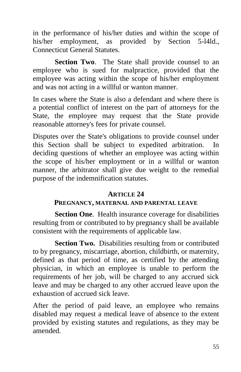in the performance of his/her duties and within the scope of his/her employment, as provided by Section 5-l4ld., Connecticut General Statutes.

**Section Two.** The State shall provide counsel to an employee who is sued for malpractice, provided that the employee was acting within the scope of his/her employment and was not acting in a willful or wanton manner.

In cases where the State is also a defendant and where there is a potential conflict of interest on the part of attorneys for the State, the employee may request that the State provide reasonable attorney's fees for private counsel.

Disputes over the State's obligations to provide counsel under this Section shall be subject to expedited arbitration. In deciding questions of whether an employee was acting within the scope of his/her employment or in a willful or wanton manner, the arbitrator shall give due weight to the remedial purpose of the indemnification statutes.

#### **ARTICLE 24**

## **PREGNANCY, MATERNAL AND PARENTAL LEAVE**

**Section One**. Health insurance coverage for disabilities resulting from or contributed to by pregnancy shall be available consistent with the requirements of applicable law.

**Section Two.** Disabilities resulting from or contributed to by pregnancy, miscarriage, abortion, childbirth, or maternity, defined as that period of time, as certified by the attending physician, in which an employee is unable to perform the requirements of her job, will be charged to any accrued sick leave and may be charged to any other accrued leave upon the exhaustion of accrued sick leave.

After the period of paid leave, an employee who remains disabled may request a medical leave of absence to the extent provided by existing statutes and regulations, as they may be amended.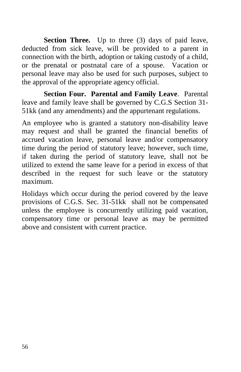**Section Three.** Up to three (3) days of paid leave, deducted from sick leave, will be provided to a parent in connection with the birth, adoption or taking custody of a child, or the prenatal or postnatal care of a spouse. Vacation or personal leave may also be used for such purposes, subject to the approval of the appropriate agency official.

**Section Four. Parental and Family Leave**. Parental leave and family leave shall be governed by C.G.S Section 31- 51kk (and any amendments) and the appurtenant regulations.

An employee who is granted a statutory non-disability leave may request and shall be granted the financial benefits of accrued vacation leave, personal leave and/or compensatory time during the period of statutory leave; however, such time, if taken during the period of statutory leave, shall not be utilized to extend the same leave for a period in excess of that described in the request for such leave or the statutory maximum.

Holidays which occur during the period covered by the leave provisions of C.G.S. Sec. 31-51kk shall not be compensated unless the employee is concurrently utilizing paid vacation, compensatory time or personal leave as may be permitted above and consistent with current practice.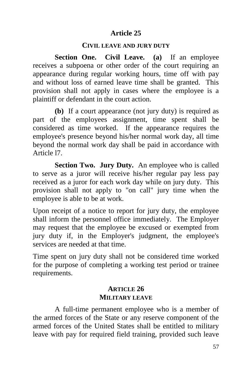## **Article 25**

#### **CIVIL LEAVE AND JURY DUTY**

**Section One. Civil Leave. (a)** If an employee receives a subpoena or other order of the court requiring an appearance during regular working hours, time off with pay and without loss of earned leave time shall be granted. This provision shall not apply in cases where the employee is a plaintiff or defendant in the court action.

**(b)** If a court appearance (not jury duty) is required as part of the employees assignment, time spent shall be considered as time worked. If the appearance requires the employee's presence beyond his/her normal work day, all time beyond the normal work day shall be paid in accordance with Article l7.

**Section Two. Jury Duty.** An employee who is called to serve as a juror will receive his/her regular pay less pay received as a juror for each work day while on jury duty. This provision shall not apply to "on call" jury time when the employee is able to be at work.

Upon receipt of a notice to report for jury duty, the employee shall inform the personnel office immediately. The Employer may request that the employee be excused or exempted from jury duty if, in the Employer's judgment, the employee's services are needed at that time.

Time spent on jury duty shall not be considered time worked for the purpose of completing a working test period or trainee requirements.

#### **ARTICLE 26 MILITARY LEAVE**

A full-time permanent employee who is a member of the armed forces of the State or any reserve component of the armed forces of the United States shall be entitled to military leave with pay for required field training, provided such leave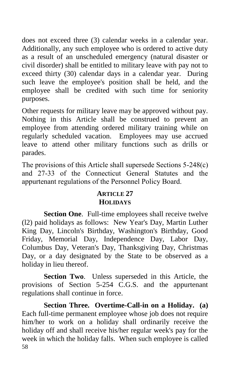does not exceed three (3) calendar weeks in a calendar year. Additionally, any such employee who is ordered to active duty as a result of an unscheduled emergency (natural disaster or civil disorder) shall be entitled to military leave with pay not to exceed thirty (30) calendar days in a calendar year. During such leave the employee's position shall be held, and the employee shall be credited with such time for seniority purposes.

Other requests for military leave may be approved without pay. Nothing in this Article shall be construed to prevent an employee from attending ordered military training while on regularly scheduled vacation. Employees may use accrued leave to attend other military functions such as drills or parades.

The provisions of this Article shall supersede Sections 5-248(c) and 27-33 of the Connecticut General Statutes and the appurtenant regulations of the Personnel Policy Board.

#### **ARTICLE 27 HOLIDAYS**

**Section One.** Full-time employees shall receive twelve (l2) paid holidays as follows: New Year's Day, Martin Luther King Day, Lincoln's Birthday, Washington's Birthday, Good Friday, Memorial Day, Independence Day, Labor Day, Columbus Day, Veteran's Day, Thanksgiving Day, Christmas Day, or a day designated by the State to be observed as a holiday in lieu thereof.

**Section Two**. Unless superseded in this Article, the provisions of Section 5-254 C.G.S. and the appurtenant regulations shall continue in force.

58 **Section Three. Overtime-Call-in on a Holiday. (a)** Each full-time permanent employee whose job does not require him/her to work on a holiday shall ordinarily receive the holiday off and shall receive his/her regular week's pay for the week in which the holiday falls. When such employee is called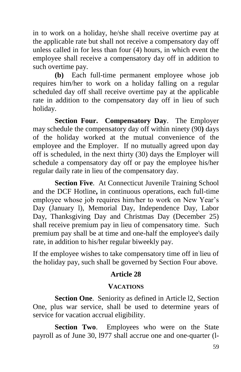in to work on a holiday, he/she shall receive overtime pay at the applicable rate but shall not receive a compensatory day off unless called in for less than four (4) hours, in which event the employee shall receive a compensatory day off in addition to such overtime pay.

**(b)** Each full-time permanent employee whose job requires him/her to work on a holiday falling on a regular scheduled day off shall receive overtime pay at the applicable rate in addition to the compensatory day off in lieu of such holiday.

**Section Four. Compensatory Day**. The Employer may schedule the compensatory day off within ninety (90**)** days of the holiday worked at the mutual convenience of the employee and the Employer. If no mutually agreed upon day off is scheduled, in the next thirty (30) days the Employer will schedule a compensatory day off or pay the employee his/her regular daily rate in lieu of the compensatory day.

**Section Five.** At Connecticut Juvenile Training School and the DCF Hotline**,** in continuous operations, each full-time employee whose job requires him/her to work on New Year's Day (January l), Memorial Day, Independence Day, Labor Day, Thanksgiving Day and Christmas Day (December 25) shall receive premium pay in lieu of compensatory time. Such premium pay shall be at time and one-half the employee's daily rate, in addition to his/her regular biweekly pay.

If the employee wishes to take compensatory time off in lieu of the holiday pay, such shall be governed by Section Four above.

# **Article 28**

## **VACATIONS**

**Section One**. Seniority as defined in Article l2, Section One, plus war service, shall be used to determine years of service for vacation accrual eligibility.

**Section Two**. Employees who were on the State payroll as of June 30, l977 shall accrue one and one-quarter (l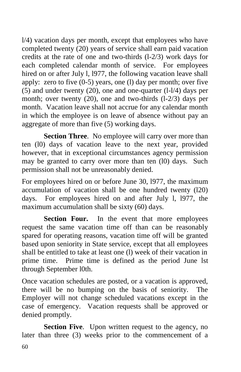l/4) vacation days per month, except that employees who have completed twenty (20) years of service shall earn paid vacation credits at the rate of one and two-thirds (l-2/3) work days for each completed calendar month of service. For employees hired on or after July l, l977, the following vacation leave shall apply: zero to five (0-5) years, one (l) day per month; over five (5) and under twenty (20), one and one-quarter (l-l/4) days per month; over twenty (20), one and two-thirds (l-2/3) days per month. Vacation leave shall not accrue for any calendar month in which the employee is on leave of absence without pay an aggregate of more than five (5) working days.

**Section Three.** No employee will carry over more than ten (l0) days of vacation leave to the next year, provided however, that in exceptional circumstances agency permission may be granted to carry over more than ten (l0) days. Such permission shall not be unreasonably denied.

For employees hired on or before June 30, l977, the maximum accumulation of vacation shall be one hundred twenty (l20) days. For employees hired on and after July l, l977, the maximum accumulation shall be sixty (60) days.

Section Four. In the event that more employees request the same vacation time off than can be reasonably spared for operating reasons, vacation time off will be granted based upon seniority in State service, except that all employees shall be entitled to take at least one (l) week of their vacation in prime time. Prime time is defined as the period June lst through September l0th.

Once vacation schedules are posted, or a vacation is approved, there will be no bumping on the basis of seniority. The Employer will not change scheduled vacations except in the case of emergency. Vacation requests shall be approved or denied promptly.

**Section Five.** Upon written request to the agency, no later than three (3) weeks prior to the commencement of a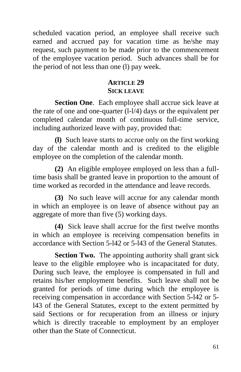scheduled vacation period, an employee shall receive such earned and accrued pay for vacation time as he/she may request, such payment to be made prior to the commencement of the employee vacation period. Such advances shall be for the period of not less than one (l) pay week.

# **ARTICLE 29 SICK LEAVE**

**Section One**. Each employee shall accrue sick leave at the rate of one and one-quarter (l-l/4) days or the equivalent per completed calendar month of continuous full-time service, including authorized leave with pay, provided that:

**(l)** Such leave starts to accrue only on the first working day of the calendar month and is credited to the eligible employee on the completion of the calendar month.

**(2)** An eligible employee employed on less than a fulltime basis shall be granted leave in proportion to the amount of time worked as recorded in the attendance and leave records.

**(3)** No such leave will accrue for any calendar month in which an employee is on leave of absence without pay an aggregate of more than five (5) working days.

**(4)** Sick leave shall accrue for the first twelve months in which an employee is receiving compensation benefits in accordance with Section 5-l42 or 5-l43 of the General Statutes.

**Section Two.** The appointing authority shall grant sick leave to the eligible employee who is incapacitated for duty. During such leave, the employee is compensated in full and retains his/her employment benefits. Such leave shall not be granted for periods of time during which the employee is receiving compensation in accordance with Section 5-l42 or 5 l43 of the General Statutes, except to the extent permitted by said Sections or for recuperation from an illness or injury which is directly traceable to employment by an employer other than the State of Connecticut.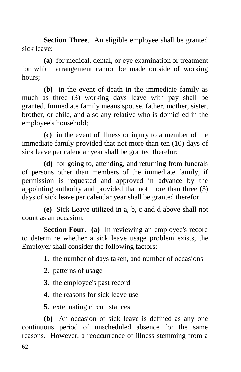**Section Three.** An eligible employee shall be granted sick leave:

**(a)** for medical, dental, or eye examination or treatment for which arrangement cannot be made outside of working hours;

**(b)** in the event of death in the immediate family as much as three (3) working days leave with pay shall be granted. Immediate family means spouse, father, mother, sister, brother, or child, and also any relative who is domiciled in the employee's household;

**(c)** in the event of illness or injury to a member of the immediate family provided that not more than ten (10) days of sick leave per calendar year shall be granted therefor;

**(d)** for going to, attending, and returning from funerals of persons other than members of the immediate family, if permission is requested and approved in advance by the appointing authority and provided that not more than three (3) days of sick leave per calendar year shall be granted therefor.

**(e)** Sick Leave utilized in a, b, c and d above shall not count as an occasion.

**Section Four**. **(a)** In reviewing an employee's record to determine whether a sick leave usage problem exists, the Employer shall consider the following factors:

- **1**. the number of days taken, and number of occasions
- **2**. patterns of usage
- **3**. the employee's past record
- **4**. the reasons for sick leave use
- **5**. extenuating circumstances

**(b)** An occasion of sick leave is defined as any one continuous period of unscheduled absence for the same reasons. However, a reoccurrence of illness stemming from a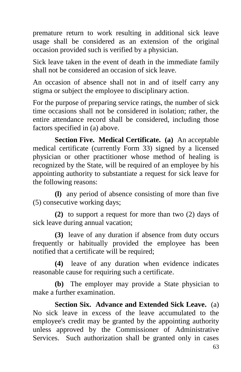premature return to work resulting in additional sick leave usage shall be considered as an extension of the original occasion provided such is verified by a physician.

Sick leave taken in the event of death in the immediate family shall not be considered an occasion of sick leave.

An occasion of absence shall not in and of itself carry any stigma or subject the employee to disciplinary action.

For the purpose of preparing service ratings, the number of sick time occasions shall not be considered in isolation; rather, the entire attendance record shall be considered, including those factors specified in (a) above.

**Section Five. Medical Certificate. (a)** An acceptable medical certificate (currently Form 33) signed by a licensed physician or other practitioner whose method of healing is recognized by the State, will be required of an employee by his appointing authority to substantiate a request for sick leave for the following reasons:

**(l)** any period of absence consisting of more than five (5) consecutive working days;

**(2)** to support a request for more than two (2) days of sick leave during annual vacation;

**(3)** leave of any duration if absence from duty occurs frequently or habitually provided the employee has been notified that a certificate will be required;

**(4)** leave of any duration when evidence indicates reasonable cause for requiring such a certificate.

**(b)** The employer may provide a State physician to make a further examination.

**Section Six. Advance and Extended Sick Leave.** (a) No sick leave in excess of the leave accumulated to the employee's credit may be granted by the appointing authority unless approved by the Commissioner of Administrative Services. Such authorization shall be granted only in cases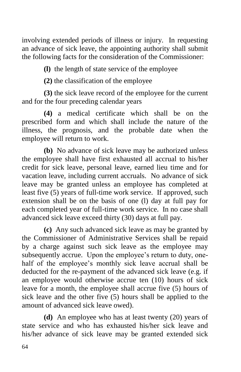involving extended periods of illness or injury. In requesting an advance of sick leave, the appointing authority shall submit the following facts for the consideration of the Commissioner:

**(l)** the length of state service of the employee

**(2)** the classification of the employee

**(3)** the sick leave record of the employee for the current and for the four preceding calendar years

**(4)** a medical certificate which shall be on the prescribed form and which shall include the nature of the illness, the prognosis, and the probable date when the employee will return to work.

**(b)** No advance of sick leave may be authorized unless the employee shall have first exhausted all accrual to his/her credit for sick leave, personal leave, earned lieu time and for vacation leave, including current accruals. No advance of sick leave may be granted unless an employee has completed at least five (5) years of full-time work service. If approved, such extension shall be on the basis of one (l) day at full pay for each completed year of full-time work service. In no case shall advanced sick leave exceed thirty (30) days at full pay.

**(c)** Any such advanced sick leave as may be granted by the Commissioner of Administrative Services shall be repaid by a charge against such sick leave as the employee may subsequently accrue. Upon the employee's return to duty, onehalf of the employee's monthly sick leave accrual shall be deducted for the re-payment of the advanced sick leave (e.g. if an employee would otherwise accrue ten (10) hours of sick leave for a month, the employee shall accrue five (5) hours of sick leave and the other five (5) hours shall be applied to the amount of advanced sick leave owed).

**(d)** An employee who has at least twenty (20) years of state service and who has exhausted his/her sick leave and his/her advance of sick leave may be granted extended sick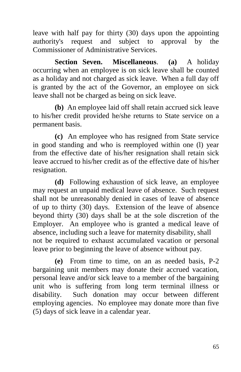leave with half pay for thirty (30) days upon the appointing authority's request and subject to approval by the Commissioner of Administrative Services.

**Section Seven. Miscellaneous**. **(a)** A holiday occurring when an employee is on sick leave shall be counted as a holiday and not charged as sick leave. When a full day off is granted by the act of the Governor, an employee on sick leave shall not be charged as being on sick leave.

**(b)** An employee laid off shall retain accrued sick leave to his/her credit provided he/she returns to State service on a permanent basis.

**(c)** An employee who has resigned from State service in good standing and who is reemployed within one (l) year from the effective date of his/her resignation shall retain sick leave accrued to his/her credit as of the effective date of his/her resignation.

**(d)** Following exhaustion of sick leave, an employee may request an unpaid medical leave of absence. Such request shall not be unreasonably denied in cases of leave of absence of up to thirty (30) days. Extension of the leave of absence beyond thirty (30) days shall be at the sole discretion of the Employer. An employee who is granted a medical leave of absence, including such a leave for maternity disability, shall not be required to exhaust accumulated vacation or personal leave prior to beginning the leave of absence without pay.

**(e)** From time to time, on an as needed basis, P-2 bargaining unit members may donate their accrued vacation, personal leave and/or sick leave to a member of the bargaining unit who is suffering from long term terminal illness or disability. Such donation may occur between different employing agencies. No employee may donate more than five (5) days of sick leave in a calendar year.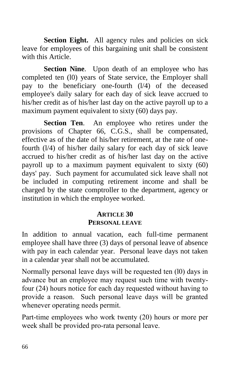**Section Eight.** All agency rules and policies on sick leave for employees of this bargaining unit shall be consistent with this Article.

**Section Nine.** Upon death of an employee who has completed ten (l0) years of State service, the Employer shall pay to the beneficiary one-fourth (l/4) of the deceased employee's daily salary for each day of sick leave accrued to his/her credit as of his/her last day on the active payroll up to a maximum payment equivalent to sixty (60) days pay.

**Section Ten.** An employee who retires under the provisions of Chapter 66, C.G.S., shall be compensated, effective as of the date of his/her retirement, at the rate of onefourth (l/4) of his/her daily salary for each day of sick leave accrued to his/her credit as of his/her last day on the active payroll up to a maximum payment equivalent to sixty (60) days' pay. Such payment for accumulated sick leave shall not be included in computing retirement income and shall be charged by the state comptroller to the department, agency or institution in which the employee worked.

#### **ARTICLE 30 PERSONAL LEAVE**

In addition to annual vacation, each full-time permanent employee shall have three (3) days of personal leave of absence with pay in each calendar year. Personal leave days not taken in a calendar year shall not be accumulated.

Normally personal leave days will be requested ten (l0) days in advance but an employee may request such time with twentyfour (24) hours notice for each day requested without having to provide a reason. Such personal leave days will be granted whenever operating needs permit.

Part-time employees who work twenty (20) hours or more per week shall be provided pro-rata personal leave.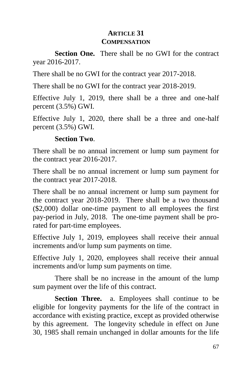# **ARTICLE 31 COMPENSATION**

**Section One.** There shall be no GWI for the contract year 2016-2017.

There shall be no GWI for the contract year 2017-2018.

There shall be no GWI for the contract year 2018-2019.

Effective July 1, 2019, there shall be a three and one-half percent (3.5%) GWI.

Effective July 1, 2020, there shall be a three and one-half percent (3.5%) GWI.

## **Section Two**.

There shall be no annual increment or lump sum payment for the contract year 2016-2017.

There shall be no annual increment or lump sum payment for the contract year 2017-2018.

There shall be no annual increment or lump sum payment for the contract year 2018-2019. There shall be a two thousand (\$2,000) dollar one-time payment to all employees the first pay-period in July, 2018. The one-time payment shall be prorated for part-time employees.

Effective July 1, 2019, employees shall receive their annual increments and/or lump sum payments on time.

Effective July 1, 2020, employees shall receive their annual increments and/or lump sum payments on time.

There shall be no increase in the amount of the lump sum payment over the life of this contract.

Section Three. a. Employees shall continue to be eligible for longevity payments for the life of the contract in accordance with existing practice, except as provided otherwise by this agreement. The longevity schedule in effect on June 30, 1985 shall remain unchanged in dollar amounts for the life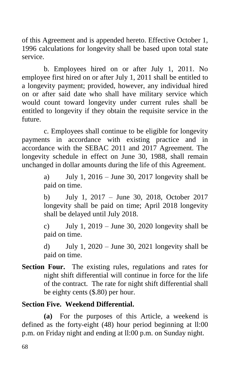of this Agreement and is appended hereto. Effective October 1, 1996 calculations for longevity shall be based upon total state service.

b. Employees hired on or after July 1, 2011. No employee first hired on or after July 1, 2011 shall be entitled to a longevity payment; provided, however, any individual hired on or after said date who shall have military service which would count toward longevity under current rules shall be entitled to longevity if they obtain the requisite service in the future.

c. Employees shall continue to be eligible for longevity payments in accordance with existing practice and in accordance with the SEBAC 2011 and 2017 Agreement. The longevity schedule in effect on June 30, 1988, shall remain unchanged in dollar amounts during the life of this Agreement.

> a) July 1,  $2016 -$  June 30, 2017 longevity shall be paid on time.

> b) July 1, 2017 – June 30, 2018, October 2017 longevity shall be paid on time; April 2018 longevity shall be delayed until July 2018.

> c) July 1,  $2019 -$  June 30, 2020 longevity shall be paid on time.

> d) July 1,  $2020 -$  June 30, 2021 longevity shall be paid on time.

**Section Four.** The existing rules, regulations and rates for night shift differential will continue in force for the life of the contract. The rate for night shift differential shall be eighty cents (\$.80) per hour.

### **Section Five. Weekend Differential.**

**(a)** For the purposes of this Article, a weekend is defined as the forty-eight (48) hour period beginning at ll:00 p.m. on Friday night and ending at ll:00 p.m. on Sunday night.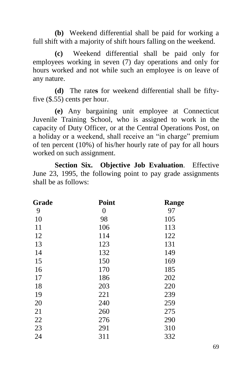**(b)** Weekend differential shall be paid for working a full shift with a majority of shift hours falling on the weekend.

**(c)** Weekend differential shall be paid only for employees working in seven (7) day operations and only for hours worked and not while such an employee is on leave of any nature.

**(d)** The rate**s** for weekend differential shall be fiftyfive (\$.55) cents per hour.

**(e)** Any bargaining unit employee at Connecticut Juvenile Training School, who is assigned to work in the capacity of Duty Officer, or at the Central Operations Post, on a holiday or a weekend, shall receive an "in charge" premium of ten percent (10%) of his/her hourly rate of pay for all hours worked on such assignment.

**Section Six. Objective Job Evaluation**. Effective June 23, 1995, the following point to pay grade assignments shall be as follows:

| Grade | Point | Range |
|-------|-------|-------|
| 9     | 0     | 97    |
| 10    | 98    | 105   |
| 11    | 106   | 113   |
| 12    | 114   | 122   |
| 13    | 123   | 131   |
| 14    | 132   | 149   |
| 15    | 150   | 169   |
| 16    | 170   | 185   |
| 17    | 186   | 202   |
| 18    | 203   | 220   |
| 19    | 221   | 239   |
| 20    | 240   | 259   |
| 21    | 260   | 275   |
| 22    | 276   | 290   |
| 23    | 291   | 310   |
| 24    | 311   | 332   |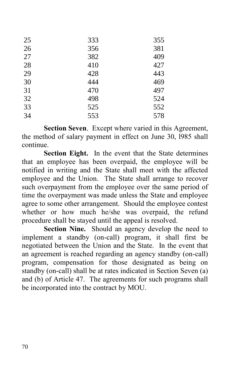| 25 | 333 | 355 |
|----|-----|-----|
| 26 | 356 | 381 |
| 27 | 382 | 409 |
| 28 | 410 | 427 |
| 29 | 428 | 443 |
| 30 | 444 | 469 |
| 31 | 470 | 497 |
| 32 | 498 | 524 |
| 33 | 525 | 552 |
| 34 | 553 | 578 |

**Section Seven**. Except where varied in this Agreement, the method of salary payment in effect on June 30, l985 shall continue.

**Section Eight.** In the event that the State determines that an employee has been overpaid, the employee will be notified in writing and the State shall meet with the affected employee and the Union. The State shall arrange to recover such overpayment from the employee over the same period of time the overpayment was made unless the State and employee agree to some other arrangement. Should the employee contest whether or how much he/she was overpaid, the refund procedure shall be stayed until the appeal is resolved.

**Section Nine.** Should an agency develop the need to implement a standby (on-call) program, it shall first be negotiated between the Union and the State. In the event that an agreement is reached regarding an agency standby (on-call) program, compensation for those designated as being on standby (on-call) shall be at rates indicated in Section Seven (a) and (b) of Article 47. The agreements for such programs shall be incorporated into the contract by MOU.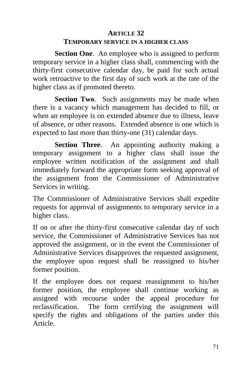### **ARTICLE 32**

### **TEMPORARY SERVICE IN A HIGHER CLASS**

**Section One.** An employee who is assigned to perform temporary service in a higher class shall, commencing with the thirty-first consecutive calendar day, be paid for such actual work retroactive to the first day of such work at the rate of the higher class as if promoted thereto.

**Section Two.** Such assignments may be made when there is a vacancy which management has decided to fill, or when an employee is on extended absence due to illness, leave of absence, or other reasons. Extended absence is one which is expected to last more than thirty-one (31) calendar days.

**Section Three**. An appointing authority making a temporary assignment to a higher class shall issue the employee written notification of the assignment and shall immediately forward the appropriate form seeking approval of the assignment from the Commissioner of Administrative Services in writing.

The Commissioner of Administrative Services shall expedite requests for approval of assignments to temporary service in a higher class.

If on or after the thirty-first consecutive calendar day of such service, the Commissioner of Administrative Services has not approved the assignment, or in the event the Commissioner of Administrative Services disapproves the requested assignment, the employee upon request shall be reassigned to his/her former position.

If the employee does not request reassignment to his/her former position, the employee shall continue working as assigned with recourse under the appeal procedure for reclassification. The form certifying the assignment will specify the rights and obligations of the parties under this Article.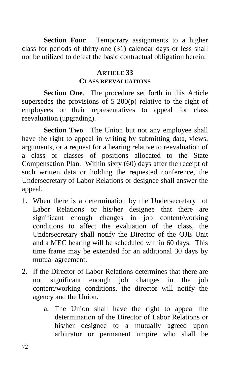**Section Four**. Temporary assignments to a higher class for periods of thirty-one (31) calendar days or less shall not be utilized to defeat the basic contractual obligation herein.

#### **ARTICLE 33**

#### **CLASS REEVALUATIONS**

**Section One**. The procedure set forth in this Article supersedes the provisions of 5-200(p) relative to the right of employees or their representatives to appeal for class reevaluation (upgrading).

**Section Two**. The Union but not any employee shall have the right to appeal in writing by submitting data, views, arguments, or a request for a hearing relative to reevaluation of a class or classes of positions allocated to the State Compensation Plan. Within sixty (60) days after the receipt of such written data or holding the requested conference, the Undersecretary of Labor Relations or designee shall answer the appeal.

- 1. When there is a determination by the Undersecretary of Labor Relations or his/her designee that there are significant enough changes in job content/working conditions to affect the evaluation of the class, the Undersecretary shall notify the Director of the OJE Unit and a MEC hearing will be scheduled within 60 days. This time frame may be extended for an additional 30 days by mutual agreement.
- 2. If the Director of Labor Relations determines that there are not significant enough job changes in the job content/working conditions, the director will notify the agency and the Union.
	- a. The Union shall have the right to appeal the determination of the Director of Labor Relations or his/her designee to a mutually agreed upon arbitrator or permanent umpire who shall be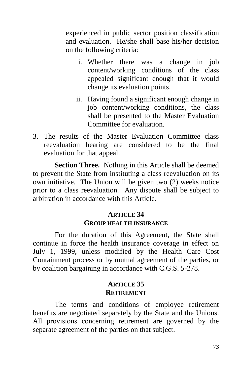experienced in public sector position classification and evaluation. He/she shall base his/her decision on the following criteria:

- i. Whether there was a change in job content/working conditions of the class appealed significant enough that it would change its evaluation points.
- ii. Having found a significant enough change in job content/working conditions, the class shall be presented to the Master Evaluation Committee for evaluation.
- 3. The results of the Master Evaluation Committee class reevaluation hearing are considered to be the final evaluation for that appeal.

**Section Three.** Nothing in this Article shall be deemed to prevent the State from instituting a class reevaluation on its own initiative. The Union will be given two (2) weeks notice prior to a class reevaluation. Any dispute shall be subject to arbitration in accordance with this Article.

## **ARTICLE 34 GROUP HEALTH INSURANCE**

For the duration of this Agreement, the State shall continue in force the health insurance coverage in effect on July 1, 1999, unless modified by the Health Care Cost Containment process or by mutual agreement of the parties, or by coalition bargaining in accordance with C.G.S. 5-278.

## **ARTICLE 35 RETIREMENT**

The terms and conditions of employee retirement benefits are negotiated separately by the State and the Unions. All provisions concerning retirement are governed by the separate agreement of the parties on that subject.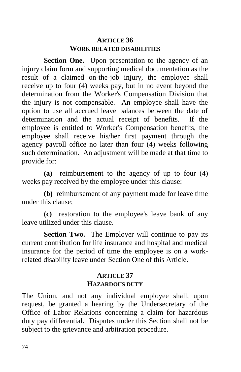## **ARTICLE 36 WORK RELATED DISABILITIES**

**Section One.** Upon presentation to the agency of an injury claim form and supporting medical documentation as the result of a claimed on-the-job injury, the employee shall receive up to four (4) weeks pay, but in no event beyond the determination from the Worker's Compensation Division that the injury is not compensable. An employee shall have the option to use all accrued leave balances between the date of determination and the actual receipt of benefits. If the employee is entitled to Worker's Compensation benefits, the employee shall receive his/her first payment through the agency payroll office no later than four (4) weeks following such determination. An adjustment will be made at that time to provide for:

**(a)** reimbursement to the agency of up to four (4) weeks pay received by the employee under this clause:

**(b)** reimbursement of any payment made for leave time under this clause;

**(c)** restoration to the employee's leave bank of any leave utilized under this clause.

**Section Two.** The Employer will continue to pay its current contribution for life insurance and hospital and medical insurance for the period of time the employee is on a workrelated disability leave under Section One of this Article.

### **ARTICLE 37 HAZARDOUS DUTY**

The Union, and not any individual employee shall, upon request, be granted a hearing by the Undersecretary of the Office of Labor Relations concerning a claim for hazardous duty pay differential. Disputes under this Section shall not be subject to the grievance and arbitration procedure.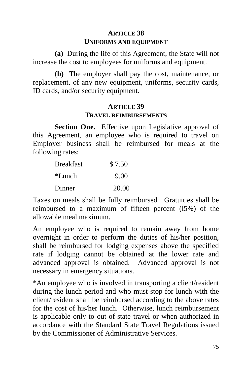# **ARTICLE 38 UNIFORMS AND EQUIPMENT**

**(a)** During the life of this Agreement, the State will not increase the cost to employees for uniforms and equipment.

**(b)** The employer shall pay the cost, maintenance, or replacement, of any new equipment, uniforms, security cards, ID cards, and/or security equipment.

### **ARTICLE 39 TRAVEL REIMBURSEMENTS**

Section One. Effective upon Legislative approval of this Agreement, an employee who is required to travel on Employer business shall be reimbursed for meals at the following rates:

| <b>Breakfast</b> | \$7.50 |
|------------------|--------|
| *Lunch           | 9.00   |
| Dinner           | 20.00  |

Taxes on meals shall be fully reimbursed. Gratuities shall be reimbursed to a maximum of fifteen percent (l5%) of the allowable meal maximum.

An employee who is required to remain away from home overnight in order to perform the duties of his/her position, shall be reimbursed for lodging expenses above the specified rate if lodging cannot be obtained at the lower rate and advanced approval is obtained. Advanced approval is not necessary in emergency situations.

\*An employee who is involved in transporting a client/resident during the lunch period and who must stop for lunch with the client/resident shall be reimbursed according to the above rates for the cost of his/her lunch. Otherwise, lunch reimbursement is applicable only to out-of-state travel or when authorized in accordance with the Standard State Travel Regulations issued by the Commissioner of Administrative Services.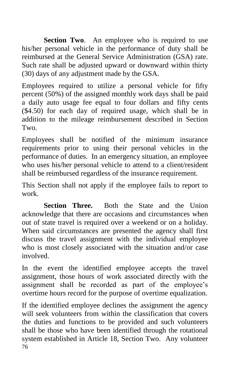**Section Two.** An employee who is required to use his/her personal vehicle in the performance of duty shall be reimbursed at the General Service Administration (GSA) rate. Such rate shall be adjusted upward or downward within thirty (30) days of any adjustment made by the GSA.

Employees required to utilize a personal vehicle for fifty percent (50%) of the assigned monthly work days shall be paid a daily auto usage fee equal to four dollars and fifty cents (\$4.50) for each day of required usage, which shall be in addition to the mileage reimbursement described in Section Two.

Employees shall be notified of the minimum insurance requirements prior to using their personal vehicles in the performance of duties. In an emergency situation, an employee who uses his/her personal vehicle to attend to a client/resident shall be reimbursed regardless of the insurance requirement.

This Section shall not apply if the employee fails to report to work.

**Section Three.** Both the State and the Union acknowledge that there are occasions and circumstances when out of state travel is required over a weekend or on a holiday. When said circumstances are presented the agency shall first discuss the travel assignment with the individual employee who is most closely associated with the situation and/or case involved.

In the event the identified employee accepts the travel assignment, those hours of work associated directly with the assignment shall be recorded as part of the employee's overtime hours record for the purpose of overtime equalization.

76 If the identified employee declines the assignment the agency will seek volunteers from within the classification that covers the duties and functions to be provided and such volunteers shall be those who have been identified through the rotational system established in Article 18, Section Two. Any volunteer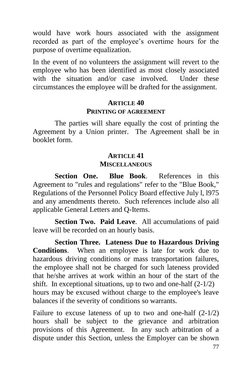would have work hours associated with the assignment recorded as part of the employee's overtime hours for the purpose of overtime equalization.

In the event of no volunteers the assignment will revert to the employee who has been identified as most closely associated with the situation and/or case involved. Under these circumstances the employee will be drafted for the assignment.

### **ARTICLE 40 PRINTING OF AGREEMENT**

The parties will share equally the cost of printing the Agreement by a Union printer. The Agreement shall be in booklet form.

## **ARTICLE 41 MISCELLANEOUS**

**Section One. Blue Book**. References in this Agreement to "rules and regulations" refer to the "Blue Book," Regulations of the Personnel Policy Board effective July l, l975 and any amendments thereto. Such references include also all applicable General Letters and Q-Items.

**Section Two. Paid Leave**. All accumulations of paid leave will be recorded on an hourly basis.

**Section Three. Lateness Due to Hazardous Driving Conditions**. When an employee is late for work due to hazardous driving conditions or mass transportation failures, the employee shall not be charged for such lateness provided that he/she arrives at work within an hour of the start of the shift. In exceptional situations, up to two and one-half  $(2-1/2)$ hours may be excused without charge to the employee's leave balances if the severity of conditions so warrants.

Failure to excuse lateness of up to two and one-half (2-1/2) hours shall be subject to the grievance and arbitration provisions of this Agreement. In any such arbitration of a dispute under this Section, unless the Employer can be shown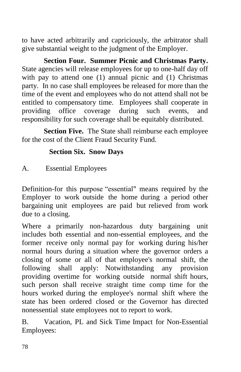to have acted arbitrarily and capriciously, the arbitrator shall give substantial weight to the judgment of the Employer.

**Section Four. Summer Picnic and Christmas Party.**  State agencies will release employees for up to one-half day off with pay to attend one (1) annual picnic and (1) Christmas party. In no case shall employees be released for more than the time of the event and employees who do not attend shall not be entitled to compensatory time. Employees shall cooperate in providing office coverage during such events, and responsibility for such coverage shall be equitably distributed.

**Section Five.** The State shall reimburse each employee for the cost of the Client Fraud Security Fund.

## **Section Six. Snow Days**

A. Essential Employees

Definition-for this purpose "essential" means required by the Employer to work outside the home during a period other bargaining unit employees are paid but relieved from work due to a closing.

Where a primarily non-hazardous duty bargaining unit includes both essential and non-essential employees, and the former receive only normal pay for working during his/her normal hours during a situation where the governor orders a closing of some or all of that employee's normal shift, the following shall apply: Notwithstanding any provision providing overtime for working outside normal shift hours, such person shall receive straight time comp time for the hours worked during the employee's normal shift where the state has been ordered closed or the Governor has directed nonessential state employees not to report to work.

B. Vacation, PL and Sick Time Impact for Non-Essential Employees: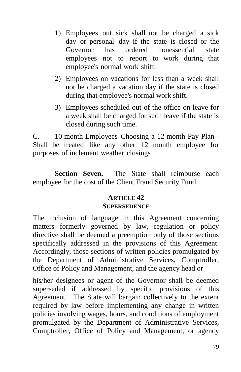- 1) Employees out sick shall not be charged a sick day or personal day if the state is closed or the Governor has ordered nonessential state employees not to report to work during that employee's normal work shift.
- 2) Employees on vacations for less than a week shall not be charged a vacation day if the state is closed during that employee's normal work shift.
- 3) Employees scheduled out of the office on leave for a week shall be charged for such leave if the state is closed during such time.

C. 10 month Employees Choosing a 12 month Pay Plan - Shall be treated like any other 12 month employee for purposes of inclement weather closings

**Section Seven.** The State shall reimburse each employee for the cost of the Client Fraud Security Fund.

#### **ARTICLE 42 SUPERSEDENCE**

The inclusion of language in this Agreement concerning matters formerly governed by law, regulation or policy directive shall be deemed a preemption only of those sections specifically addressed in the provisions of this Agreement. Accordingly, those sections of written policies promulgated by the Department of Administrative Services, Comptroller, Office of Policy and Management, and the agency head or

his/her designees or agent of the Governor shall be deemed superseded if addressed by specific provisions of this Agreement. The State will bargain collectively to the extent required by law before implementing any change in written policies involving wages, hours, and conditions of employment promulgated by the Department of Administrative Services, Comptroller, Office of Policy and Management, or agency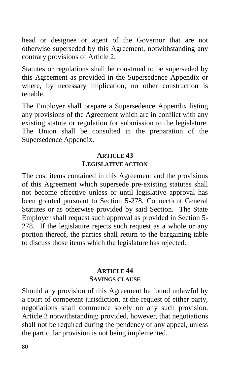head or designee or agent of the Governor that are not otherwise superseded by this Agreement, notwithstanding any contrary provisions of Article 2.

Statutes or regulations shall be construed to be superseded by this Agreement as provided in the Supersedence Appendix or where, by necessary implication, no other construction is tenable.

The Employer shall prepare a Supersedence Appendix listing any provisions of the Agreement which are in conflict with any existing statute or regulation for submission to the legislature. The Union shall be consulted in the preparation of the Supersedence Appendix.

## **ARTICLE 43 LEGISLATIVE ACTION**

The cost items contained in this Agreement and the provisions of this Agreement which supersede pre-existing statutes shall not become effective unless or until legislative approval has been granted pursuant to Section 5-278, Connecticut General Statutes or as otherwise provided by said Section. The State Employer shall request such approval as provided in Section 5- 278. If the legislature rejects such request as a whole or any portion thereof, the parties shall return to the bargaining table to discuss those items which the legislature has rejected.

### **ARTICLE 44 SAVINGS CLAUSE**

Should any provision of this Agreement be found unlawful by a court of competent jurisdiction, at the request of either party, negotiations shall commence solely on any such provision, Article 2 notwithstanding; provided, however, that negotiations shall not be required during the pendency of any appeal, unless the particular provision is not being implemented.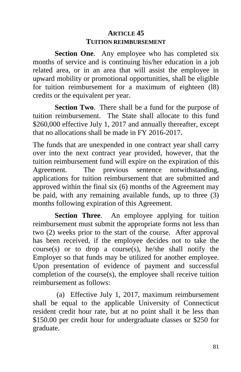# **ARTICLE 45 TUITION REIMBURSEMENT**

**Section One.** Any employee who has completed six months of service and is continuing his/her education in a job related area, or in an area that will assist the employee in upward mobility or promotional opportunities, shall be eligible for tuition reimbursement for a maximum of eighteen (l8) credits or the equivalent per year.

**Section Two**. There shall be a fund for the purpose of tuition reimbursement. The State shall allocate to this fund \$260,000 effective July 1, 2017 and annually thereafter, except that no allocations shall be made in FY 2016-2017.

The funds that are unexpended in one contract year shall carry over into the next contract year provided, however, that the tuition reimbursement fund will expire on the expiration of this Agreement. The previous sentence notwithstanding, applications for tuition reimbursement that are submitted and approved within the final six (6) months of the Agreement may be paid, with any remaining available funds, up to three (3) months following expiration of this Agreement.

**Section Three**. An employee applying for tuition reimbursement must submit the appropriate forms not less than two (2) weeks prior to the start of the course. After approval has been received, if the employee decides not to take the  $course(s)$  or to drop a course $(s)$ , he/she shall notify the Employer so that funds may be utilized for another employee. Upon presentation of evidence of payment and successful completion of the course(s), the employee shall receive tuition reimbursement as follows:

(a) Effective July 1, 2017, maximum reimbursement shall be equal to the applicable University of Connecticut resident credit hour rate, but at no point shall it be less than \$150.00 per credit hour for undergraduate classes or \$250 for graduate.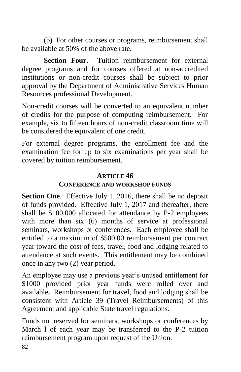(b) For other courses or programs, reimbursement shall be available at 50% of the above rate.

**Section Four**. Tuition reimbursement for external degree programs and for courses offered at non-accredited institutions or non-credit courses shall be subject to prior approval by the Department of Administrative Services Human Resources professional Development.

Non-credit courses will be converted to an equivalent number of credits for the purpose of computing reimbursement. For example, six to fifteen hours of non-credit classroom time will be considered the equivalent of one credit.

For external degree programs, the enrollment fee and the examination fee for up to six examinations per year shall be covered by tuition reimbursement.

### **ARTICLE 46**

### **CONFERENCE AND WORKSHOP FUNDS**

**Section One.** Effective July 1, 2016, there shall be no deposit of funds provided. Effective July 1, 2017 and thereafter, there shall be \$100,000 allocated for attendance by P-2 employees with more than six (6) months of service at professional seminars, workshops or conferences. Each employee shall be entitled to a maximum of \$500.00 reimbursement per contract year toward the cost of fees, travel, food and lodging related to attendance at such events. This entitlement may be combined once in any two (2) year period.

An employee may use a previous year's unused entitlement for \$1000 provided prior year funds were rolled over and available**.** Reimbursement for travel, food and lodging shall be consistent with Article 39 (Travel Reimbursements) of this Agreement and applicable State travel regulations.

Funds not reserved for seminars, workshops or conferences by March l of each year may be transferred to the P-2 tuition reimbursement program upon request of the Union.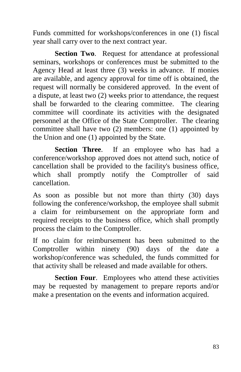Funds committed for workshops/conferences in one (1) fiscal year shall carry over to the next contract year.

**Section Two**. Request for attendance at professional seminars, workshops or conferences must be submitted to the Agency Head at least three (3) weeks in advance. If monies are available, and agency approval for time off is obtained, the request will normally be considered approved. In the event of a dispute, at least two (2) weeks prior to attendance, the request shall be forwarded to the clearing committee. The clearing committee will coordinate its activities with the designated personnel at the Office of the State Comptroller. The clearing committee shall have two (2) members: one (1) appointed by the Union and one (1) appointed by the State.

**Section Three**. If an employee who has had a conference/workshop approved does not attend such, notice of cancellation shall be provided to the facility's business office, which shall promptly notify the Comptroller of said cancellation.

As soon as possible but not more than thirty (30) days following the conference/workshop, the employee shall submit a claim for reimbursement on the appropriate form and required receipts to the business office, which shall promptly process the claim to the Comptroller.

If no claim for reimbursement has been submitted to the Comptroller within ninety  $(90)$  days of the date workshop/conference was scheduled, the funds committed for that activity shall be released and made available for others.

**Section Four.** Employees who attend these activities may be requested by management to prepare reports and/or make a presentation on the events and information acquired.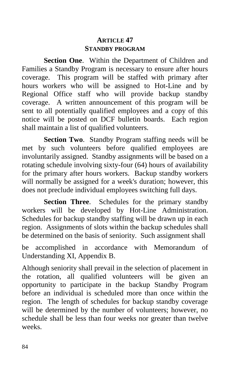## **ARTICLE 47 STANDBY PROGRAM**

**Section One**. Within the Department of Children and Families a Standby Program is necessary to ensure after hours coverage. This program will be staffed with primary after hours workers who will be assigned to Hot-Line and by Regional Office staff who will provide backup standby coverage. A written announcement of this program will be sent to all potentially qualified employees and a copy of this notice will be posted on DCF bulletin boards. Each region shall maintain a list of qualified volunteers.

**Section Two**. Standby Program staffing needs will be met by such volunteers before qualified employees are involuntarily assigned. Standby assignments will be based on a rotating schedule involving sixty-four (64) hours of availability for the primary after hours workers. Backup standby workers will normally be assigned for a week's duration; however, this does not preclude individual employees switching full days.

**Section Three**. Schedules for the primary standby workers will be developed by Hot-Line Administration. Schedules for backup standby staffing will be drawn up in each region. Assignments of slots within the backup schedules shall be determined on the basis of seniority. Such assignment shall

be accomplished in accordance with Memorandum of Understanding XI, Appendix B.

Although seniority shall prevail in the selection of placement in the rotation, all qualified volunteers will be given an opportunity to participate in the backup Standby Program before an individual is scheduled more than once within the region. The length of schedules for backup standby coverage will be determined by the number of volunteers; however, no schedule shall be less than four weeks nor greater than twelve weeks.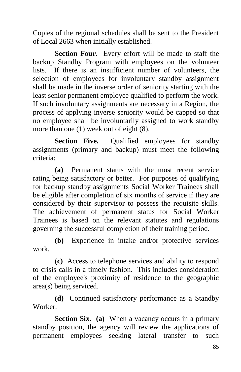Copies of the regional schedules shall be sent to the President of Local 2663 when initially established.

**Section Four**. Every effort will be made to staff the backup Standby Program with employees on the volunteer lists. If there is an insufficient number of volunteers, the selection of employees for involuntary standby assignment shall be made in the inverse order of seniority starting with the least senior permanent employee qualified to perform the work. If such involuntary assignments are necessary in a Region, the process of applying inverse seniority would be capped so that no employee shall be involuntarily assigned to work standby more than one (1) week out of eight (8).

**Section Five.** Qualified employees for standby assignments (primary and backup) must meet the following criteria:

**(a)** Permanent status with the most recent service rating being satisfactory or better. For purposes of qualifying for backup standby assignments Social Worker Trainees shall be eligible after completion of six months of service if they are considered by their supervisor to possess the requisite skills. The achievement of permanent status for Social Worker Trainees is based on the relevant statutes and regulations governing the successful completion of their training period.

**(b)** Experience in intake and/or protective services work.

**(c)** Access to telephone services and ability to respond to crisis calls in a timely fashion. This includes consideration of the employee's proximity of residence to the geographic area(s) being serviced.

**(d)** Continued satisfactory performance as a Standby Worker.

**Section Six**. **(a)** When a vacancy occurs in a primary standby position, the agency will review the applications of permanent employees seeking lateral transfer to such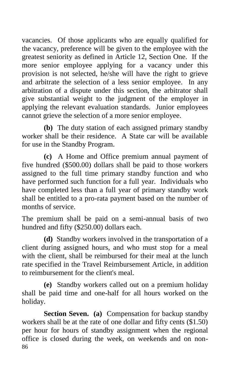vacancies. Of those applicants who are equally qualified for the vacancy, preference will be given to the employee with the greatest seniority as defined in Article 12, Section One. If the more senior employee applying for a vacancy under this provision is not selected, he/she will have the right to grieve and arbitrate the selection of a less senior employee. In any arbitration of a dispute under this section, the arbitrator shall give substantial weight to the judgment of the employer in applying the relevant evaluation standards. Junior employees cannot grieve the selection of a more senior employee.

**(b)** The duty station of each assigned primary standby worker shall be their residence. A State car will be available for use in the Standby Program.

**(c)** A Home and Office premium annual payment of five hundred (\$500.00) dollars shall be paid to those workers assigned to the full time primary standby function and who have performed such function for a full year. Individuals who have completed less than a full year of primary standby work shall be entitled to a pro-rata payment based on the number of months of service.

The premium shall be paid on a semi-annual basis of two hundred and fifty (\$250.00) dollars each.

**(d)** Standby workers involved in the transportation of a client during assigned hours, and who must stop for a meal with the client, shall be reimbursed for their meal at the lunch rate specified in the Travel Reimbursement Article, in addition to reimbursement for the client's meal.

**(e)** Standby workers called out on a premium holiday shall be paid time and one-half for all hours worked on the holiday.

86 **Section Seven. (a)** Compensation for backup standby workers shall be at the rate of one dollar and fifty cents (\$1.50) per hour for hours of standby assignment when the regional office is closed during the week, on weekends and on non-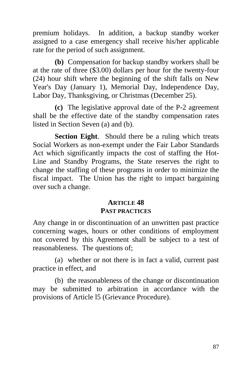premium holidays. In addition, a backup standby worker assigned to a case emergency shall receive his/her applicable rate for the period of such assignment.

**(b)** Compensation for backup standby workers shall be at the rate of three (\$3.00) dollars per hour for the twenty-four (24) hour shift where the beginning of the shift falls on New Year's Day (January 1), Memorial Day, Independence Day, Labor Day, Thanksgiving, or Christmas (December 25).

**(c)** The legislative approval date of the P-2 agreement shall be the effective date of the standby compensation rates listed in Section Seven (a) and (b).

**Section Eight**. Should there be a ruling which treats Social Workers as non-exempt under the Fair Labor Standards Act which significantly impacts the cost of staffing the Hot-Line and Standby Programs, the State reserves the right to change the staffing of these programs in order to minimize the fiscal impact. The Union has the right to impact bargaining over such a change.

## **ARTICLE 48 PAST PRACTICES**

Any change in or discontinuation of an unwritten past practice concerning wages, hours or other conditions of employment not covered by this Agreement shall be subject to a test of reasonableness. The questions of;

(a) whether or not there is in fact a valid, current past practice in effect, and

(b) the reasonableness of the change or discontinuation may be submitted to arbitration in accordance with the provisions of Article l5 (Grievance Procedure).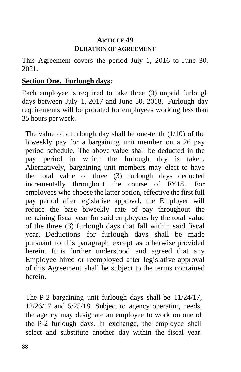## **ARTICLE 49 DURATION OF AGREEMENT**

This Agreement covers the period July 1, 2016 to June 30, 2021.

### **Section One. Furlough days:**

Each employee is required to take three (3) unpaid furlough days between July 1, 2017 and June 30, 2018. Furlough day requirements will be prorated for employees working less than 35 hours perweek.

The value of a furlough day shall be one-tenth  $(1/10)$  of the biweekly pay for a bargaining unit member on a 26 pay period schedule. The above value shall be deducted in the pay period in which the furlough day is taken. Alternatively, bargaining unit members may elect to have the total value of three (3) furlough days deducted incrementally throughout the course of FY18. For employees who choose the latter option, effective the first full pay period after legislative approval, the Employer will reduce the base biweekly rate of pay throughout the remaining fiscal year for said employees by the total value of the three (3) furlough days that fall within said fiscal year. Deductions for furlough days shall be made pursuant to this paragraph except as otherwise provided herein. It is further understood and agreed that any Employee hired or reemployed after legislative approval of this Agreement shall be subject to the terms contained herein.

The P-2 bargaining unit furlough days shall be 11/24/17, 12/26/17 and 5/25/18. Subject to agency operating needs, the agency may designate an employee to work on one of the P-2 furlough days. In exchange, the employee shall select and substitute another day within the fiscal year.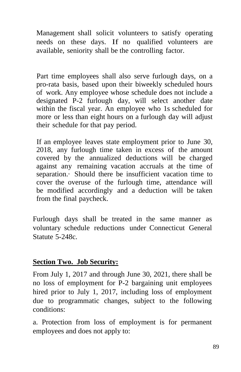Management shall solicit volunteers to satisfy operating needs on these days. If no qualified volunteers are available, seniority shall be the controlling factor.

Part time employees shall also serve furlough days, on a pro-rata basis, based upon their biweekly scheduled hours of work. Any employee whose schedule does not include a designated P-2 furlough day, will select another date within the fiscal year. An employee who 1s scheduled for more or less than eight hours on a furlough day will adjust their schedule for that pay period.

If an employee leaves state employment prior to June 30, 2018, any furlough time taken in excess of the amount covered by the annualized deductions will be charged against any remaining vacation accruals at the time of separation.· Should there be insufficient vacation time to cover the overuse of the furlough time, attendance will be modified accordingly and a deduction will be taken from the final paycheck.

Furlough days shall be treated in the same manner as voluntary schedule reductions under Connecticut General Statute 5-248c.

## **Section Two. Job Security:**

From July 1, 2017 and through June 30, 2021, there shall be no loss of employment for P-2 bargaining unit employees hired prior to July 1, 2017, including loss of employment due to programmatic changes, subject to the following conditions:

a. Protection from loss of employment is for permanent employees and does not apply to: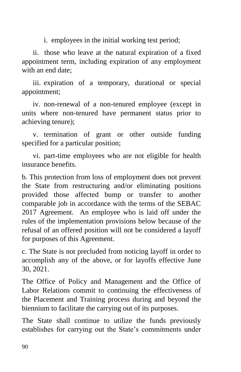i. employees in the initial working test period;

ii. those who leave at the natural expiration of a fixed appointment term, including expiration of any employment with an end date;

iii. expiration of a temporary, durational or special appointment;

iv. non-renewal of a non-tenured employee (except in units where non-tenured have permanent status prior to achieving tenure);

v. termination of grant or other outside funding specified for a particular position;

vi. part-time employees who are not eligible for health insurance benefits.

b. This protection from loss of employment does not prevent the State from restructuring and/or eliminating positions provided those affected bump or transfer to another comparable job in accordance with the terms of the SEBAC 2017 Agreement. An employee who is laid off under the rules of the implementation provisions below because of the refusal of an offered position will not be considered a layoff for purposes of this Agreement.

c. The State is not precluded from noticing layoff in order to accomplish any of the above, or for layoffs effective June 30, 2021.

The Office of Policy and Management and the Office of Labor Relations commit to continuing the effectiveness of the Placement and Training process during and beyond the biennium to facilitate the carrying out of its purposes.

The State shall continue to utilize the funds previously establishes for carrying out the State's commitments under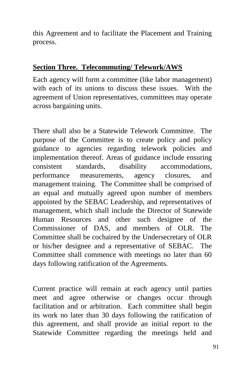this Agreement and to facilitate the Placement and Training process.

### **Section Three. Telecommuting/ Telework/AWS**

Each agency will form a committee (like labor management) with each of its unions to discuss these issues. With the agreement of Union representatives, committees may operate across bargaining units.

There shall also be a Statewide Telework Committee. The purpose of the Committee is to create policy and policy guidance to agencies regarding telework policies and implementation thereof. Areas of guidance include ensuring consistent standards, disability accommodations, performance measurements, agency closures, and management training. The Committee shall be comprised of an equal and mutually agreed upon number of members appointed by the SEBAC Leadership, and representatives of management, which shall include the Director of Statewide Human Resources and other such designee of the Commissioner of DAS, and members of OLR. The Committee shall be cochaired by the Undersecretary of OLR or his/her designee and a representative of SEBAC. The Committee shall commence with meetings no later than 60 days following ratification of the Agreements.

Current practice will remain at each agency until parties meet and agree otherwise or changes occur through facilitation and or arbitration. Each committee shall begin its work no later than 30 days following the ratification of this agreement, and shall provide an initial report to the Statewide Committee regarding the meetings held and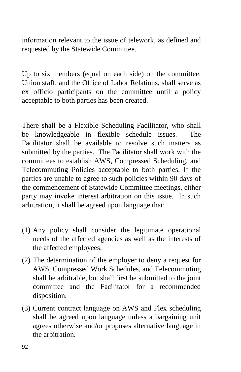information relevant to the issue of telework, as defined and requested by the Statewide Committee.

Up to six members (equal on each side) on the committee. Union staff, and the Office of Labor Relations, shall serve as ex officio participants on the committee until a policy acceptable to both parties has been created.

There shall be a Flexible Scheduling Facilitator, who shall be knowledgeable in flexible schedule issues. The Facilitator shall be available to resolve such matters as submitted by the parties. The Facilitator shall work with the committees to establish AWS, Compressed Scheduling, and Telecommuting Policies acceptable to both parties. If the parties are unable to agree to such policies within 90 days of the commencement of Statewide Committee meetings, either party may invoke interest arbitration on this issue. In such arbitration, it shall be agreed upon language that:

- (1) Any policy shall consider the legitimate operational needs of the affected agencies as well as the interests of the affected employees.
- (2) The determination of the employer to deny a request for AWS, Compressed Work Schedules, and Telecommuting shall be arbitrable, but shall first be submitted to the joint committee and the Facilitator for a recommended disposition.
- (3) Current contract language on AWS and Flex scheduling shall be agreed upon language unless a bargaining unit agrees otherwise and/or proposes alternative language in the arbitration.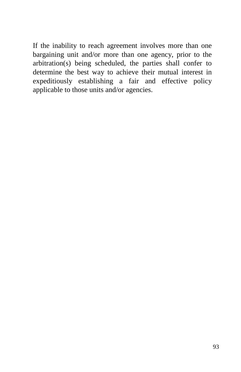If the inability to reach agreement involves more than one bargaining unit and/or more than one agency, prior to the arbitration(s) being scheduled, the parties shall confer to determine the best way to achieve their mutual interest in expeditiously establishing a fair and effective policy applicable to those units and/or agencies.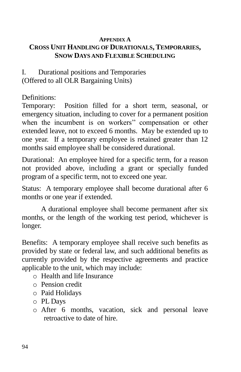#### **APPENDIX A CROSS UNIT HANDLING OF DURATIONALS, TEMPORARIES, SNOW DAYS AND FLEXIBLE SCHEDULING**

## I. Durational positions and Temporaries (Offered to all OLR Bargaining Units)

Definitions:

Temporary: Position filled for a short term, seasonal, or emergency situation, including to cover for a permanent position when the incumbent is on workers'' compensation or other extended leave, not to exceed 6 months. May be extended up to one year. If a temporary employee is retained greater than 12 months said employee shall be considered durational.

Durational: An employee hired for a specific term, for a reason not provided above, including a grant or specially funded program of a specific term, not to exceed one year.

Status: A temporary employee shall become durational after 6 months or one year if extended.

A durational employee shall become permanent after six months, or the length of the working test period, whichever is longer.

Benefits: A temporary employee shall receive such benefits as provided by state or federal law, and such additional benefits as currently provided by the respective agreements and practice applicable to the unit, which may include:

- o Health and life Insurance
- o Pension credit
- o Paid Holidays
- o PL Days
- o After 6 months, vacation, sick and personal leave retroactive to date of hire.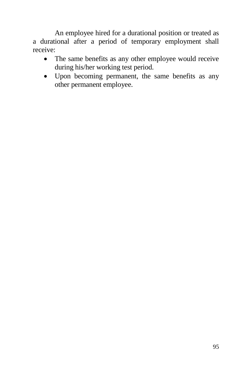An employee hired for a durational position or treated as a durational after a period of temporary employment shall receive:

- The same benefits as any other employee would receive during his/her working test period.
- Upon becoming permanent, the same benefits as any other permanent employee.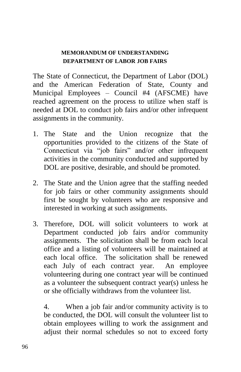#### **MEMORANDUM OF UNDERSTANDING DEPARTMENT OF LABOR JOB FAIRS**

The State of Connecticut, the Department of Labor (DOL) and the American Federation of State, County and Municipal Employees – Council #4 (AFSCME) have reached agreement on the process to utilize when staff is needed at DOL to conduct job fairs and/or other infrequent assignments in the community.

- 1. The State and the Union recognize that the opportunities provided to the citizens of the State of Connecticut via "job fairs" and/or other infrequent activities in the community conducted and supported by DOL are positive, desirable, and should be promoted.
- 2. The State and the Union agree that the staffing needed for job fairs or other community assignments should first be sought by volunteers who are responsive and interested in working at such assignments.
- 3. Therefore, DOL will solicit volunteers to work at Department conducted job fairs and/or community assignments. The solicitation shall be from each local office and a listing of volunteers will be maintained at each local office. The solicitation shall be renewed each July of each contract year. An employee volunteering during one contract year will be continued as a volunteer the subsequent contract year(s) unless he or she officially withdraws from the volunteer list.

4. When a job fair and/or community activity is to be conducted, the DOL will consult the volunteer list to obtain employees willing to work the assignment and adjust their normal schedules so not to exceed forty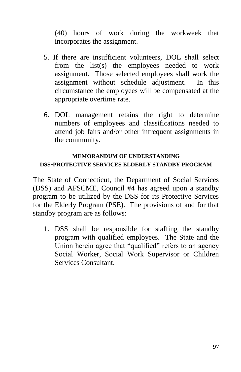(40) hours of work during the workweek that incorporates the assignment.

- 5. If there are insufficient volunteers, DOL shall select from the list(s) the employees needed to work assignment. Those selected employees shall work the assignment without schedule adjustment. In this circumstance the employees will be compensated at the appropriate overtime rate.
- 6. DOL management retains the right to determine numbers of employees and classifications needed to attend job fairs and/or other infrequent assignments in the community.

#### **MEMORANDUM OF UNDERSTANDING DSS-PROTECTIVE SERVICES ELDERLY STANDBY PROGRAM**

The State of Connecticut, the Department of Social Services (DSS) and AFSCME, Council #4 has agreed upon a standby program to be utilized by the DSS for its Protective Services for the Elderly Program (PSE). The provisions of and for that standby program are as follows:

1. DSS shall be responsible for staffing the standby program with qualified employees. The State and the Union herein agree that "qualified" refers to an agency Social Worker, Social Work Supervisor or Children Services Consultant.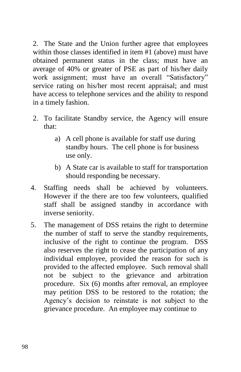2. The State and the Union further agree that employees within those classes identified in item #1 (above) must have obtained permanent status in the class; must have an average of 40% or greater of PSE as part of his/her daily work assignment; must have an overall "Satisfactory" service rating on his/her most recent appraisal; and must have access to telephone services and the ability to respond in a timely fashion.

- 2. To facilitate Standby service, the Agency will ensure that:
	- a) A cell phone is available for staff use during standby hours. The cell phone is for business use only.
	- b) A State car is available to staff for transportation should responding be necessary.
- 4. Staffing needs shall be achieved by volunteers. However if the there are too few volunteers, qualified staff shall be assigned standby in accordance with inverse seniority.
- 5. The management of DSS retains the right to determine the number of staff to serve the standby requirements, inclusive of the right to continue the program. DSS also reserves the right to cease the participation of any individual employee, provided the reason for such is provided to the affected employee. Such removal shall not be subject to the grievance and arbitration procedure. Six (6) months after removal, an employee may petition DSS to be restored to the rotation; the Agency's decision to reinstate is not subject to the grievance procedure. An employee may continue to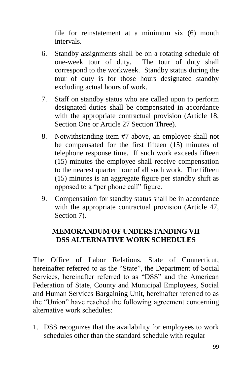file for reinstatement at a minimum six (6) month intervals.

- 6. Standby assignments shall be on a rotating schedule of one-week tour of duty. The tour of duty shall correspond to the workweek. Standby status during the tour of duty is for those hours designated standby excluding actual hours of work.
- 7. Staff on standby status who are called upon to perform designated duties shall be compensated in accordance with the appropriate contractual provision (Article 18, Section One or Article 27 Section Three).
- 8. Notwithstanding item #7 above, an employee shall not be compensated for the first fifteen (15) minutes of telephone response time. If such work exceeds fifteen (15) minutes the employee shall receive compensation to the nearest quarter hour of all such work. The fifteen (15) minutes is an aggregate figure per standby shift as opposed to a "per phone call" figure.
- 9. Compensation for standby status shall be in accordance with the appropriate contractual provision (Article 47, Section 7).

## **MEMORANDUM OF UNDERSTANDING VII DSS ALTERNATIVE WORK SCHEDULES**

The Office of Labor Relations, State of Connecticut, hereinafter referred to as the "State", the Department of Social Services, hereinafter referred to as "DSS" and the American Federation of State, County and Municipal Employees, Social and Human Services Bargaining Unit, hereinafter referred to as the "Union" have reached the following agreement concerning alternative work schedules:

1. DSS recognizes that the availability for employees to work schedules other than the standard schedule with regular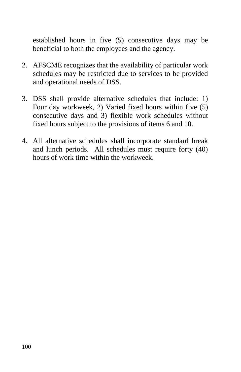established hours in five (5) consecutive days may be beneficial to both the employees and the agency.

- 2. AFSCME recognizes that the availability of particular work schedules may be restricted due to services to be provided and operational needs of DSS.
- 3. DSS shall provide alternative schedules that include: 1) Four day workweek, 2) Varied fixed hours within five (5) consecutive days and 3) flexible work schedules without fixed hours subject to the provisions of items 6 and 10.
- 4. All alternative schedules shall incorporate standard break and lunch periods. All schedules must require forty (40) hours of work time within the workweek.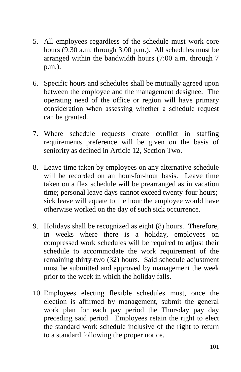- 5. All employees regardless of the schedule must work core hours (9:30 a.m. through 3:00 p.m.). All schedules must be arranged within the bandwidth hours (7:00 a.m. through 7 p.m.).
- 6. Specific hours and schedules shall be mutually agreed upon between the employee and the management designee. The operating need of the office or region will have primary consideration when assessing whether a schedule request can be granted.
- 7. Where schedule requests create conflict in staffing requirements preference will be given on the basis of seniority as defined in Article 12, Section Two.
- 8. Leave time taken by employees on any alternative schedule will be recorded on an hour-for-hour basis. Leave time taken on a flex schedule will be prearranged as in vacation time; personal leave days cannot exceed twenty-four hours; sick leave will equate to the hour the employee would have otherwise worked on the day of such sick occurrence.
- 9. Holidays shall be recognized as eight (8) hours. Therefore, in weeks where there is a holiday, employees on compressed work schedules will be required to adjust their schedule to accommodate the work requirement of the remaining thirty-two (32) hours. Said schedule adjustment must be submitted and approved by management the week prior to the week in which the holiday falls.
- 10. Employees electing flexible schedules must, once the election is affirmed by management, submit the general work plan for each pay period the Thursday pay day preceding said period. Employees retain the right to elect the standard work schedule inclusive of the right to return to a standard following the proper notice.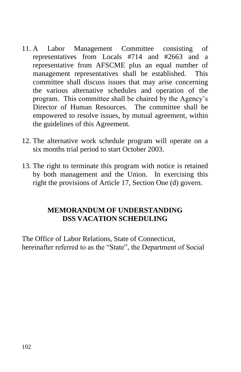- 11. A Labor Management Committee consisting of representatives from Locals #714 and #2663 and a representative from AFSCME plus an equal number of management representatives shall be established. This committee shall discuss issues that may arise concerning the various alternative schedules and operation of the program. This committee shall be chaired by the Agency's Director of Human Resources. The committee shall be empowered to resolve issues, by mutual agreement, within the guidelines of this Agreement.
- 12. The alternative work schedule program will operate on a six months trial period to start October 2003.
- 13. The right to terminate this program with notice is retained by both management and the Union. In exercising this right the provisions of Article 17, Section One (d) govern.

## **MEMORANDUM OF UNDERSTANDING DSS VACATION SCHEDULING**

The Office of Labor Relations, State of Connecticut, hereinafter referred to as the "State", the Department of Social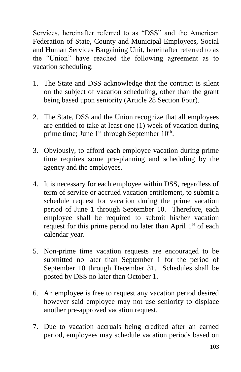Services, hereinafter referred to as "DSS" and the American Federation of State, County and Municipal Employees, Social and Human Services Bargaining Unit, hereinafter referred to as the "Union" have reached the following agreement as to vacation scheduling:

- 1. The State and DSS acknowledge that the contract is silent on the subject of vacation scheduling, other than the grant being based upon seniority (Article 28 Section Four).
- 2. The State, DSS and the Union recognize that all employees are entitled to take at least one (1) week of vacation during prime time; June 1<sup>st</sup> through September 10<sup>th</sup>.
- 3. Obviously, to afford each employee vacation during prime time requires some pre-planning and scheduling by the agency and the employees.
- 4. It is necessary for each employee within DSS, regardless of term of service or accrued vacation entitlement, to submit a schedule request for vacation during the prime vacation period of June 1 through September 10. Therefore, each employee shall be required to submit his/her vacation request for this prime period no later than April  $1<sup>st</sup>$  of each calendar year.
- 5. Non-prime time vacation requests are encouraged to be submitted no later than September 1 for the period of September 10 through December 31. Schedules shall be posted by DSS no later than October 1.
- 6. An employee is free to request any vacation period desired however said employee may not use seniority to displace another pre-approved vacation request.
- 7. Due to vacation accruals being credited after an earned period, employees may schedule vacation periods based on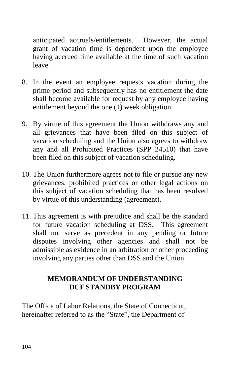anticipated accruals/entitlements. However, the actual grant of vacation time is dependent upon the employee having accrued time available at the time of such vacation leave.

- 8. In the event an employee requests vacation during the prime period and subsequently has no entitlement the date shall become available for request by any employee having entitlement beyond the one (1) week obligation.
- 9. By virtue of this agreement the Union withdraws any and all grievances that have been filed on this subject of vacation scheduling and the Union also agrees to withdraw any and all Prohibited Practices (SPP 24510) that have been filed on this subject of vacation scheduling.
- 10. The Union furthermore agrees not to file or pursue any new grievances, prohibited practices or other legal actions on this subject of vacation scheduling that has been resolved by virtue of this understanding (agreement).
- 11. This agreement is with prejudice and shall be the standard for future vacation scheduling at DSS. This agreement shall not serve as precedent in any pending or future disputes involving other agencies and shall not be admissible as evidence in an arbitration or other proceeding involving any parties other than DSS and the Union.

#### **MEMORANDUM OF UNDERSTANDING DCF STANDBY PROGRAM**

The Office of Labor Relations, the State of Connecticut, hereinafter referred to as the "State", the Department of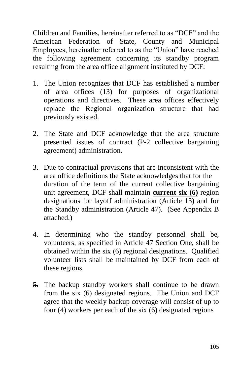Children and Families, hereinafter referred to as "DCF" and the American Federation of State, County and Municipal Employees, hereinafter referred to as the "Union" have reached the following agreement concerning its standby program resulting from the area office alignment instituted by DCF:

- 1. The Union recognizes that DCF has established a number of area offices (13) for purposes of organizational operations and directives. These area offices effectively replace the Regional organization structure that had previously existed.
- 2. The State and DCF acknowledge that the area structure presented issues of contract (P-2 collective bargaining agreement) administration.
- 3. Due to contractual provisions that are inconsistent with the area office definitions the State acknowledges that for the duration of the term of the current collective bargaining unit agreement, DCF shall maintain **current six (6)** region designations for layoff administration (Article 13) and for the Standby administration (Article 47). (See Appendix B attached.)
- 4. In determining who the standby personnel shall be, volunteers, as specified in Article 47 Section One, shall be obtained within the six (6) regional designations. Qualified volunteer lists shall be maintained by DCF from each of these regions.
- 5. The backup standby workers shall continue to be drawn from the six (6) designated regions. The Union and DCF agree that the weekly backup coverage will consist of up to four (4) workers per each of the six (6) designated regions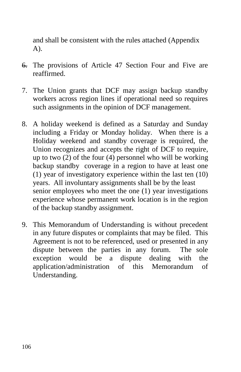and shall be consistent with the rules attached (Appendix A).

- 6. The provisions of Article 47 Section Four and Five are reaffirmed.
- 7. The Union grants that DCF may assign backup standby workers across region lines if operational need so requires such assignments in the opinion of DCF management.
- 8. A holiday weekend is defined as a Saturday and Sunday including a Friday or Monday holiday. When there is a Holiday weekend and standby coverage is required, the Union recognizes and accepts the right of DCF to require, up to two (2) of the four (4) personnel who will be working backup standby coverage in a region to have at least one (1) year of investigatory experience within the last ten (10) years. All involuntary assignments shall be by the least senior employees who meet the one (1) year investigations experience whose permanent work location is in the region of the backup standby assignment.
- 9. This Memorandum of Understanding is without precedent in any future disputes or complaints that may be filed. This Agreement is not to be referenced, used or presented in any dispute between the parties in any forum. The sole exception would be a dispute dealing with the application/administration of this Memorandum of Understanding.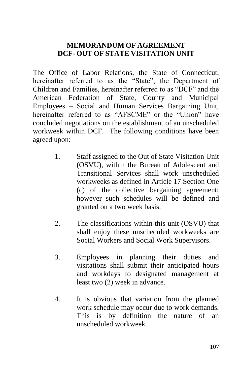#### **MEMORANDUM OF AGREEMENT DCF- OUT OF STATE VISITATION UNIT**

The Office of Labor Relations, the State of Connecticut, hereinafter referred to as the "State", the Department of Children and Families, hereinafter referred to as "DCF" and the American Federation of State, County and Municipal Employees – Social and Human Services Bargaining Unit, hereinafter referred to as "AFSCME" or the "Union" have concluded negotiations on the establishment of an unscheduled workweek within DCF. The following conditions have been agreed upon:

- 1. Staff assigned to the Out of State Visitation Unit (OSVU), within the Bureau of Adolescent and Transitional Services shall work unscheduled workweeks as defined in Article 17 Section One (c) of the collective bargaining agreement; however such schedules will be defined and granted on a two week basis.
- 2. The classifications within this unit (OSVU) that shall enjoy these unscheduled workweeks are Social Workers and Social Work Supervisors.
- 3. Employees in planning their duties and visitations shall submit their anticipated hours and workdays to designated management at least two (2) week in advance.
- 4. It is obvious that variation from the planned work schedule may occur due to work demands. This is by definition the nature of an unscheduled workweek.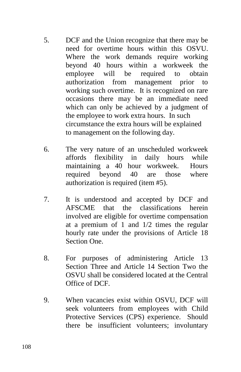- 5. DCF and the Union recognize that there may be need for overtime hours within this OSVU. Where the work demands require working beyond 40 hours within a workweek the employee will be required to obtain authorization from management prior to working such overtime. It is recognized on rare occasions there may be an immediate need which can only be achieved by a judgment of the employee to work extra hours. In such circumstance the extra hours will be explained to management on the following day.
- 6. The very nature of an unscheduled workweek affords flexibility in daily hours while maintaining a 40 hour workweek. Hours required beyond 40 are those where authorization is required (item #5).
- 7. It is understood and accepted by DCF and AFSCME that the classifications herein involved are eligible for overtime compensation at a premium of 1 and 1/2 times the regular hourly rate under the provisions of Article 18 Section One.
- 8. For purposes of administering Article 13 Section Three and Article 14 Section Two the OSVU shall be considered located at the Central Office of DCF.
- 9. When vacancies exist within OSVU, DCF will seek volunteers from employees with Child Protective Services (CPS) experience. Should there be insufficient volunteers; involuntary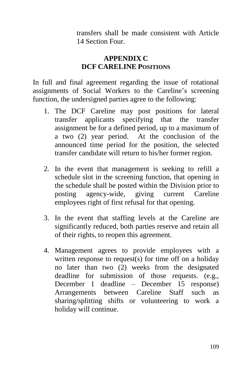transfers shall be made consistent with Article 14 Section Four.

## **APPENDIX C DCF CARELINE POSITIONS**

In full and final agreement regarding the issue of rotational assignments of Social Workers to the Careline's screening function, the undersigned parties agree to the following:

- 1. The DCF Careline may post positions for lateral transfer applicants specifying that the transfer assignment be for a defined period, up to a maximum of a two (2) year period. At the conclusion of the announced time period for the position, the selected transfer candidate will return to his/her former region.
- 2. In the event that management is seeking to refill a schedule slot in the screening function, that opening in the schedule shall be posted within the Division prior to posting agency-wide, giving current Careline employees right of first refusal for that opening.
- 3. In the event that staffing levels at the Careline are significantly reduced, both parties reserve and retain all of their rights, to reopen this agreement.
- 4. Management agrees to provide employees with a written response to request(s) for time off on a holiday no later than two (2) weeks from the designated deadline for submission of those requests. (e.g., December 1 deadline – December 15 response) Arrangements between Careline Staff such as sharing/splitting shifts or volunteering to work a holiday will continue.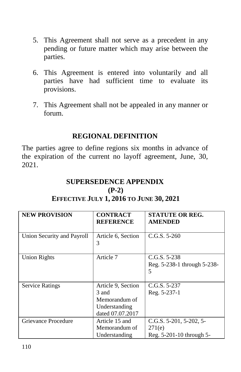- 5. This Agreement shall not serve as a precedent in any pending or future matter which may arise between the parties.
- 6. This Agreement is entered into voluntarily and all parties have had sufficient time to evaluate its provisions.
- 7. This Agreement shall not be appealed in any manner or forum.

#### **REGIONAL DEFINITION**

The parties agree to define regions six months in advance of the expiration of the current no layoff agreement, June, 30, 2021.

#### **SUPERSEDENCE APPENDIX (P-2) EFFECTIVE JULY 1, 2016 TO JUNE 30, 2021**

| <b>NEW PROVISION</b>       | <b>CONTRACT</b><br><b>REFERENCE</b>                                               | <b>STATUTE OR REG.</b><br><b>AMENDED</b>                                  |
|----------------------------|-----------------------------------------------------------------------------------|---------------------------------------------------------------------------|
| Union Security and Payroll | Article 6, Section<br>3                                                           | $C.G.S. 5-260$                                                            |
| <b>Union Rights</b>        | Article 7                                                                         | $C.G.S. 5-238$<br>Reg. 5-238-1 through 5-238-<br>5                        |
| <b>Service Ratings</b>     | Article 9, Section<br>3 and<br>Memorandum of<br>Understanding<br>dated 07.07.2017 | $C.G.S. 5-237$<br>Reg. 5-237-1                                            |
| Grievance Procedure        | Article 15 and<br>Memorandum of<br>Understanding                                  | C.G.S. $5-201$ , $5-202$ , $5-$<br>271(e)<br>Reg. $5-201-10$ through $5-$ |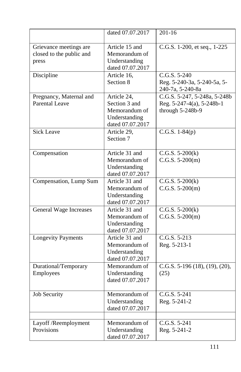|                                                             | dated 07.07.2017                                                                   | $201 - 16$                                                                    |
|-------------------------------------------------------------|------------------------------------------------------------------------------------|-------------------------------------------------------------------------------|
| Grievance meetings are<br>closed to the public and<br>press | Article 15 and<br>Memorandum of<br>Understanding<br>dated 07.07.2017               | C.G.S. 1-200, et seq., 1-225                                                  |
| Discipline                                                  | Article 16,<br>Section 8                                                           | C.G.S. 5-240<br>Reg. 5-240-3a, 5-240-5a, 5-<br>240-7a, 5-240-8a               |
| Pregnancy, Maternal and<br><b>Parental Leave</b>            | Article 24,<br>Section 3 and<br>Memorandum of<br>Understanding<br>dated 07.07.2017 | C.G.S. 5-247, 5-248a, 5-248b<br>Reg. 5-247-4(a), 5-248b-1<br>through 5-248b-9 |
| <b>Sick Leave</b>                                           | Article 29,<br>Section 7                                                           | C.G.S. $1-84(p)$                                                              |
| Compensation                                                | Article 31 and<br>Memorandum of<br>Understanding<br>dated 07.07.2017               | $C.G.S. 5-200(k)$<br>$C.G.S. 5-200(m)$                                        |
| Compensation, Lump Sum                                      | Article 31 and<br>Memorandum of<br>Understanding<br>dated 07.07.2017               | $\overline{C}$ .G.S. 5-200(k)<br>$C.G.S. 5-200(m)$                            |
| <b>General Wage Increases</b>                               | Article 31 and<br>Memorandum of<br>Understanding<br>dated 07.07.2017               | $C.G.S. 5-200(k)$<br>$C.G.S. 5-200(m)$                                        |
| <b>Longevity Payments</b>                                   | Article 31 and<br>Memorandum of<br>Understanding<br>dated 07.07.2017               | C.G.S. 5-213<br>Reg. 5-213-1                                                  |
| Durational/Temporary<br>Employees                           | Memorandum of<br>Understanding<br>dated 07.07.2017                                 | C.G.S. $5-196$ (18), (19), (20),<br>(25)                                      |
| <b>Job Security</b>                                         | Memorandum of<br>Understanding<br>dated 07.07.2017                                 | $C.G.S. 5-241$<br>Reg. 5-241-2                                                |
| Layoff /Reemployment<br>Provisions                          | Memorandum of<br>Understanding<br>dated 07.07.2017                                 | C.G.S. 5-241<br>Reg. 5-241-2                                                  |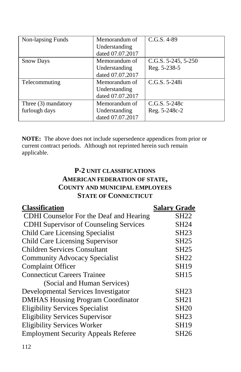| Non-lapsing Funds   | Memorandum of    | $C.G.S. 4-89$            |
|---------------------|------------------|--------------------------|
|                     | Understanding    |                          |
|                     | dated 07.07.2017 |                          |
| <b>Snow Days</b>    | Memorandum of    | C.G.S. $5-245$ , $5-250$ |
|                     | Understanding    | Reg. 5-238-5             |
|                     | dated 07.07.2017 |                          |
| Telecommuting       | Memorandum of    | $C.G.S. 5-248i$          |
|                     | Understanding    |                          |
|                     | dated 07.07.2017 |                          |
| Three (3) mandatory | Memorandum of    | $C.G.S. 5-248c$          |
| furlough days       | Understanding    | Reg. 5-248c-2            |
|                     | dated 07.07.2017 |                          |

**NOTE:** The above does not include supersedence appendices from prior or current contract periods. Although not reprinted herein such remain applicable.

### **P-2 UNIT CLASSIFICATIONS AMERICAN FEDERATION OF STATE, COUNTY AND MUNICIPAL EMPLOYEES STATE OF CONNECTICUT**

| <b>Classification</b>                         | <b>Salary Grade</b> |
|-----------------------------------------------|---------------------|
| CDHI Counselor For the Deaf and Hearing       | <b>SH22</b>         |
| <b>CDHI</b> Supervisor of Counseling Services | <b>SH24</b>         |
| <b>Child Care Licensing Specialist</b>        | <b>SH23</b>         |
| <b>Child Care Licensing Supervisor</b>        | <b>SH25</b>         |
| <b>Children Services Consultant</b>           | <b>SH25</b>         |
| <b>Community Advocacy Specialist</b>          | <b>SH22</b>         |
| <b>Complaint Officer</b>                      | <b>SH19</b>         |
| <b>Connecticut Careers Trainee</b>            | <b>SH15</b>         |
| (Social and Human Services)                   |                     |
| Developmental Services Investigator           | <b>SH23</b>         |
| <b>DMHAS Housing Program Coordinator</b>      | <b>SH21</b>         |
| <b>Eligibility Services Specialist</b>        | <b>SH20</b>         |
| <b>Eligibility Services Supervisor</b>        | <b>SH23</b>         |
| <b>Eligibility Services Worker</b>            | <b>SH19</b>         |
| <b>Employment Security Appeals Referee</b>    | <b>SH26</b>         |
|                                               |                     |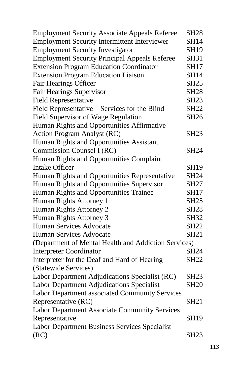| <b>Employment Security Associate Appeals Referee</b> | <b>SH28</b> |
|------------------------------------------------------|-------------|
| <b>Employment Security Intermittent Interviewer</b>  | <b>SH14</b> |
| <b>Employment Security Investigator</b>              | <b>SH19</b> |
| <b>Employment Security Principal Appeals Referee</b> | <b>SH31</b> |
| <b>Extension Program Education Coordinator</b>       | <b>SH17</b> |
| <b>Extension Program Education Liaison</b>           | <b>SH14</b> |
| Fair Hearings Officer                                | <b>SH25</b> |
| <b>Fair Hearings Supervisor</b>                      | <b>SH28</b> |
| <b>Field Representative</b>                          | <b>SH23</b> |
| Field Representative - Services for the Blind        | <b>SH22</b> |
| Field Supervisor of Wage Regulation                  | SH26        |
| Human Rights and Opportunities Affirmative           |             |
| Action Program Analyst (RC)                          | SH23        |
| Human Rights and Opportunities Assistant             |             |
| Commission Counsel I (RC)                            | <b>SH24</b> |
| Human Rights and Opportunities Complaint             |             |
| <b>Intake Officer</b>                                | <b>SH19</b> |
| Human Rights and Opportunities Representative        | <b>SH24</b> |
| Human Rights and Opportunities Supervisor            | SH27        |
| Human Rights and Opportunities Trainee               | <b>SH17</b> |
| Human Rights Attorney 1                              | <b>SH25</b> |
| Human Rights Attorney 2                              | <b>SH28</b> |
| Human Rights Attorney 3                              | <b>SH32</b> |
| <b>Human Services Advocate</b>                       | SH22        |
| <b>Human Services Advocate</b>                       | <b>SH21</b> |
| (Department of Mental Health and Addiction Services) |             |
| <b>Interpreter Coordinator</b>                       | <b>SH24</b> |
| Interpreter for the Deaf and Hard of Hearing         | <b>SH22</b> |
| (Statewide Services)                                 |             |
| Labor Department Adjudications Specialist (RC)       | <b>SH23</b> |
| Labor Department Adjudications Specialist            | <b>SH20</b> |
| Labor Department associated Community Services       |             |
| Representative (RC)                                  | <b>SH21</b> |
| Labor Department Associate Community Services        |             |
| Representative                                       | <b>SH19</b> |
| Labor Department Business Services Specialist        |             |
| (RC)                                                 | <b>SH23</b> |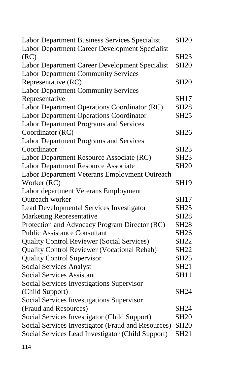| Labor Department Business Services Specialist      | <b>SH20</b>      |
|----------------------------------------------------|------------------|
| Labor Department Career Development Specialist     |                  |
| (RC)                                               | <b>SH23</b>      |
| Labor Department Career Development Specialist     | <b>SH20</b>      |
| <b>Labor Department Community Services</b>         |                  |
| Representative (RC)                                | <b>SH20</b>      |
| <b>Labor Department Community Services</b>         |                  |
| Representative                                     | SH17             |
| Labor Department Operations Coordinator (RC)       | <b>SH28</b>      |
| <b>Labor Department Operations Coordinator</b>     | <b>SH25</b>      |
| Labor Department Programs and Services             |                  |
| Coordinator (RC)                                   | <b>SH26</b>      |
| <b>Labor Department Programs and Services</b>      |                  |
| Coordinator                                        | <b>SH23</b>      |
| Labor Department Resource Associate (RC)           | <b>SH23</b>      |
| <b>Labor Department Resource Associate</b>         | <b>SH20</b>      |
| Labor Department Veterans Employment Outreach      |                  |
| Worker (RC)                                        | <b>SH19</b>      |
| Labor department Veterans Employment               |                  |
| Outreach worker                                    | <b>SH17</b>      |
| Lead Developmental Services Investigator           | <b>SH25</b>      |
| <b>Marketing Representative</b>                    | <b>SH28</b>      |
| Protection and Advocacy Program Director (RC)      | <b>SH28</b>      |
| <b>Public Assistance Consultant</b>                | SH <sub>26</sub> |
| <b>Quality Control Reviewer (Social Services)</b>  | <b>SH22</b>      |
| <b>Quality Control Reviewer (Vocational Rehab)</b> | <b>SH22</b>      |
| <b>Quality Control Supervisor</b>                  | SH25             |
| <b>Social Services Analyst</b>                     | <b>SH21</b>      |
| <b>Social Services Assistant</b>                   | <b>SH11</b>      |
| Social Services Investigations Supervisor          |                  |
| (Child Support)                                    | <b>SH24</b>      |
| Social Services Investigations Supervisor          |                  |
| (Fraud and Resources)                              | SH24             |
| Social Services Investigator (Child Support)       | <b>SH20</b>      |
| Social Services Investigator (Fraud and Resources) | <b>SH20</b>      |
| Social Services Lead Investigator (Child Support)  | <b>SH21</b>      |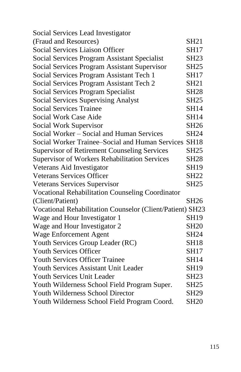| Social Services Lead Investigator                         |                  |
|-----------------------------------------------------------|------------------|
| (Fraud and Resources)                                     | <b>SH21</b>      |
| <b>Social Services Liaison Officer</b>                    | <b>SH17</b>      |
| Social Services Program Assistant Specialist              | <b>SH23</b>      |
| Social Services Program Assistant Supervisor              | <b>SH25</b>      |
| Social Services Program Assistant Tech 1                  | <b>SH17</b>      |
| Social Services Program Assistant Tech 2                  | <b>SH21</b>      |
| Social Services Program Specialist                        | <b>SH28</b>      |
| Social Services Supervising Analyst                       | <b>SH25</b>      |
| <b>Social Services Trainee</b>                            | <b>SH14</b>      |
| Social Work Case Aide                                     | <b>SH14</b>      |
| Social Work Supervisor                                    | <b>SH26</b>      |
| Social Worker – Social and Human Services                 | <b>SH24</b>      |
| Social Worker Trainee–Social and Human Services SH18      |                  |
| <b>Supervisor of Retirement Counseling Services</b>       | <b>SH25</b>      |
| Supervisor of Workers Rehabilitation Services             | <b>SH28</b>      |
| Veterans Aid Investigator                                 | <b>SH19</b>      |
| <b>Veterans Services Officer</b>                          | <b>SH22</b>      |
| Veterans Services Supervisor                              | <b>SH25</b>      |
| <b>Vocational Rehabilitation Counseling Coordinator</b>   |                  |
| (Client/Patient)                                          | <b>SH26</b>      |
| Vocational Rehabilitation Counselor (Client/Patient) SH23 |                  |
| Wage and Hour Investigator 1                              | <b>SH19</b>      |
| Wage and Hour Investigator 2                              | <b>SH20</b>      |
| Wage Enforcement Agent                                    | <b>SH24</b>      |
| Youth Services Group Leader (RC)                          | <b>SH18</b>      |
| <b>Youth Services Officer</b>                             | <b>SH17</b>      |
| <b>Youth Services Officer Trainee</b>                     | <b>SH14</b>      |
| <b>Youth Services Assistant Unit Leader</b>               | <b>SH19</b>      |
| Youth Services Unit Leader                                | <b>SH23</b>      |
| Youth Wilderness School Field Program Super.              | <b>SH25</b>      |
| <b>Youth Wilderness School Director</b>                   | SH <sub>29</sub> |
| Youth Wilderness School Field Program Coord.              | <b>SH20</b>      |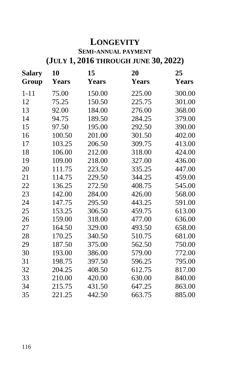## **LONGEVITY**

## **SEMI-ANNUAL PAYMENT (JULY 1, 2016 THROUGH JUNE 30, 2022)**

| <b>Salary</b><br>Group | 10<br><b>Years</b> | 15<br><b>Years</b> | 20<br><b>Years</b> | 25<br><b>Years</b> |
|------------------------|--------------------|--------------------|--------------------|--------------------|
| $1 - 11$               | 75.00              | 150.00             | 225.00             | 300.00             |
| 12                     | 75.25              | 150.50             | 225.75             | 301.00             |
| 13                     | 92.00              | 184.00             | 276.00             | 368.00             |
| 14                     | 94.75              | 189.50             | 284.25             | 379.00             |
| 15                     | 97.50              | 195.00             | 292.50             | 390.00             |
| 16                     | 100.50             | 201.00             | 301.50             | 402.00             |
| 17                     | 103.25             | 206.50             | 309.75             | 413.00             |
| 18                     | 106.00             | 212.00             | 318.00             | 424.00             |
| 19                     | 109.00             | 218.00             | 327.00             | 436.00             |
| 20                     | 111.75             | 223.50             | 335.25             | 447.00             |
| 21                     | 114.75             | 229.50             | 344.25             | 459.00             |
| 22                     | 136.25             | 272.50             | 408.75             | 545.00             |
| 23                     | 142.00             | 284.00             | 426.00             | 568.00             |
| 24                     | 147.75             | 295.50             | 443.25             | 591.00             |
| 25                     | 153.25             | 306.50             | 459.75             | 613.00             |
| 26                     | 159.00             | 318.00             | 477.00             | 636.00             |
| 27                     | 164.50             | 329.00             | 493.50             | 658.00             |
| 28                     | 170.25             | 340.50             | 510.75             | 681.00             |
| 29                     | 187.50             | 375.00             | 562.50             | 750.00             |
| 30                     | 193.00             | 386.00             | 579.00             | 772.00             |
| 31                     | 198.75             | 397.50             | 596.25             | 795.00             |
| 32                     | 204.25             | 408.50             | 612.75             | 817.00             |
| 33                     | 210.00             | 420.00             | 630.00             | 840.00             |
| 34                     | 215.75             | 431.50             | 647.25             | 863.00             |
| 35                     | 221.25             | 442.50             | 663.75             | 885.00             |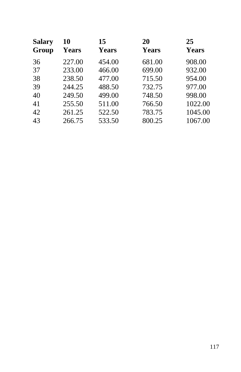| <b>Salary</b> | 10           | 15           | 20           | 25           |
|---------------|--------------|--------------|--------------|--------------|
| Group         | <b>Years</b> | <b>Years</b> | <b>Years</b> | <b>Years</b> |
| 36            | 227.00       | 454.00       | 681.00       | 908.00       |
| 37            | 233.00       | 466.00       | 699.00       | 932.00       |
| 38            | 238.50       | 477.00       | 715.50       | 954.00       |
| 39            | 244.25       | 488.50       | 732.75       | 977.00       |
| 40            | 249.50       | 499.00       | 748.50       | 998.00       |
| 41            | 255.50       | 511.00       | 766.50       | 1022.00      |
| 42            | 261.25       | 522.50       | 783.75       | 1045.00      |
| 43            | 266.75       | 533.50       | 800.25       | 1067.00      |
|               |              |              |              |              |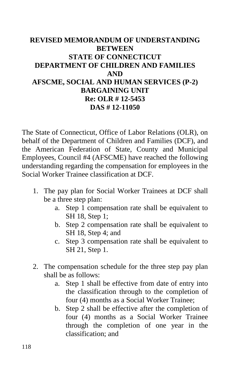### **REVISED MEMORANDUM OF UNDERSTANDING BETWEEN STATE OF CONNECTICUT DEPARTMENT OF CHILDREN AND FAMILIES AND AFSCME, SOCIAL AND HUMAN SERVICES (P-2) BARGAINING UNIT Re: OLR # 12-5453 DAS # 12-11050**

The State of Connecticut, Office of Labor Relations (OLR), on behalf of the Department of Children and Families (DCF), and the American Federation of State, County and Municipal Employees, Council #4 (AFSCME) have reached the following understanding regarding the compensation for employees in the Social Worker Trainee classification at DCF.

- 1. The pay plan for Social Worker Trainees at DCF shall be a three step plan:
	- a. Step 1 compensation rate shall be equivalent to SH 18, Step 1;
	- b. Step 2 compensation rate shall be equivalent to SH 18, Step 4; and
	- c. Step 3 compensation rate shall be equivalent to SH 21, Step 1.
- 2. The compensation schedule for the three step pay plan shall be as follows:
	- a. Step 1 shall be effective from date of entry into the classification through to the completion of four (4) months as a Social Worker Trainee;
	- b. Step 2 shall be effective after the completion of four (4) months as a Social Worker Trainee through the completion of one year in the classification; and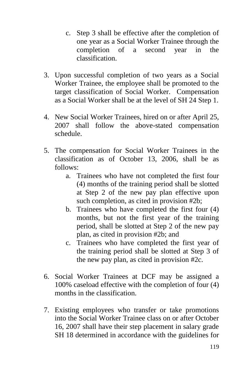- c. Step 3 shall be effective after the completion of one year as a Social Worker Trainee through the completion of a second year in the classification.
- 3. Upon successful completion of two years as a Social Worker Trainee, the employee shall be promoted to the target classification of Social Worker. Compensation as a Social Worker shall be at the level of SH 24 Step 1.
- 4. New Social Worker Trainees, hired on or after April 25, 2007 shall follow the above-stated compensation schedule.
- 5. The compensation for Social Worker Trainees in the classification as of October 13, 2006, shall be as follows:
	- a. Trainees who have not completed the first four (4) months of the training period shall be slotted at Step 2 of the new pay plan effective upon such completion, as cited in provision #2b;
	- b. Trainees who have completed the first four (4) months, but not the first year of the training period, shall be slotted at Step 2 of the new pay plan, as cited in provision #2b; and
	- c. Trainees who have completed the first year of the training period shall be slotted at Step 3 of the new pay plan, as cited in provision #2c.
- 6. Social Worker Trainees at DCF may be assigned a 100% caseload effective with the completion of four (4) months in the classification.
- 7. Existing employees who transfer or take promotions into the Social Worker Trainee class on or after October 16, 2007 shall have their step placement in salary grade SH 18 determined in accordance with the guidelines for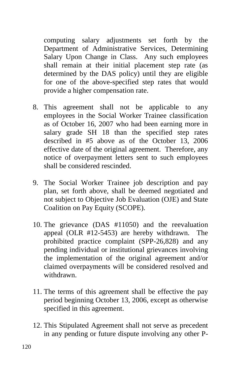computing salary adjustments set forth by the Department of Administrative Services, Determining Salary Upon Change in Class. Any such employees shall remain at their initial placement step rate (as determined by the DAS policy) until they are eligible for one of the above-specified step rates that would provide a higher compensation rate.

- 8. This agreement shall not be applicable to any employees in the Social Worker Trainee classification as of October 16, 2007 who had been earning more in salary grade SH 18 than the specified step rates described in #5 above as of the October 13, 2006 effective date of the original agreement. Therefore, any notice of overpayment letters sent to such employees shall be considered rescinded.
- 9. The Social Worker Trainee job description and pay plan, set forth above, shall be deemed negotiated and not subject to Objective Job Evaluation (OJE) and State Coalition on Pay Equity (SCOPE).
- 10. The grievance (DAS #11050) and the reevaluation appeal (OLR #12-5453) are hereby withdrawn. The prohibited practice complaint (SPP-26,828) and any pending individual or institutional grievances involving the implementation of the original agreement and/or claimed overpayments will be considered resolved and withdrawn.
- 11. The terms of this agreement shall be effective the pay period beginning October 13, 2006, except as otherwise specified in this agreement.
- 12. This Stipulated Agreement shall not serve as precedent in any pending or future dispute involving any other P-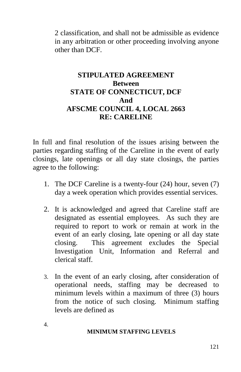2 classification, and shall not be admissible as evidence in any arbitration or other proceeding involving anyone other than DCF.

#### **STIPULATED AGREEMENT Between STATE OF CONNECTICUT, DCF And AFSCME COUNCIL 4, LOCAL 2663 RE: CARELINE**

In full and final resolution of the issues arising between the parties regarding staffing of the Careline in the event of early closings, late openings or all day state closings, the parties agree to the following:

- 1. The DCF Careline is a twenty-four (24) hour, seven (7) day a week operation which provides essential services.
- 2. It is acknowledged and agreed that Careline staff are designated as essential employees. As such they are required to report to work or remain at work in the event of an early closing, late opening or all day state closing. This agreement excludes the Special Investigation Unit, Information and Referral and clerical staff.
- 3. In the event of an early closing, after consideration of operational needs, staffing may be decreased to minimum levels within a maximum of three (3) hours from the notice of such closing. Minimum staffing levels are defined as

4.

#### **MINIMUM STAFFING LEVELS**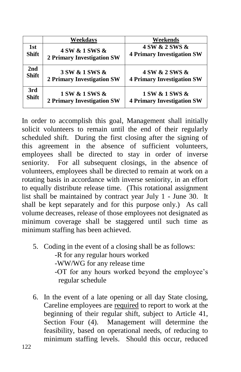|              | Weekdavs                          | Weekends                          |
|--------------|-----------------------------------|-----------------------------------|
| 1st          | 4 SW & 1 SWS &                    | 4 SW & 2 SWS &                    |
| <b>Shift</b> | <b>2 Primary Investigation SW</b> | <b>4 Primary Investigation SW</b> |
| 2nd          | 3 SW & 1 SWS &                    | 4 SW & 2 SWS &                    |
| <b>Shift</b> | <b>2 Primary Investigation SW</b> | <b>4 Primary Investigation SW</b> |
| 3rd          | 1 SW & 1 SWS &                    | 1 SW & 1 SWS &                    |
| Shift        | <b>2 Primary Investigation SW</b> | <b>4 Primary Investigation SW</b> |

In order to accomplish this goal, Management shall initially solicit volunteers to remain until the end of their regularly scheduled shift. During the first closing after the signing of this agreement in the absence of sufficient volunteers, employees shall be directed to stay in order of inverse seniority. For all subsequent closings, in the absence of volunteers, employees shall be directed to remain at work on a rotating basis in accordance with inverse seniority, in an effort to equally distribute release time. (This rotational assignment list shall be maintained by contract year July 1 - June 30. It shall be kept separately and for this purpose only.) As call volume decreases, release of those employees not designated as minimum coverage shall be staggered until such time as minimum staffing has been achieved.

- 5. Coding in the event of a closing shall be as follows: -R for any regular hours worked -WW/WG for any release time -OT for any hours worked beyond the employee's regular schedule
- 6. In the event of a late opening or all day State closing, Careline employees are required to report to work at the beginning of their regular shift, subject to Article 41, Section Four (4). Management will determine the feasibility, based on operational needs, of reducing to minimum staffing levels. Should this occur, reduced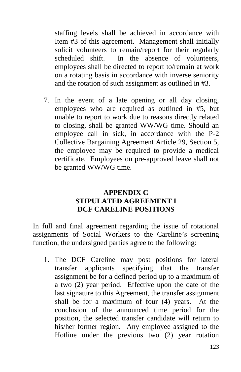staffing levels shall be achieved in accordance with Item #3 of this agreement. Management shall initially solicit volunteers to remain/report for their regularly scheduled shift. In the absence of volunteers, employees shall be directed to report to/remain at work on a rotating basis in accordance with inverse seniority and the rotation of such assignment as outlined in #3.

7. In the event of a late opening or all day closing, employees who are required as outlined in #5, but unable to report to work due to reasons directly related to closing, shall be granted WW/WG time. Should an employee call in sick, in accordance with the P-2 Collective Bargaining Agreement Article 29, Section 5, the employee may be required to provide a medical certificate. Employees on pre-approved leave shall not be granted WW/WG time.

#### **APPENDIX C STIPULATED AGREEMENT I DCF CARELINE POSITIONS**

In full and final agreement regarding the issue of rotational assignments of Social Workers to the Careline's screening function, the undersigned parties agree to the following:

1. The DCF Careline may post positions for lateral transfer applicants specifying that the transfer assignment be for a defined period up to a maximum of a two (2) year period. Effective upon the date of the last signature to this Agreement, the transfer assignment shall be for a maximum of four (4) years. At the conclusion of the announced time period for the position, the selected transfer candidate will return to his/her former region. Any employee assigned to the Hotline under the previous two (2) year rotation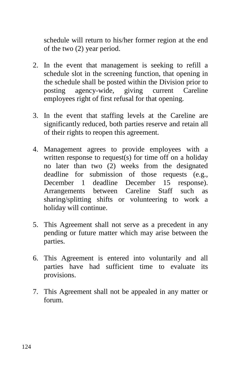schedule will return to his/her former region at the end of the two (2) year period.

- 2. In the event that management is seeking to refill a schedule slot in the screening function, that opening in the schedule shall be posted within the Division prior to posting agency-wide, giving current Careline employees right of first refusal for that opening.
- 3. In the event that staffing levels at the Careline are significantly reduced, both parties reserve and retain all of their rights to reopen this agreement.
- 4. Management agrees to provide employees with a written response to request(s) for time off on a holiday no later than two (2) weeks from the designated deadline for submission of those requests (e.g., December 1 deadline December 15 response). Arrangements between Careline Staff such as sharing/splitting shifts or volunteering to work a holiday will continue.
- 5. This Agreement shall not serve as a precedent in any pending or future matter which may arise between the parties.
- 6. This Agreement is entered into voluntarily and all parties have had sufficient time to evaluate its provisions.
- 7. This Agreement shall not be appealed in any matter or forum.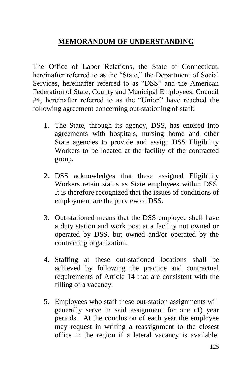## **MEMORANDUM OF UNDERSTANDING**

The Office of Labor Relations, the State of Connecticut, hereinafter referred to as the "State," the Department of Social Services, hereinafter referred to as "DSS" and the American Federation of State, County and Municipal Employees, Council #4, hereinafter referred to as the "Union" have reached the following agreement concerning out-stationing of staff:

- 1. The State, through its agency, DSS, has entered into agreements with hospitals, nursing home and other State agencies to provide and assign DSS Eligibility Workers to be located at the facility of the contracted group.
- 2. DSS acknowledges that these assigned Eligibility Workers retain status as State employees within DSS. It is therefore recognized that the issues of conditions of employment are the purview of DSS.
- 3. Out-stationed means that the DSS employee shall have a duty station and work post at a facility not owned or operated by DSS, but owned and/or operated by the contracting organization.
- 4. Staffing at these out-stationed locations shall be achieved by following the practice and contractual requirements of Article 14 that are consistent with the filling of a vacancy.
- 5. Employees who staff these out-station assignments will generally serve in said assignment for one (1) year periods. At the conclusion of each year the employee may request in writing a reassignment to the closest office in the region if a lateral vacancy is available.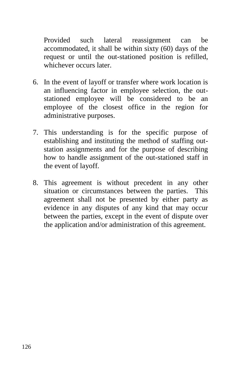Provided such lateral reassignment can be accommodated, it shall be within sixty (60) days of the request or until the out-stationed position is refilled, whichever occurs later.

- 6. In the event of layoff or transfer where work location is an influencing factor in employee selection, the outstationed employee will be considered to be an employee of the closest office in the region for administrative purposes.
- 7. This understanding is for the specific purpose of establishing and instituting the method of staffing outstation assignments and for the purpose of describing how to handle assignment of the out-stationed staff in the event of layoff.
- 8. This agreement is without precedent in any other situation or circumstances between the parties. This agreement shall not be presented by either party as evidence in any disputes of any kind that may occur between the parties, except in the event of dispute over the application and/or administration of this agreement.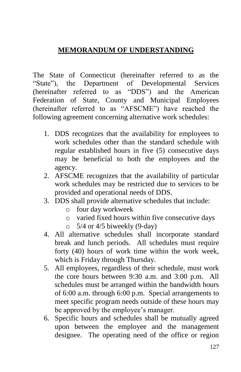### **MEMORANDUM OF UNDERSTANDING**

The State of Connecticut (hereinafter referred to as the "State"), the Department of Developmental Services (hereinafter referred to as "DDS") and the American Federation of State, County and Municipal Employees (hereinafter referred to as "AFSCME") have reached the following agreement concerning alternative work schedules:

- 1. DDS recognizes that the availability for employees to work schedules other than the standard schedule with regular established hours in five (5) consecutive days may be beneficial to both the employees and the agency.
- 2. AFSCME recognizes that the availability of particular work schedules may be restricted due to services to be provided and operational needs of DDS.
- 3. DDS shall provide alternative schedules that include:
	- o four day workweek
	- o varied fixed hours within five consecutive days
	- $\circ$  5/4 or 4/5 biweekly (9-day)
- 4. All alternative schedules shall incorporate standard break and lunch periods. All schedules must require forty (40) hours of work time within the work week, which is Friday through Thursday.
- 5. All employees, regardless of their schedule, must work the core hours between 9:30 a.m. and 3:00 p.m. All schedules must be arranged within the bandwidth hours of 6:00 a.m. through 6:00 p.m. Special arrangements to meet specific program needs outside of these hours may be approved by the employee's manager.
- 6. Specific hours and schedules shall be mutually agreed upon between the employee and the management designee. The operating need of the office or region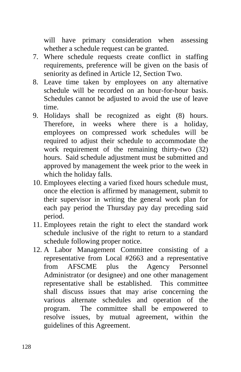will have primary consideration when assessing whether a schedule request can be granted.

- 7. Where schedule requests create conflict in staffing requirements, preference will be given on the basis of seniority as defined in Article 12, Section Two.
- 8. Leave time taken by employees on any alternative schedule will be recorded on an hour-for-hour basis. Schedules cannot be adjusted to avoid the use of leave time.
- 9. Holidays shall be recognized as eight (8) hours. Therefore, in weeks where there is a holiday, employees on compressed work schedules will be required to adjust their schedule to accommodate the work requirement of the remaining thirty-two (32) hours. Said schedule adjustment must be submitted and approved by management the week prior to the week in which the holiday falls.
- 10. Employees electing a varied fixed hours schedule must, once the election is affirmed by management, submit to their supervisor in writing the general work plan for each pay period the Thursday pay day preceding said period.
- 11. Employees retain the right to elect the standard work schedule inclusive of the right to return to a standard schedule following proper notice.
- 12. A Labor Management Committee consisting of a representative from Local #2663 and a representative from AFSCME plus the Agency Personnel Administrator (or designee) and one other management representative shall be established. This committee shall discuss issues that may arise concerning the various alternate schedules and operation of the program. The committee shall be empowered to resolve issues, by mutual agreement, within the guidelines of this Agreement.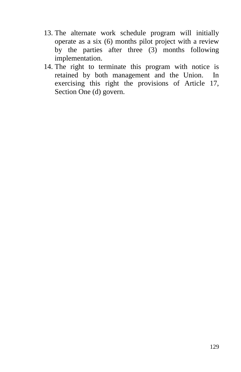- 13. The alternate work schedule program will initially operate as a six (6) months pilot project with a review by the parties after three (3) months following implementation.
- 14. The right to terminate this program with notice is retained by both management and the Union. In exercising this right the provisions of Article 17, Section One (d) govern.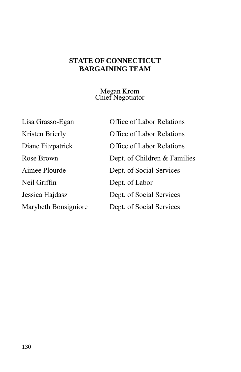#### **STATE OF CONNECTICUT BARGAINING TEAM**

Megan Krom Chief Negotiator

Neil Griffin Dept. of Labor

Lisa Grasso-Egan Office of Labor Relations Kristen Brierly **Office of Labor Relations** Diane Fitzpatrick Office of Labor Relations Rose Brown Dept. of Children & Families Aimee Plourde Dept. of Social Services Jessica Hajdasz Dept. of Social Services Marybeth Bonsigniore Dept. of Social Services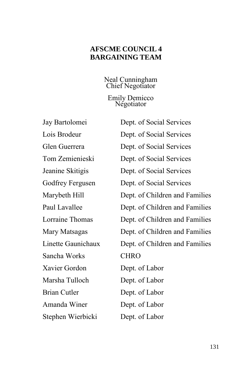#### **AFSCME COUNCIL 4 BARGAINING TEAM**

Neal Cunningham Chief Negotiator

Emily Demicco Negotiator

Sancha Works CHRO Xavier Gordon Dept. of Labor Marsha Tulloch Dept. of Labor Brian Cutler Dept. of Labor Amanda Winer Dept. of Labor Stephen Wierbicki Dept. of Labor

Jay Bartolomei Dept. of Social Services Lois Brodeur Dept. of Social Services Glen Guerrera Dept. of Social Services Tom Zemienieski Dept. of Social Services Jeanine Skitigis Dept. of Social Services Godfrey Fergusen Dept. of Social Services Marybeth Hill Dept. of Children and Families Paul Lavallee Dept. of Children and Families Lorraine Thomas Dept. of Children and Families Mary Matsagas Dept. of Children and Families Linette Gaunichaux Dept. of Children and Families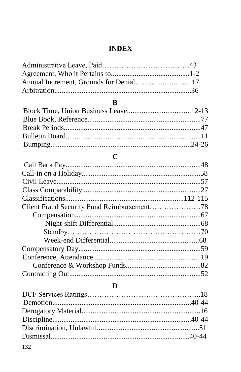## **INDEX**

## $\bf{B}$

## $\mathbf C$

#### $\mathbf D$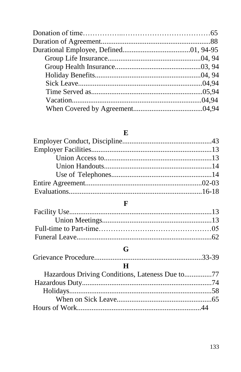## $\bf{E}$

# $\mathbf{F}$

## $\mathbf G$

# $\overline{\mathbf{H}}$

| Hazardous Driving Conditions, Lateness Due to77 |  |
|-------------------------------------------------|--|
|                                                 |  |
|                                                 |  |
|                                                 |  |
|                                                 |  |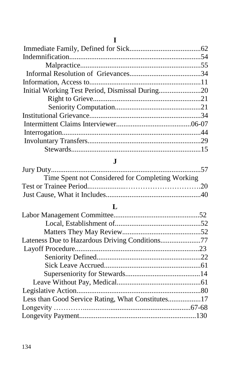| T                                                 |  |
|---------------------------------------------------|--|
|                                                   |  |
|                                                   |  |
|                                                   |  |
|                                                   |  |
|                                                   |  |
| Initial Working Test Period, Dismissal During20   |  |
|                                                   |  |
|                                                   |  |
|                                                   |  |
|                                                   |  |
|                                                   |  |
|                                                   |  |
|                                                   |  |
| J.                                                |  |
|                                                   |  |
| Time Spent not Considered for Completing Working  |  |
|                                                   |  |
|                                                   |  |
|                                                   |  |
| L                                                 |  |
|                                                   |  |
|                                                   |  |
|                                                   |  |
|                                                   |  |
|                                                   |  |
|                                                   |  |
|                                                   |  |
|                                                   |  |
|                                                   |  |
|                                                   |  |
| Less than Good Service Rating, What Constitutes17 |  |
|                                                   |  |
|                                                   |  |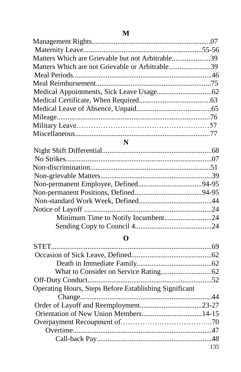| Matters Which are Grievable but not Arbitrable39 |  |
|--------------------------------------------------|--|
| Matters Which are not Grievable or Arbitrable39  |  |
|                                                  |  |
|                                                  |  |
|                                                  |  |
|                                                  |  |
|                                                  |  |
|                                                  |  |
|                                                  |  |
|                                                  |  |
| N                                                |  |
|                                                  |  |
|                                                  |  |
|                                                  |  |
|                                                  |  |
|                                                  |  |
|                                                  |  |
|                                                  |  |
|                                                  |  |
|                                                  |  |
|                                                  |  |
|                                                  |  |

## **O**

| <b>Operating Hours, Steps Before Establishing Significant</b> |     |
|---------------------------------------------------------------|-----|
|                                                               |     |
|                                                               |     |
|                                                               |     |
|                                                               |     |
|                                                               |     |
|                                                               |     |
|                                                               | 135 |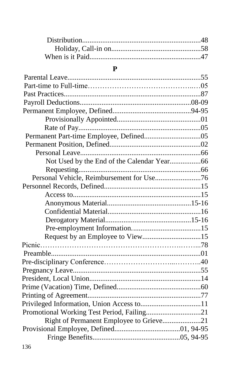#### **P**

| Personal Vehicle, Reimbursement for Use76  |  |
|--------------------------------------------|--|
|                                            |  |
|                                            |  |
|                                            |  |
|                                            |  |
|                                            |  |
|                                            |  |
|                                            |  |
|                                            |  |
|                                            |  |
|                                            |  |
|                                            |  |
|                                            |  |
|                                            |  |
|                                            |  |
|                                            |  |
| Promotional Working Test Period, Failing21 |  |
| Right of Permanent Employee to Grieve21    |  |
|                                            |  |
|                                            |  |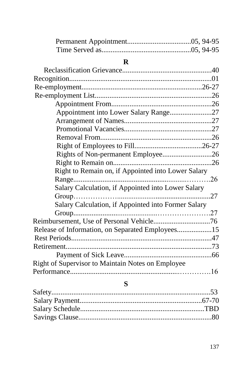## **R**

| Appointment into Lower Salary Range27                    |  |
|----------------------------------------------------------|--|
|                                                          |  |
|                                                          |  |
|                                                          |  |
|                                                          |  |
| Rights of Non-permanent Employee26                       |  |
|                                                          |  |
| Right to Remain on, if Appointed into Lower Salary       |  |
|                                                          |  |
| Salary Calculation, if Appointed into Lower Salary       |  |
|                                                          |  |
| Salary Calculation, if Appointed into Former Salary      |  |
|                                                          |  |
|                                                          |  |
| Release of Information, on Separated Employees15         |  |
|                                                          |  |
|                                                          |  |
|                                                          |  |
| <b>Right of Supervisor to Maintain Notes on Employee</b> |  |
|                                                          |  |
|                                                          |  |

# **S**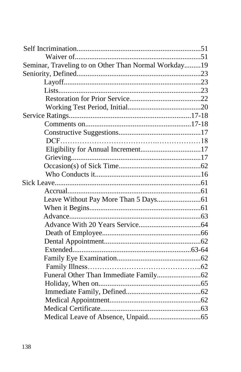| Seminar, Traveling to on Other Than Normal Workday19 |  |
|------------------------------------------------------|--|
|                                                      |  |
|                                                      |  |
|                                                      |  |
|                                                      |  |
|                                                      |  |
|                                                      |  |
|                                                      |  |
|                                                      |  |
|                                                      |  |
|                                                      |  |
|                                                      |  |
|                                                      |  |
|                                                      |  |
|                                                      |  |
|                                                      |  |
|                                                      |  |
|                                                      |  |
|                                                      |  |
|                                                      |  |
|                                                      |  |
|                                                      |  |
|                                                      |  |
|                                                      |  |
|                                                      |  |
|                                                      |  |
|                                                      |  |
|                                                      |  |
|                                                      |  |
|                                                      |  |
|                                                      |  |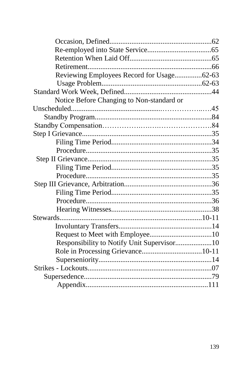| Reviewing Employees Record for Usage62-63  |  |
|--------------------------------------------|--|
|                                            |  |
|                                            |  |
| Notice Before Changing to Non-standard or  |  |
|                                            |  |
|                                            |  |
|                                            |  |
|                                            |  |
|                                            |  |
|                                            |  |
|                                            |  |
|                                            |  |
|                                            |  |
|                                            |  |
|                                            |  |
|                                            |  |
|                                            |  |
|                                            |  |
|                                            |  |
|                                            |  |
| Responsibility to Notify Unit Supervisor10 |  |
|                                            |  |
|                                            |  |
|                                            |  |
|                                            |  |
|                                            |  |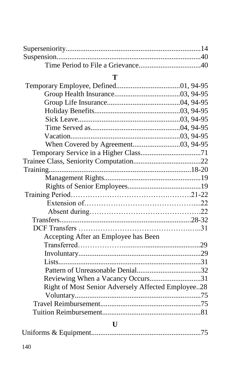## **T**

| Accepting After an Employee has Been               |  |
|----------------------------------------------------|--|
|                                                    |  |
|                                                    |  |
|                                                    |  |
|                                                    |  |
| Reviewing When a Vacancy Occurs31                  |  |
| Right of Most Senior Adversely Affected Employee28 |  |
|                                                    |  |
|                                                    |  |
|                                                    |  |
| U                                                  |  |

|--|--|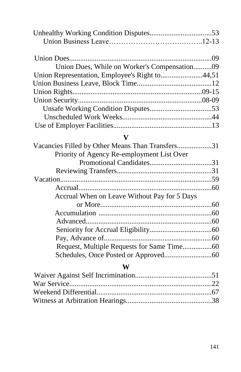| Union Dues, While on Worker's Compensation09   |  |
|------------------------------------------------|--|
| Union Representation, Employee's Right to44,51 |  |
|                                                |  |
|                                                |  |
|                                                |  |
|                                                |  |
|                                                |  |
|                                                |  |

## **V**

| Vacancies Filled by Other Means Than Transfers31 |  |
|--------------------------------------------------|--|
| Priority of Agency Re-employment List Over       |  |
|                                                  |  |
|                                                  |  |
|                                                  |  |
|                                                  |  |
| Accrual When on Leave Without Pay for 5 Days     |  |
|                                                  |  |
|                                                  |  |
|                                                  |  |
|                                                  |  |
|                                                  |  |
|                                                  |  |
|                                                  |  |

## **W**